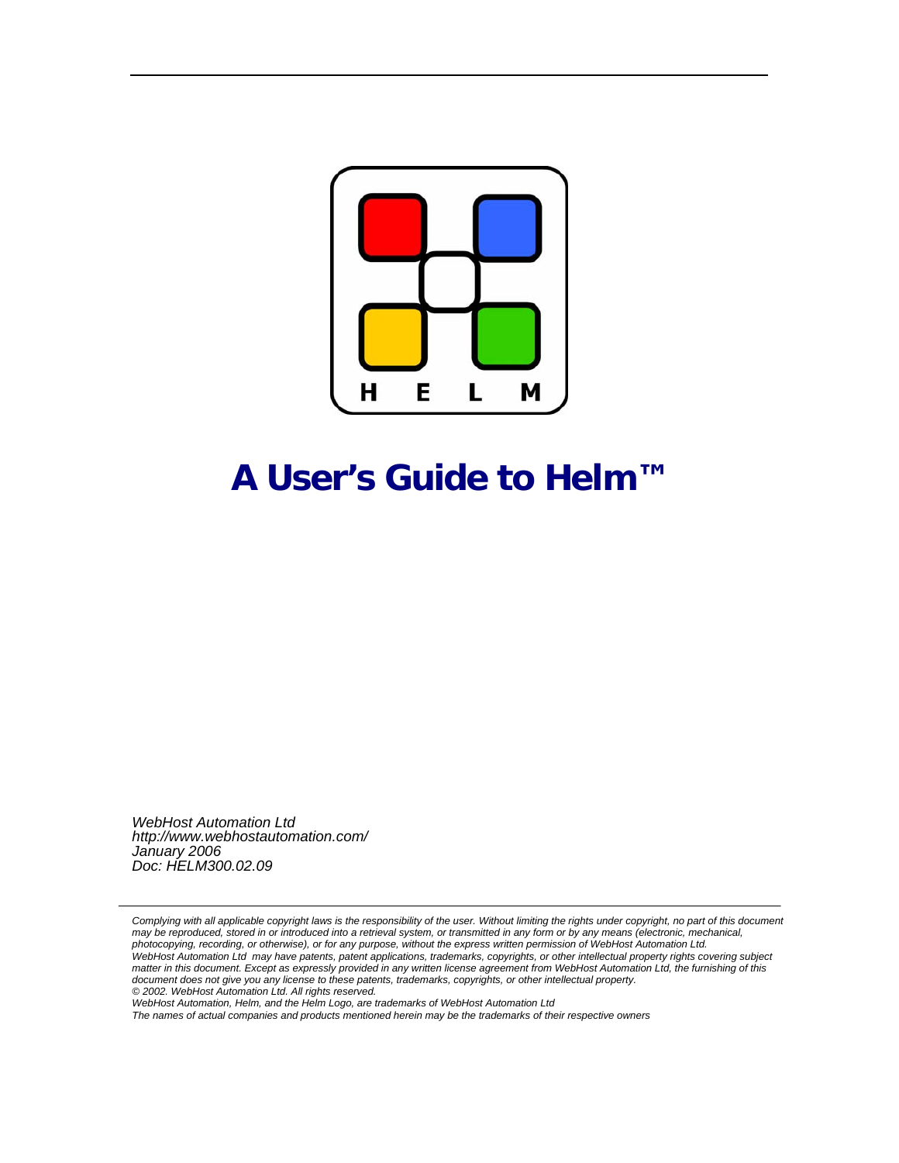

## **A User's Guide to Helm™**

*WebHost Automation Ltd http://www.webhostautomation.com/ January 2006 Doc: HELM300.02.09* 

Complying with all applicable copyright laws is the responsibility of the user. Without limiting the rights under copyright, no part of this document *may be reproduced, stored in or introduced into a retrieval system, or transmitted in any form or by any means (electronic, mechanical, photocopying, recording, or otherwise), or for any purpose, without the express written permission of WebHost Automation Ltd. WebHost Automation Ltd may have patents, patent applications, trademarks, copyrights, or other intellectual property rights covering subject matter in this document. Except as expressly provided in any written license agreement from WebHost Automation Ltd, the furnishing of this document does not give you any license to these patents, trademarks, copyrights, or other intellectual property. © 2002. WebHost Automation Ltd. All rights reserved.* 

*WebHost Automation, Helm, and the Helm Logo, are trademarks of WebHost Automation Ltd* 

*The names of actual companies and products mentioned herein may be the trademarks of their respective owners*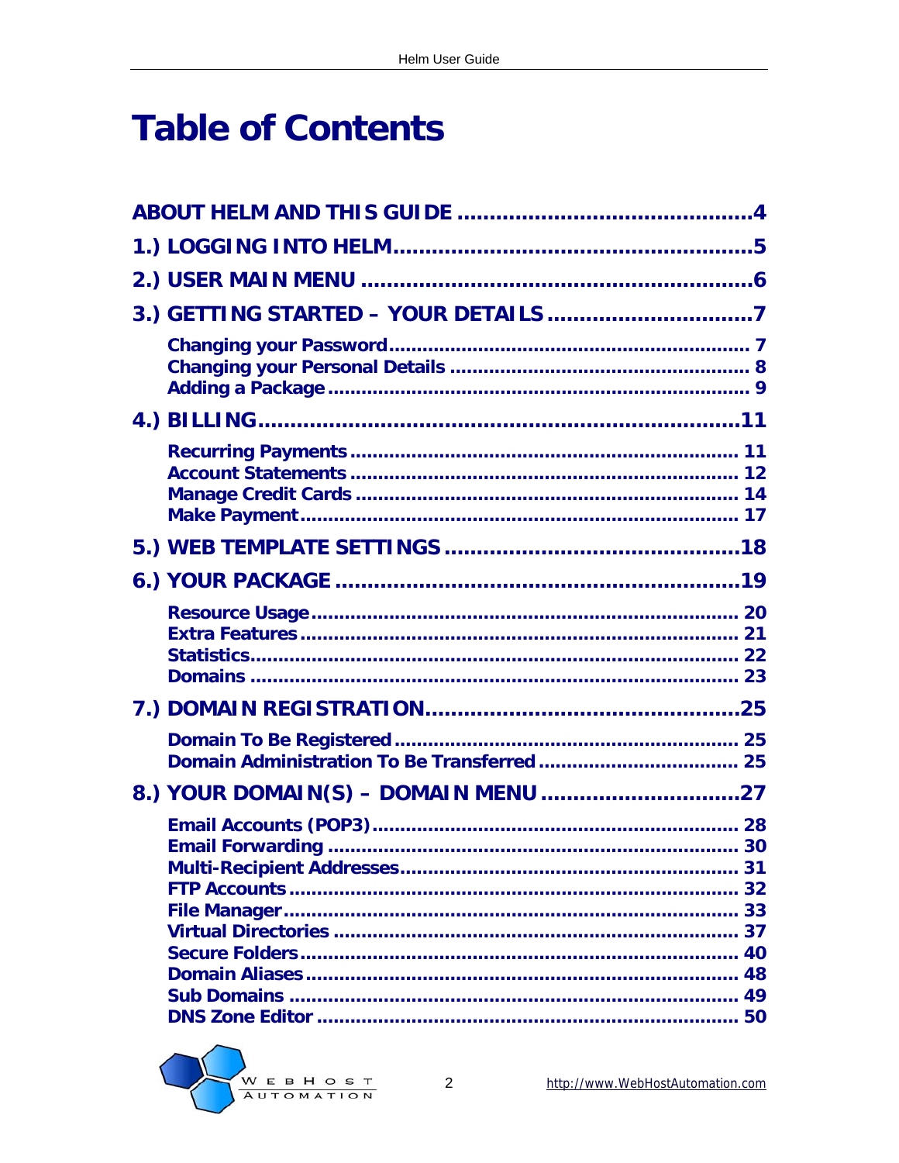## **Table of Contents**

|  | 32 |
|--|----|
|  |    |
|  |    |

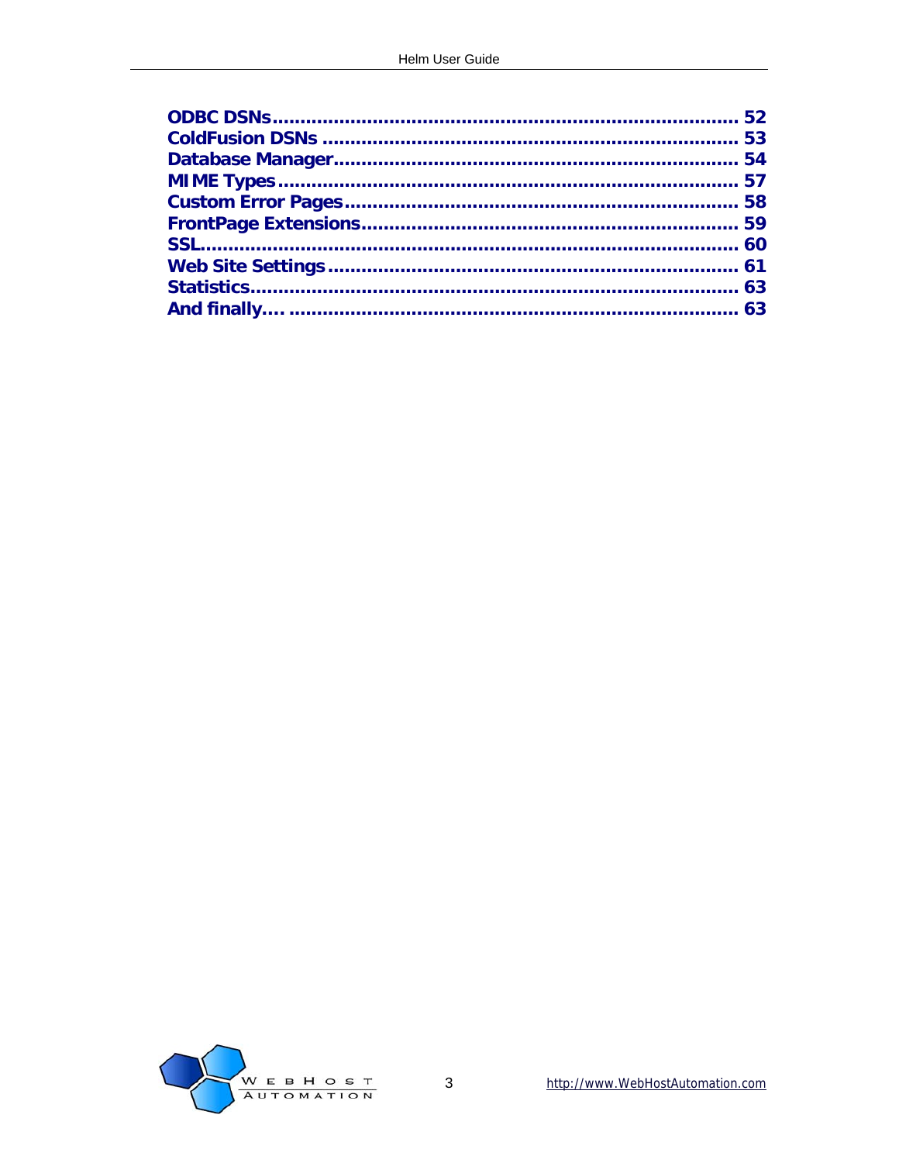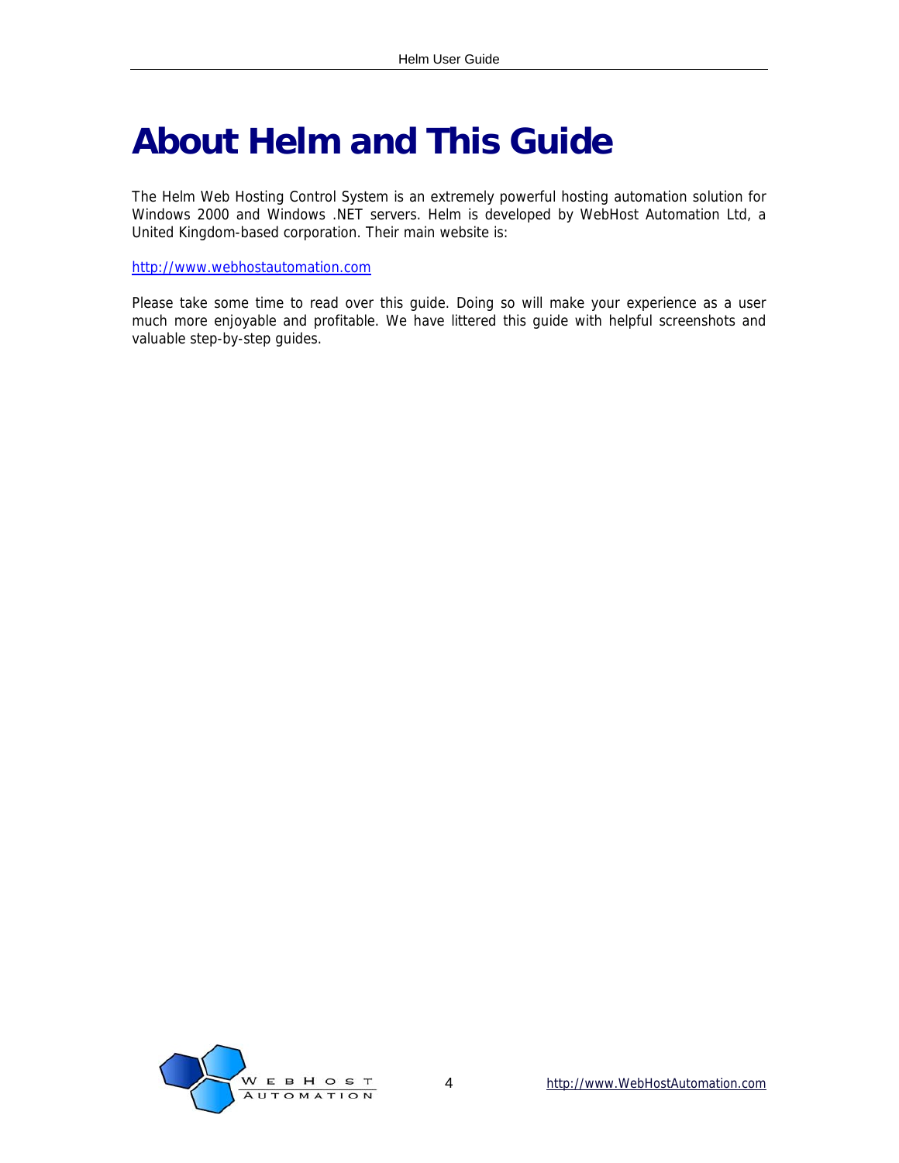## <span id="page-3-0"></span>**About Helm and This Guide**

The Helm Web Hosting Control System is an extremely powerful hosting automation solution for Windows 2000 and Windows .NET servers. Helm is developed by WebHost Automation Ltd, a United Kingdom-based corporation. Their main website is:

#### [http://www.webhostautomation.com](http://www.webhostautomation.com/)

Please take some time to read over this guide. Doing so will make your experience as a user much more enjoyable and profitable. We have littered this guide with helpful screenshots and valuable step-by-step guides.

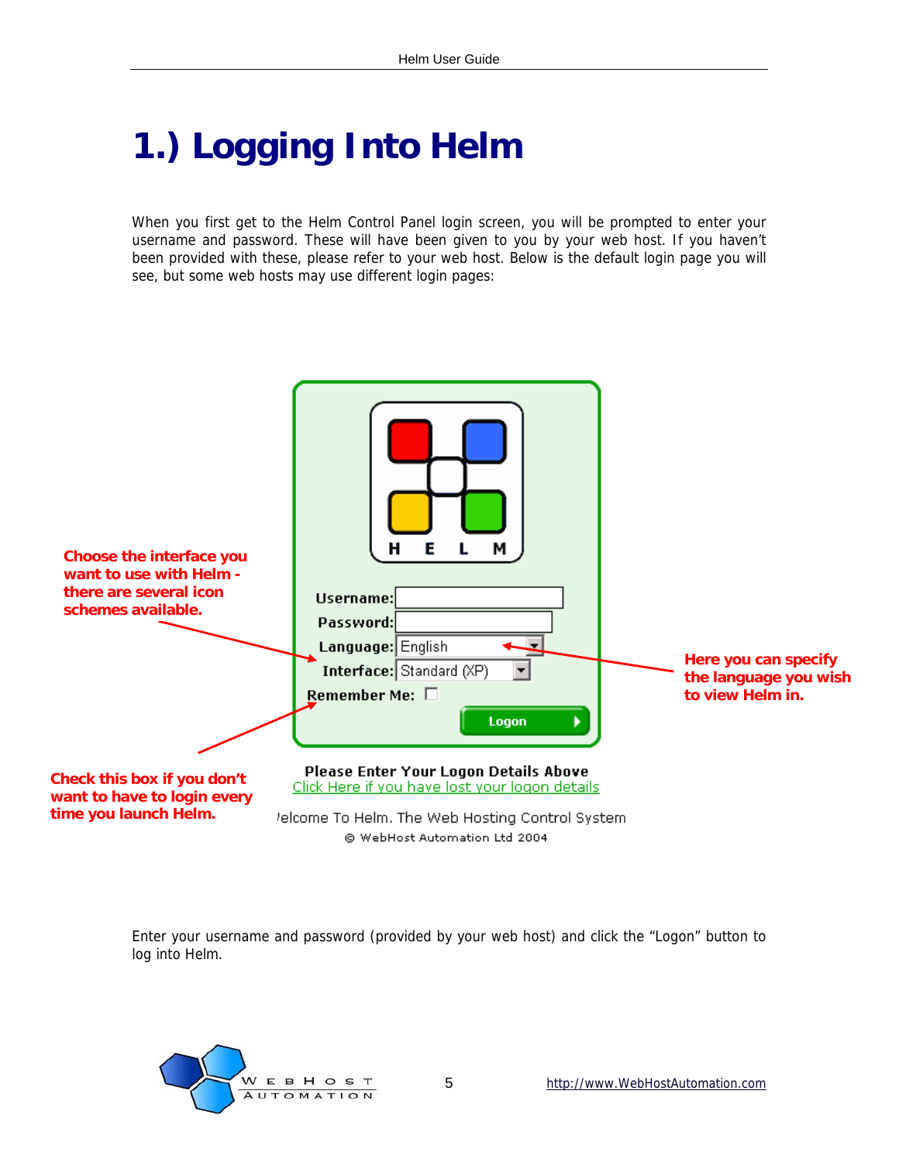## <span id="page-4-0"></span>**1.) Logging Into Helm**

When you first get to the Helm Control Panel login screen, you will be prompted to enter your username and password. These will have been given to you by your web host. If you haven't been provided with these, please refer to your web host. Below is the default login page you will see, but some web hosts may use different login pages:



Enter your username and password (provided by your web host) and click the "Logon" button to log into Helm.

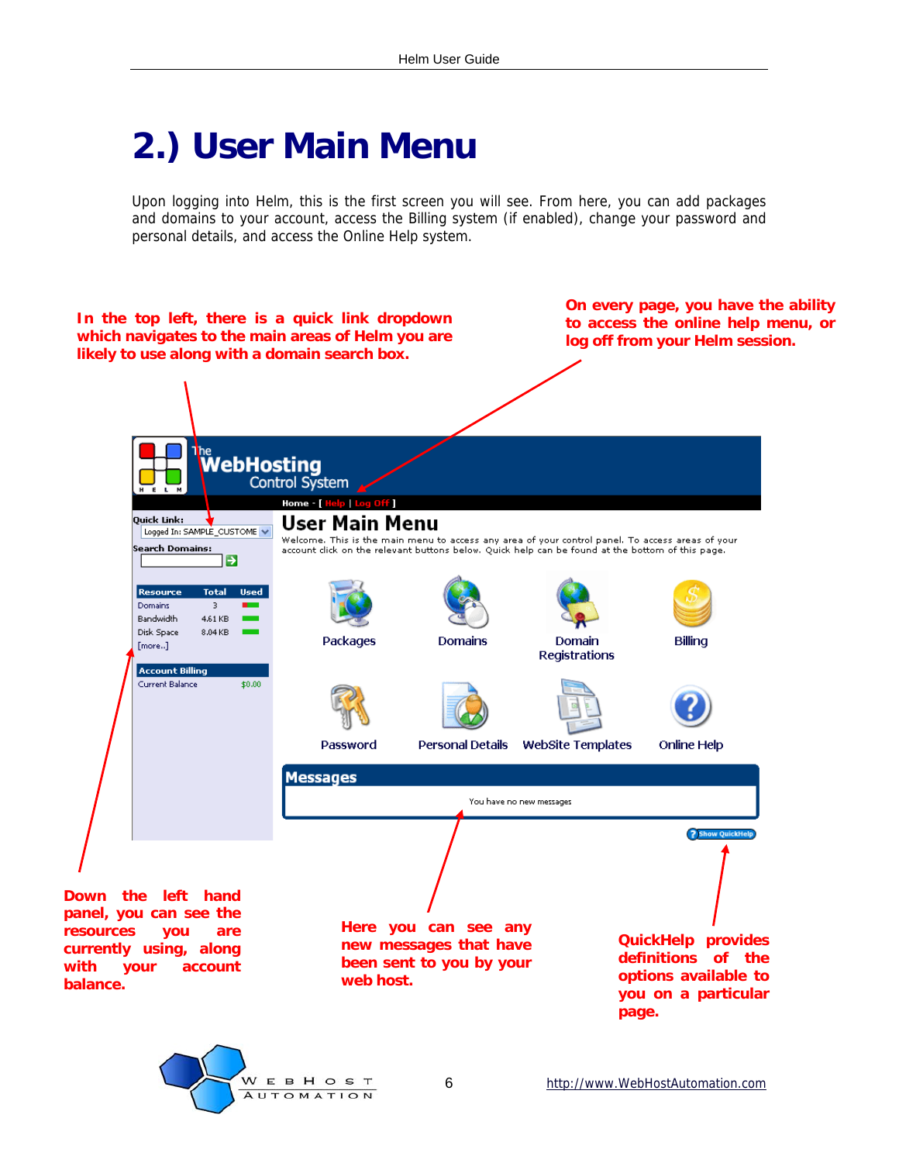## <span id="page-5-0"></span>**2.) User Main Menu**

Upon logging into Helm, this is the first screen you will see. From here, you can add packages and domains to your account, access the Billing system (if enabled), change your password and personal details, and access the Online Help system.



6 http://www.WebHostAutomation.com

**AUTOMATION**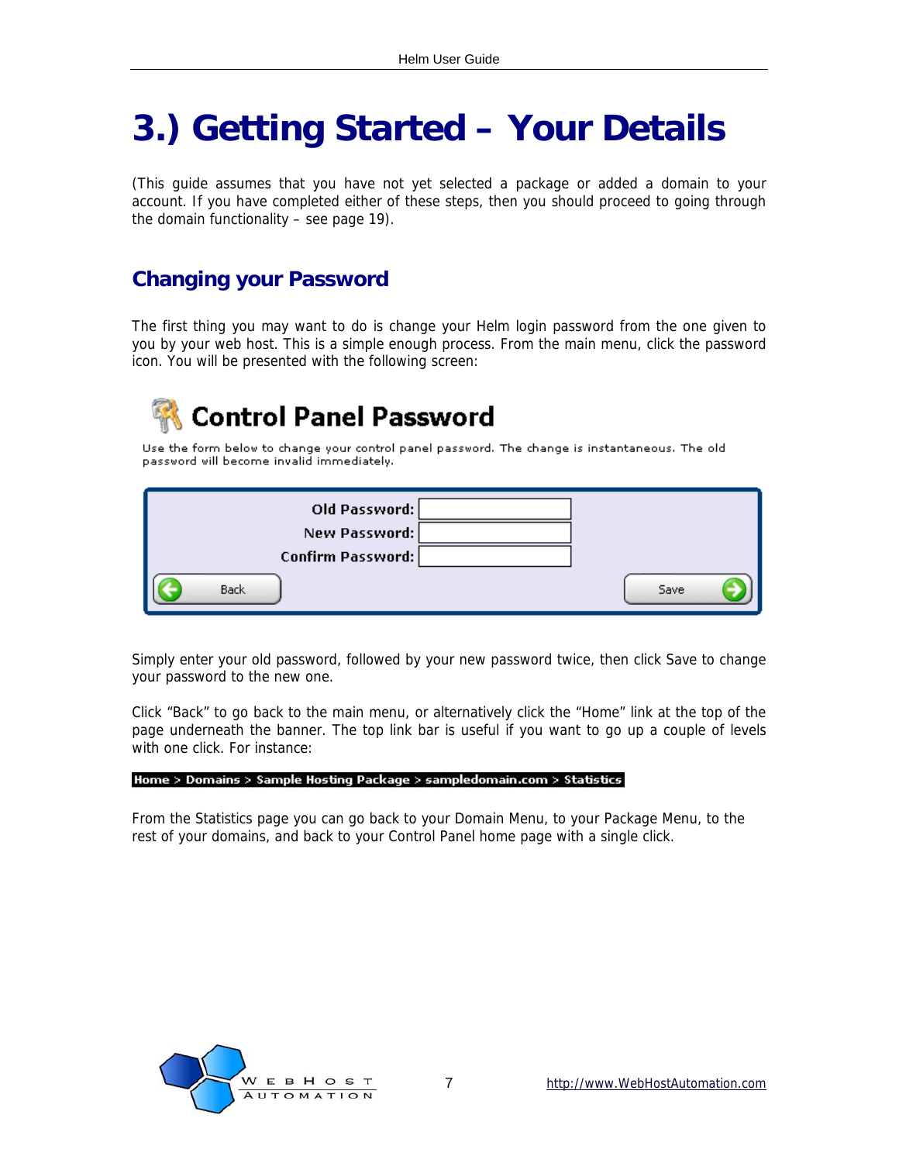## <span id="page-6-0"></span>**3.) Getting Started – Your Details**

(This guide assumes that you have not yet selected a package or added a domain to your account. If you have completed either of these steps, then you should proceed to going through the domain functionality – see page 19).

### **Changing your Password**

The first thing you may want to do is change your Helm login password from the one given to you by your web host. This is a simple enough process. From the main menu, click the password icon. You will be presented with the following screen:

## **Control Panel Password**

Use the form below to change your control panel password. The change is instantaneous. The old password will become invalid immediately.

| Old Password:     |      |
|-------------------|------|
| New Password:     |      |
| Confirm Password: |      |
| Back              | Save |

Simply enter your old password, followed by your new password twice, then click Save to change your password to the new one.

Click "Back" to go back to the main menu, or alternatively click the "Home" link at the top of the page underneath the banner. The top link bar is useful if you want to go up a couple of levels with one click. For instance:

#### Home > Domains > Sample Hosting Package > sampledomain.com > Statistics

From the Statistics page you can go back to your Domain Menu, to your Package Menu, to the rest of your domains, and back to your Control Panel home page with a single click.

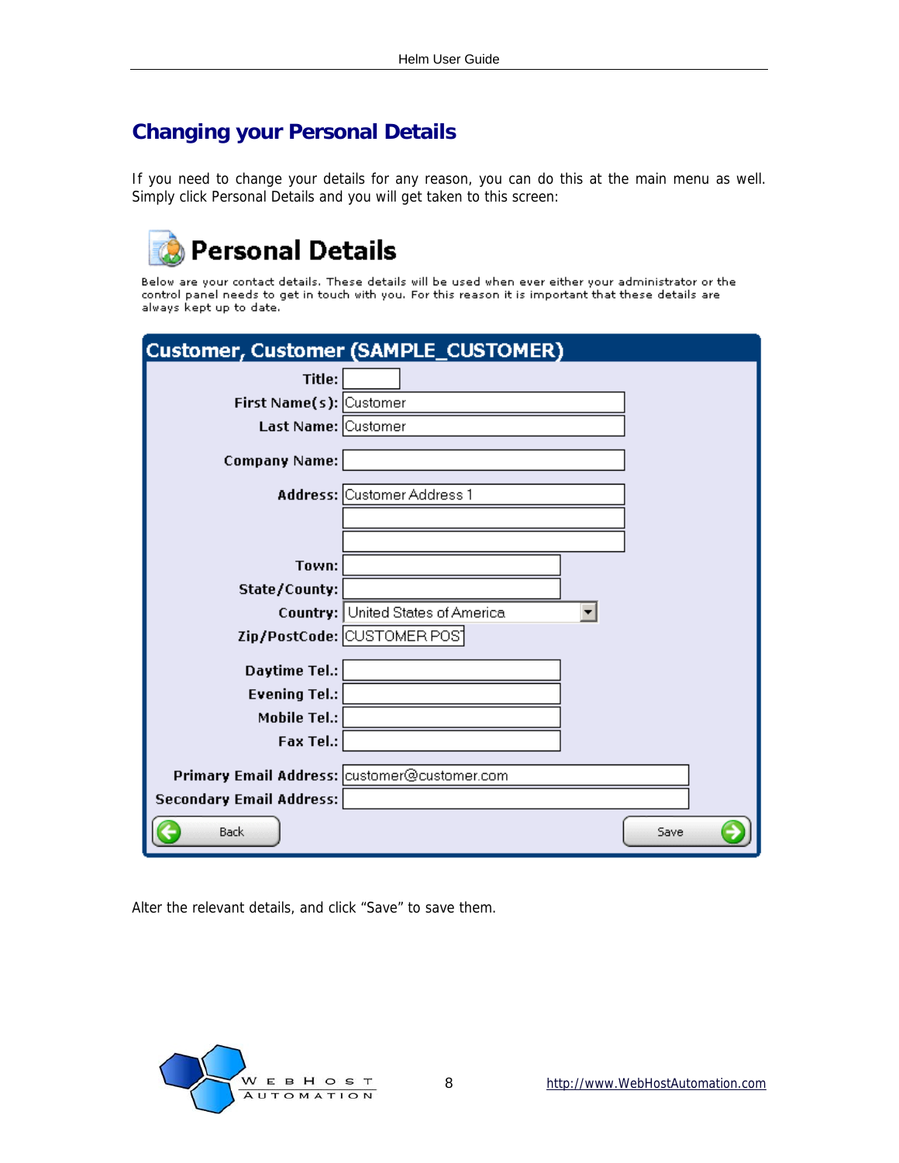### <span id="page-7-0"></span>**Changing your Personal Details**

If you need to change your details for any reason, you can do this at the main menu as well. Simply click Personal Details and you will get taken to this screen:

## **Personal Details**

Below are your contact details. These details will be used when ever either your administrator or the control panel needs to get in touch with you. For this reason it is important that these details are always kept up to date.

|                                              | Customer, Customer (SAMPLE_CUSTOMER)     |      |
|----------------------------------------------|------------------------------------------|------|
| Title:                                       |                                          |      |
| First Name(s): Customer                      |                                          |      |
| Last Name: Customer                          |                                          |      |
| <b>Company Name:</b>                         |                                          |      |
|                                              | Address: Customer Address 1              |      |
|                                              |                                          |      |
|                                              |                                          |      |
| Town:                                        |                                          |      |
| State/County:                                |                                          |      |
|                                              | <b>Country:</b> United States of America |      |
|                                              | Zip/PostCode: CUSTOMER POS               |      |
| Daytime Tel.:                                |                                          |      |
| <b>Evening Tel.:</b>                         |                                          |      |
| Mobile Tel.:                                 |                                          |      |
| Fax Tel.:                                    |                                          |      |
| Primary Email Address: customer@customer.com |                                          |      |
| <b>Secondary Email Address:</b>              |                                          |      |
|                                              |                                          |      |
| <b>Back</b>                                  |                                          | Save |

Alter the relevant details, and click "Save" to save them.

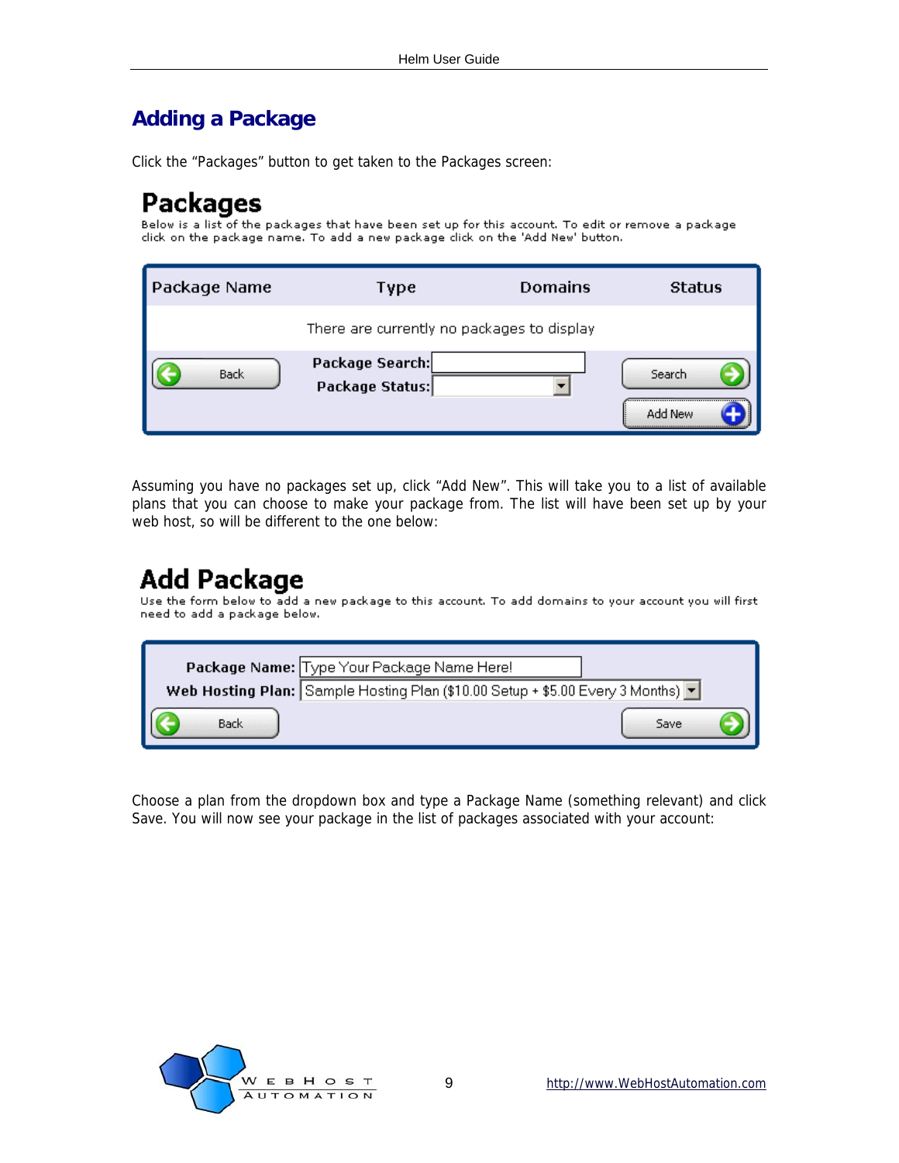### <span id="page-8-0"></span>**Adding a Package**

Click the "Packages" button to get taken to the Packages screen:

## **Packages**

Below is a list of the packages that have been set up for this account. To edit or remove a package click on the package name. To add a new package click on the 'Add New' button.

| Package Name | Type                                       | <b>Domains</b> | <b>Status</b>     |
|--------------|--------------------------------------------|----------------|-------------------|
|              | There are currently no packages to display |                |                   |
| Back         | Package Search:<br>Package Status:         |                | Search<br>Add New |

Assuming you have no packages set up, click "Add New". This will take you to a list of available plans that you can choose to make your package from. The list will have been set up by your web host, so will be different to the one below:

## **Add Package**

Use the form below to add a new package to this account. To add domains to your account you will first need to add a package below.

|      | Package Name: Type Your Package Name Here!                                                         |
|------|----------------------------------------------------------------------------------------------------|
|      | Web Hosting Plan: Sample Hosting Plan (\$10.00 Setup + \$5.00 Every 3 Months) $\blacktriangledown$ |
| Back | Save                                                                                               |

Choose a plan from the dropdown box and type a Package Name (something relevant) and click Save. You will now see your package in the list of packages associated with your account:

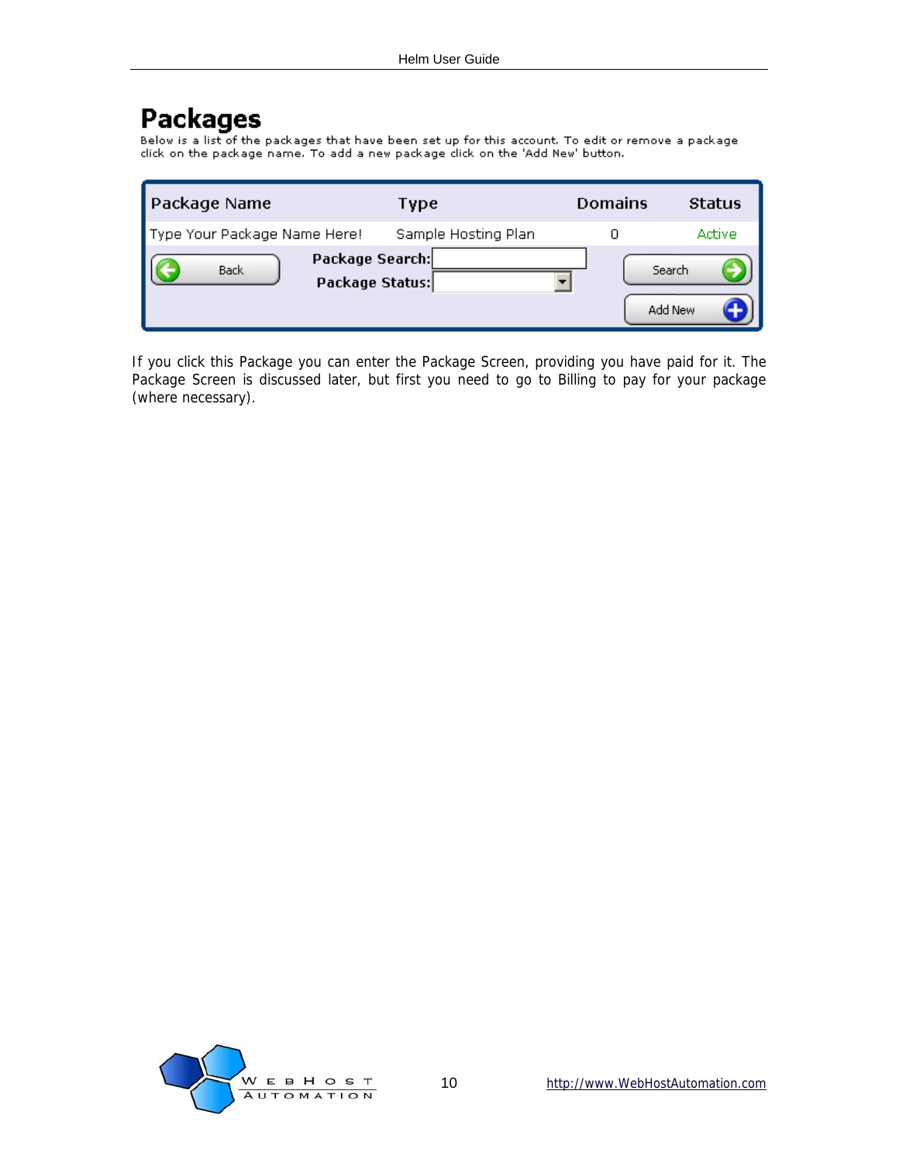## **Packages**

Below is a list of the packages that have been set up for this account. To edit or remove a package dick on the package name. To add a new package dick on the 'Add New' button.

| <b>Package Name</b>          |                                    | Type                | <b>Domains</b> | <b>Status</b> |
|------------------------------|------------------------------------|---------------------|----------------|---------------|
| Type Your Package Name Here! |                                    | Sample Hosting Plan |                | Active        |
| Back                         | Package Search:<br>Package Status: |                     | Search         | Add New       |

If you click this Package you can enter the Package Screen, providing you have paid for it. The Package Screen is discussed later, but first you need to go to Billing to pay for your package (where necessary).

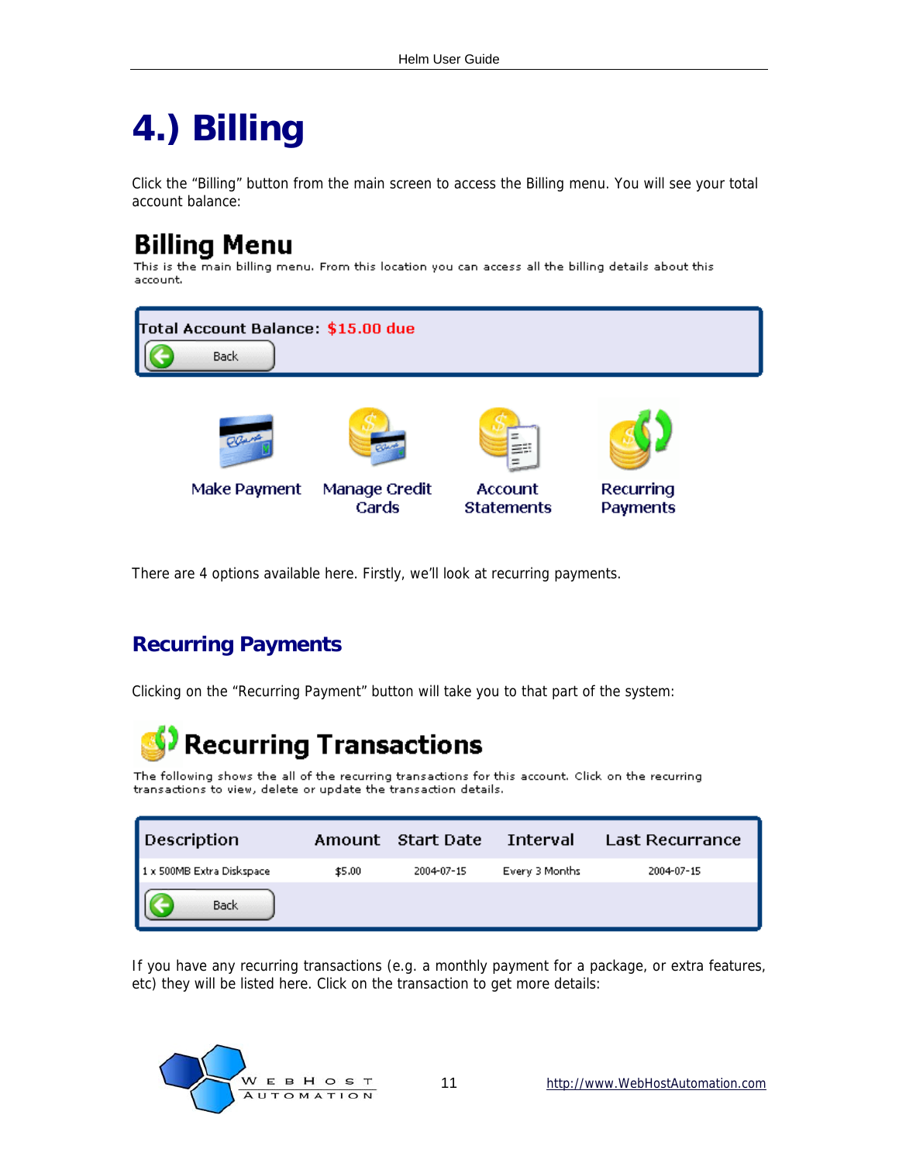## <span id="page-10-0"></span>**4.) Billing**

Click the "Billing" button from the main screen to access the Billing menu. You will see your total account balance:

## **Billing Menu**

This is the main billing menu. From this location you can access all the billing details about this account.



There are 4 options available here. Firstly, we'll look at recurring payments.

### **Recurring Payments**

Clicking on the "Recurring Payment" button will take you to that part of the system:

## **Recurring Transactions**

The following shows the all of the recurring transactions for this account. Click on the recurring transactions to view, delete or update the transaction details.

| Description               |        | Amount Start Date | - Interval     | Last Recurrance |
|---------------------------|--------|-------------------|----------------|-----------------|
| 1 x 500MB Extra Diskspace | \$5.00 | 2004-07-15        | Every 3 Months | 2004-07-15      |
| Back                      |        |                   |                |                 |

If you have any recurring transactions (e.g. a monthly payment for a package, or extra features, etc) they will be listed here. Click on the transaction to get more details:

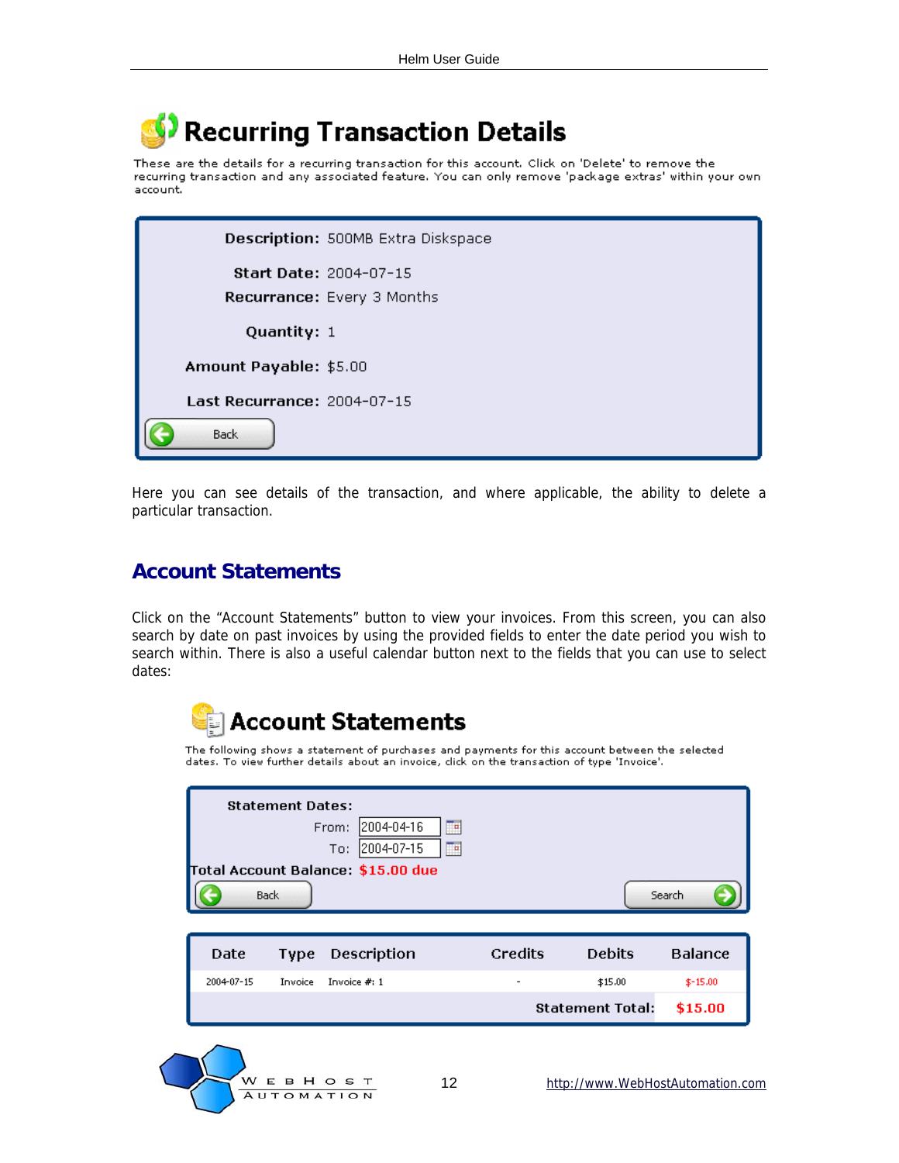## <span id="page-11-0"></span>**Recurring Transaction Details**

These are the details for a recurring transaction for this account. Click on 'Delete' to remove the recurring transaction and any associated feature. You can only remove 'package extras' within your own account.

|                             | Description: 500MB Extra Diskspace                          |
|-----------------------------|-------------------------------------------------------------|
|                             | <b>Start Date: 2004-07-15</b><br>Recurrance: Every 3 Months |
| Quantity: 1                 |                                                             |
| Amount Payable: \$5.00      |                                                             |
| Last Recurrance: 2004-07-15 |                                                             |
| <b>Back</b>                 |                                                             |

Here you can see details of the transaction, and where applicable, the ability to delete a particular transaction.

#### **Account Statements**

Click on the "Account Statements" button to view your invoices. From this screen, you can also search by date on past invoices by using the provided fields to enter the date period you wish to search within. There is also a useful calendar button next to the fields that you can use to select dates:



The following shows a statement of purchases and payments for this account between the selected dates. To view further details about an invoice, dick on the transaction of type 'Invoice'.

| <b>Back</b>                                                    | Search         |
|----------------------------------------------------------------|----------------|
| <b>Credits</b><br><b>Debits</b><br>Description<br>Date<br>Type | <b>Balance</b> |
| 2004-07-15<br>Invoice $#: 1$<br>\$15.00<br>Invoice             | $$-15.00$      |
| <b>Statement Total:</b>                                        | \$15.00        |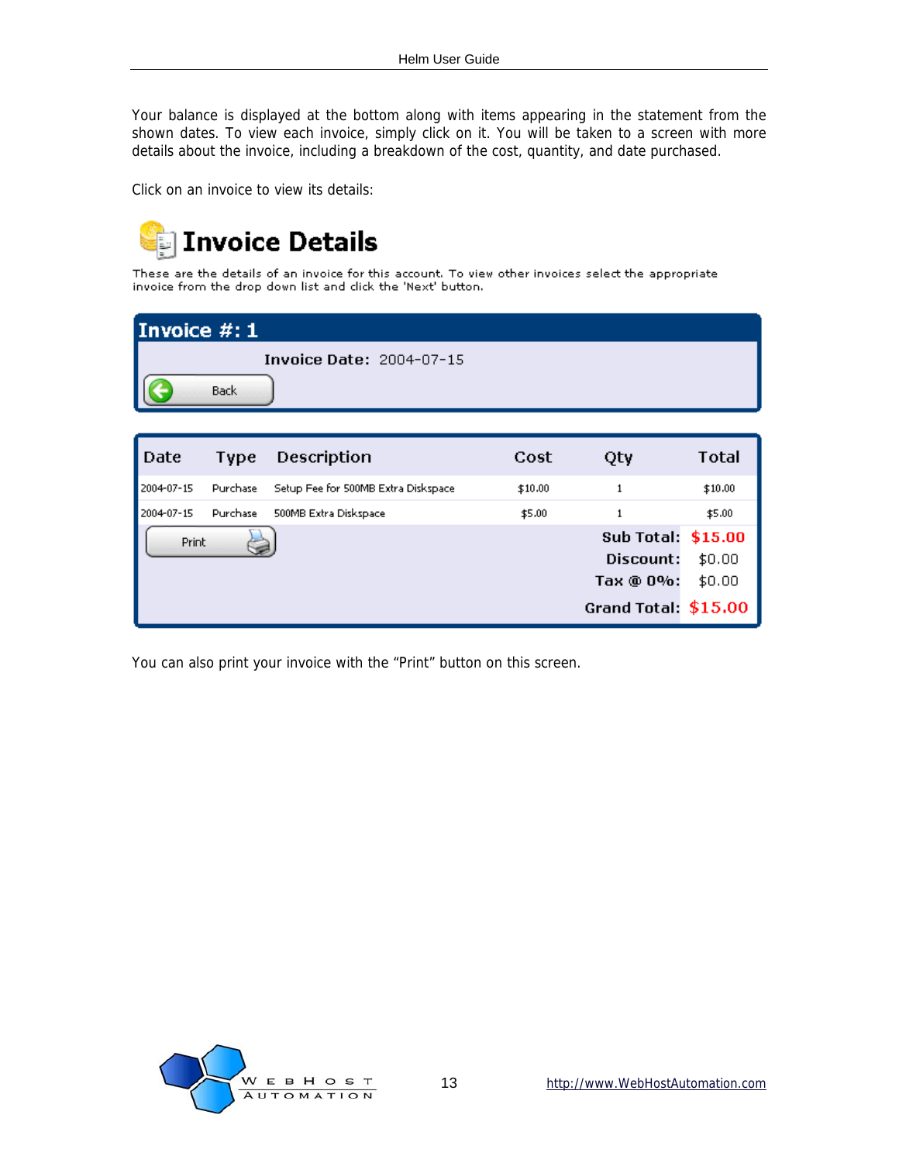Your balance is displayed at the bottom along with items appearing in the statement from the shown dates. To view each invoice, simply click on it. You will be taken to a screen with more details about the invoice, including a breakdown of the cost, quantity, and date purchased.

Click on an invoice to view its details:



These are the details of an invoice for this account. To view other invoices select the appropriate invoice from the drop down list and click the 'Next' button.

| Invoice $#:1$                   |  |  |  |  |
|---------------------------------|--|--|--|--|
| <b>Invoice Date: 2004-07-15</b> |  |  |  |  |
| Back                            |  |  |  |  |

| Date       | Type     | Description                          | Cost    | Qty                  | Total   |
|------------|----------|--------------------------------------|---------|----------------------|---------|
| 2004-07-15 | Purchase | Setup Fee for 500MB Extra Diskspace. | \$10.00 |                      | \$10.00 |
| 2004-07-15 | Purchase | 500MB Extra Diskspace                | \$5.00  |                      | \$5.00  |
| Print      |          |                                      |         | Sub Total: \$15.00   |         |
|            |          |                                      |         | Discount:            | \$0.00  |
|            |          |                                      |         | Tax @ 0%:            | \$0.00  |
|            |          |                                      |         | Grand Total: \$15.00 |         |

You can also print your invoice with the "Print" button on this screen.

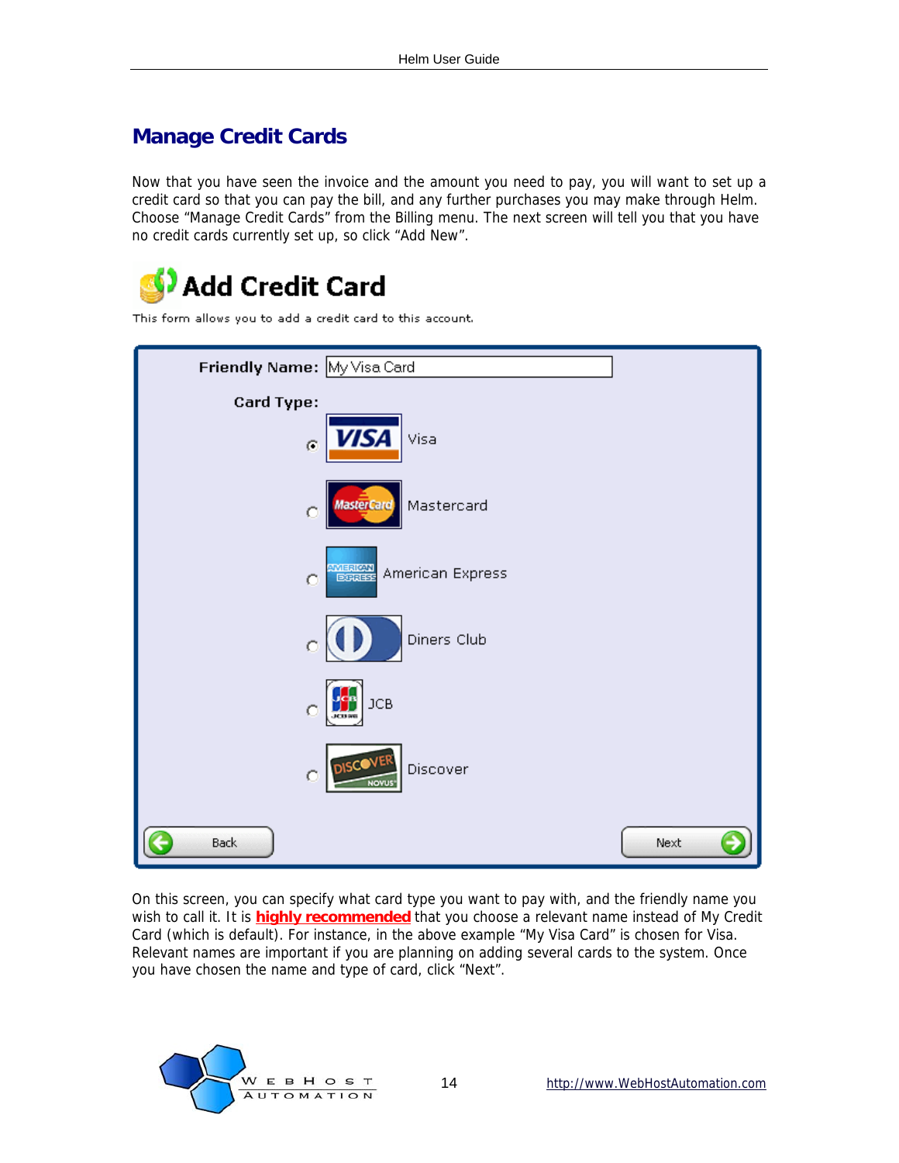### <span id="page-13-0"></span>**Manage Credit Cards**

Now that you have seen the invoice and the amount you need to pay, you will want to set up a credit card so that you can pay the bill, and any further purchases you may make through Helm. Choose "Manage Credit Cards" from the Billing menu. The next screen will tell you that you have no credit cards currently set up, so click "Add New".





On this screen, you can specify what card type you want to pay with, and the friendly name you wish to call it. It is **highly recommended** that you choose a relevant name instead of My Credit Card (which is default). For instance, in the above example "My Visa Card" is chosen for Visa. Relevant names are important if you are planning on adding several cards to the system. Once you have chosen the name and type of card, click "Next".

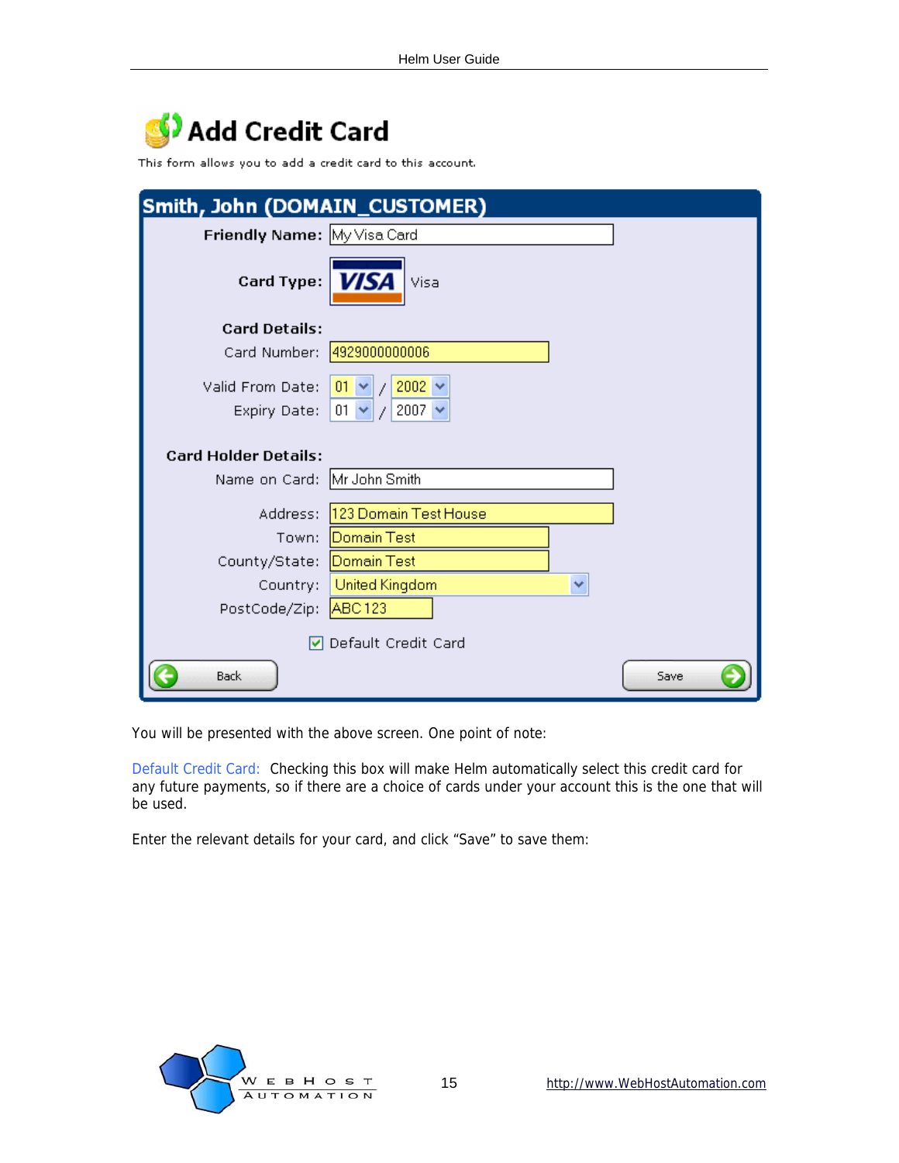## Add Credit Card

This form allows you to add a credit card to this account.

| Smith, John (DOMAIN_CUSTOMER) |                                |   |      |
|-------------------------------|--------------------------------|---|------|
| Friendly Name: My Visa Card   |                                |   |      |
| <b>Card Type:</b>             | <b>VISA</b><br>Visa            |   |      |
| <b>Card Details:</b>          |                                |   |      |
|                               | Card Number: 4929000000006     |   |      |
| Valid From Date:              | 01 $\vee$ / 2002 $\vee$        |   |      |
| Expiry Date:                  | $/2007 \times$<br>$01 \times$  |   |      |
| <b>Card Holder Details:</b>   |                                |   |      |
| Name on Card: Mr John Smith   |                                |   |      |
|                               | Address: 123 Domain Test House |   |      |
| Town:                         | Domain Test                    |   |      |
| County/State:                 | Domain Test                    |   |      |
| Country:                      | United Kingdom                 | × |      |
| PostCode/Zip: ABC123          |                                |   |      |
|                               | Default Credit Card            |   |      |
| Back                          |                                |   | Save |

You will be presented with the above screen. One point of note:

Default Credit Card: Checking this box will make Helm automatically select this credit card for any future payments, so if there are a choice of cards under your account this is the one that will be used.

Enter the relevant details for your card, and click "Save" to save them:

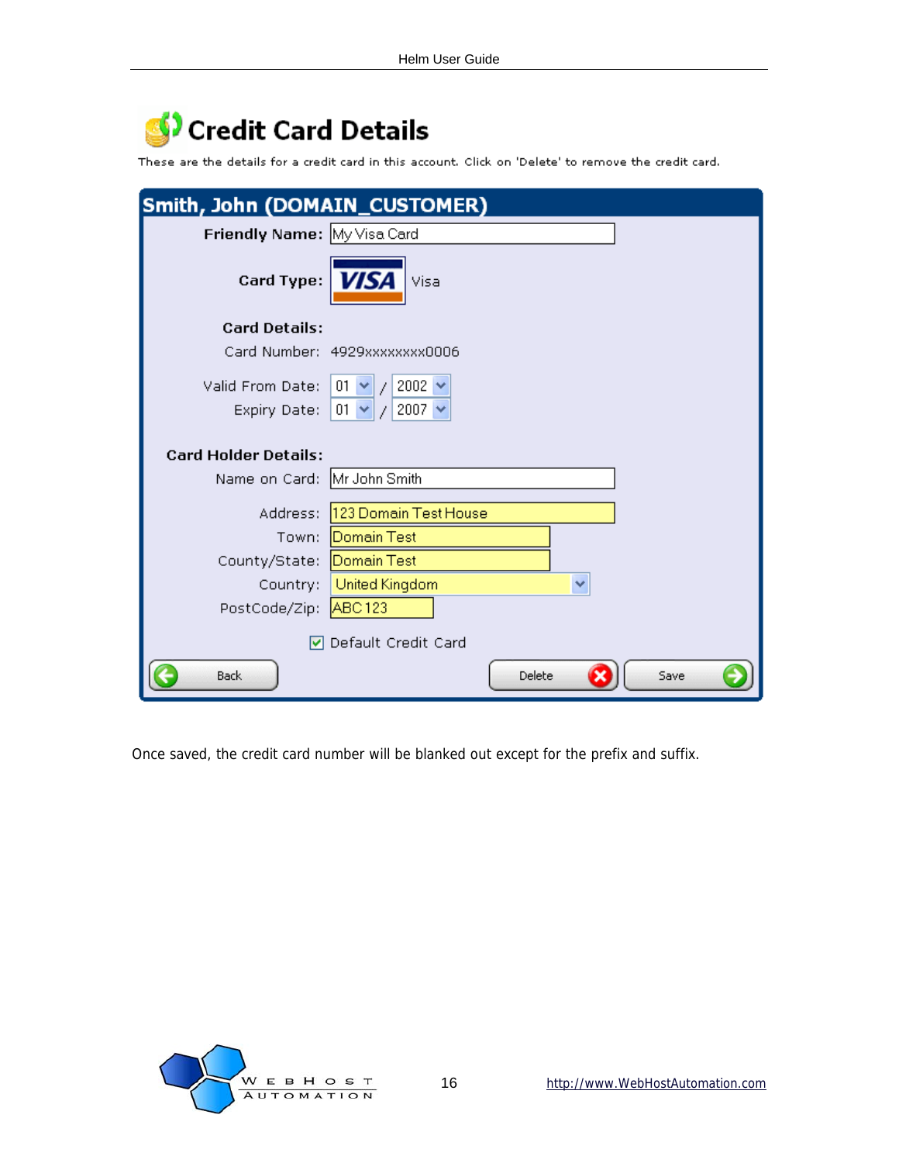## Credit Card Details

These are the details for a credit card in this account. Click on 'Delete' to remove the credit card.

| Smith, John (DOMAIN_CUSTOMER) |                                            |
|-------------------------------|--------------------------------------------|
| Friendly Name: My Visa Card   |                                            |
| Card Type:                    | <b>VISA</b><br>Visa                        |
| <b>Card Details:</b>          |                                            |
|                               | Card Number: 4929xxxxxxxx0006              |
| Valid From Date:              | 2002 $\sim$<br>$01 \times  1 $             |
| Expiry Date:                  | 2007 $\sim$<br>$01 - $<br>$\overline{\mu}$ |
| <b>Card Holder Details:</b>   |                                            |
| Name on Card: Mr John Smith   |                                            |
| Address:                      | 123 Domain Test House                      |
| Town:                         | Domain Test                                |
| County/State:                 | Domain Test                                |
| Country:                      | <b>United Kingdom</b><br>×                 |
| PostCode/Zip: ABC123          |                                            |
|                               | <b>▽</b> Default Credit Card               |
| Back                          | Delete<br>Save                             |

Once saved, the credit card number will be blanked out except for the prefix and suffix.

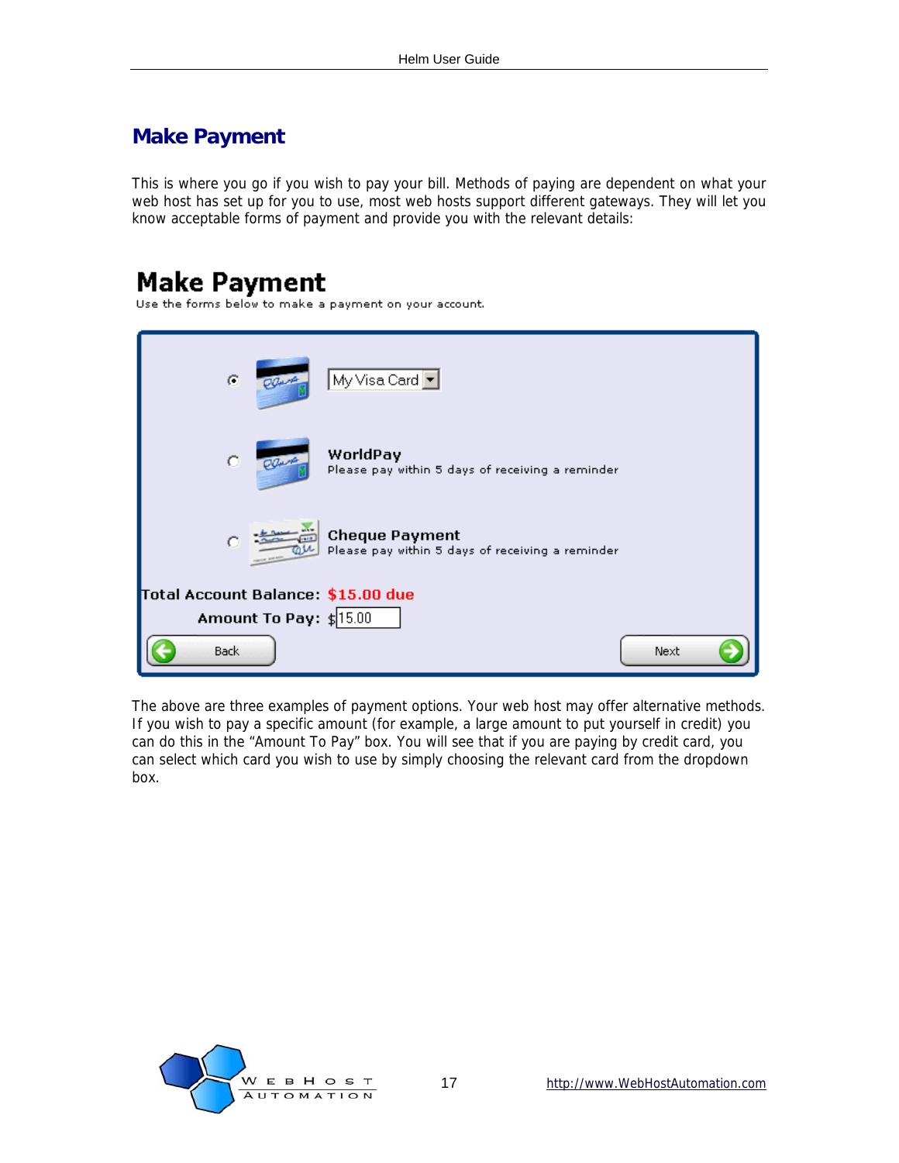### <span id="page-16-0"></span>**Make Payment**

This is where you go if you wish to pay your bill. Methods of paying are dependent on what your web host has set up for you to use, most web hosts support different gateways. They will let you know acceptable forms of payment and provide you with the relevant details:

## **Make Payment**

Use the forms below to make a payment on your account.

| $\bullet$<br>Plant                 | My Visa Card $\boxed{\bullet}$                                            |
|------------------------------------|---------------------------------------------------------------------------|
| $\circ$<br>OQuest                  | WorldPay<br>Please pay within 5 days of receiving a reminder              |
| o                                  | <b>Cheque Payment</b><br>Please pay within 5 days of receiving a reminder |
| Total Account Balance: \$15.00 due |                                                                           |
| Amount To Pay: $\sharp$ 15.00      |                                                                           |
| <b>Back</b>                        | Next                                                                      |

The above are three examples of payment options. Your web host may offer alternative methods. If you wish to pay a specific amount (for example, a large amount to put yourself in credit) you can do this in the "Amount To Pay" box. You will see that if you are paying by credit card, you can select which card you wish to use by simply choosing the relevant card from the dropdown box.

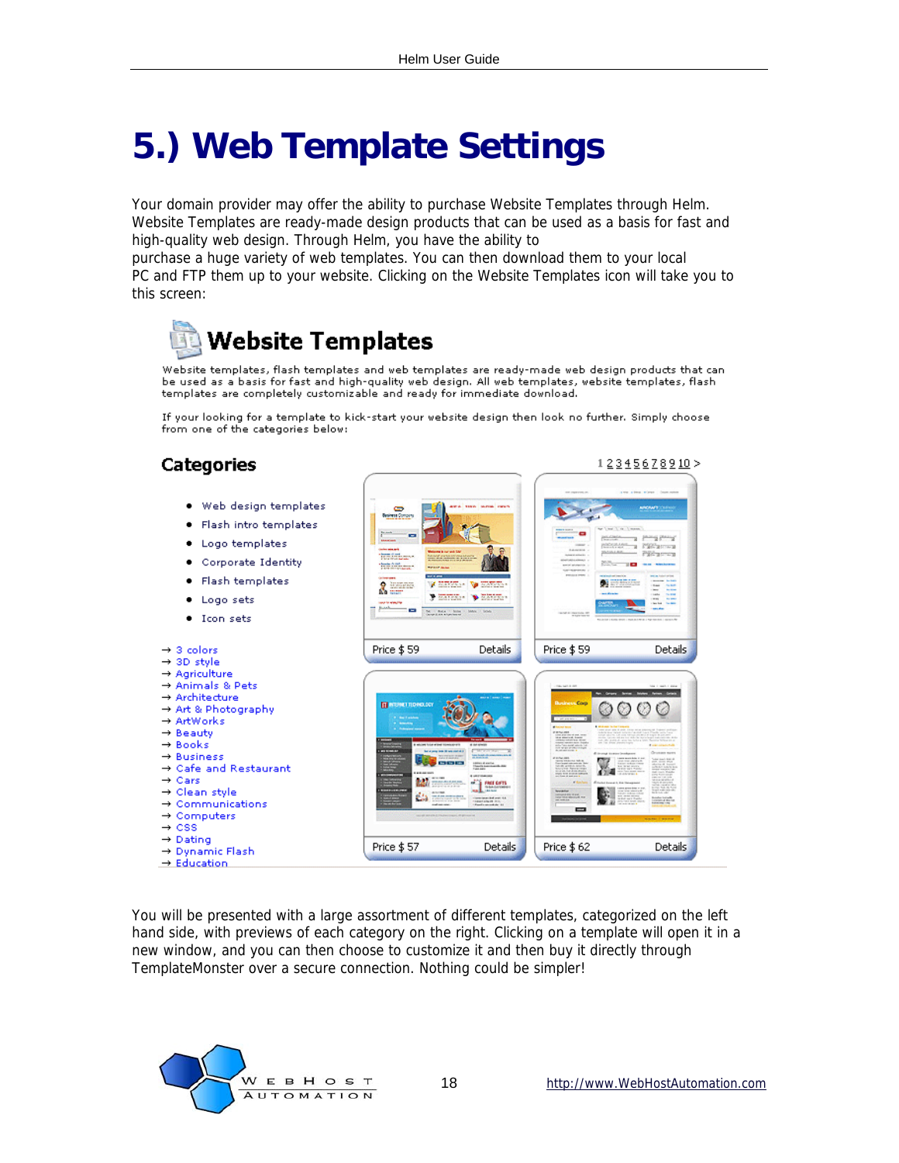## <span id="page-17-0"></span>**5.) Web Template Settings**

Your domain provider may offer the ability to purchase Website Templates through Helm. Website Templates are ready-made design products that can be used as a basis for fast and high-quality web design. Through Helm, you have the ability to

purchase a huge variety of web templates. You can then download them to your local PC and FTP them up to your website. Clicking on the Website Templates icon will take you to this screen:



Website templates, flash templates and web templates are ready-made web design products that can be used as a basis for fast and high-quality veb design. All web templates, website templates, flash templates are completely customizable and ready for immediate download.

If your looking for a template to kick-start your website design then look no further. Simply choose from one of the categories below:

#### **Categories**



You will be presented with a large assortment of different templates, categorized on the left hand side, with previews of each category on the right. Clicking on a template will open it in a new window, and you can then choose to customize it and then buy it directly through TemplateMonster over a secure connection. Nothing could be simpler!



12345678910>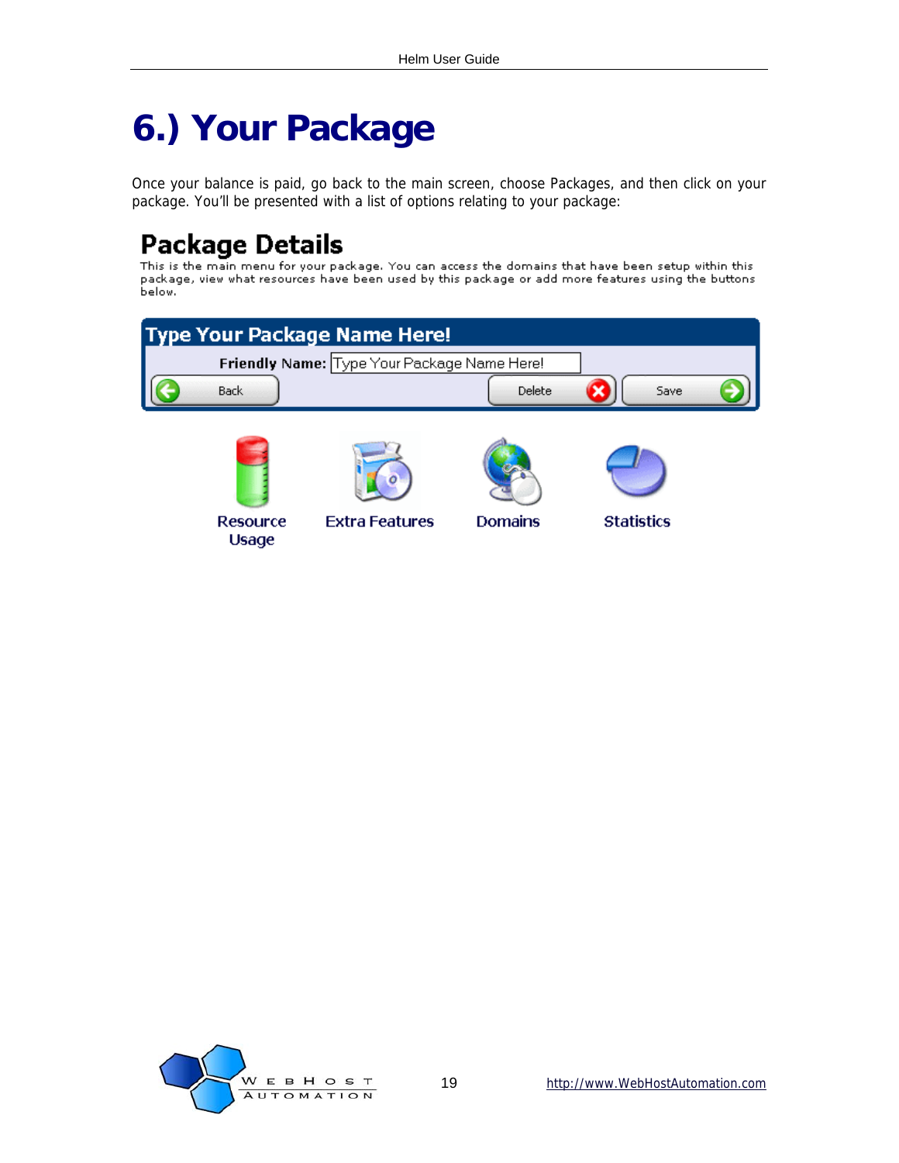## <span id="page-18-0"></span>**6.) Your Package**

Once your balance is paid, go back to the main screen, choose Packages, and then click on your package. You'll be presented with a list of options relating to your package:

## **Package Details**

This is the main menu for your package. You can access the domains that have been setup within this ning to the main mend for your package. Tou can access the domains that have been setup within this<br>package, view what resources have been used by this package or add more features using the buttons<br>below.

|             | <b>Type Your Package Name Here!</b>         |        |      |  |
|-------------|---------------------------------------------|--------|------|--|
|             | Friendly Name: Type Your Package Name Here! |        |      |  |
| <b>Back</b> |                                             | Delete | Save |  |
|             |                                             |        |      |  |
|             |                                             |        |      |  |
|             |                                             |        |      |  |

Resource Usage

**Extra Features** 





```
Statistics
```
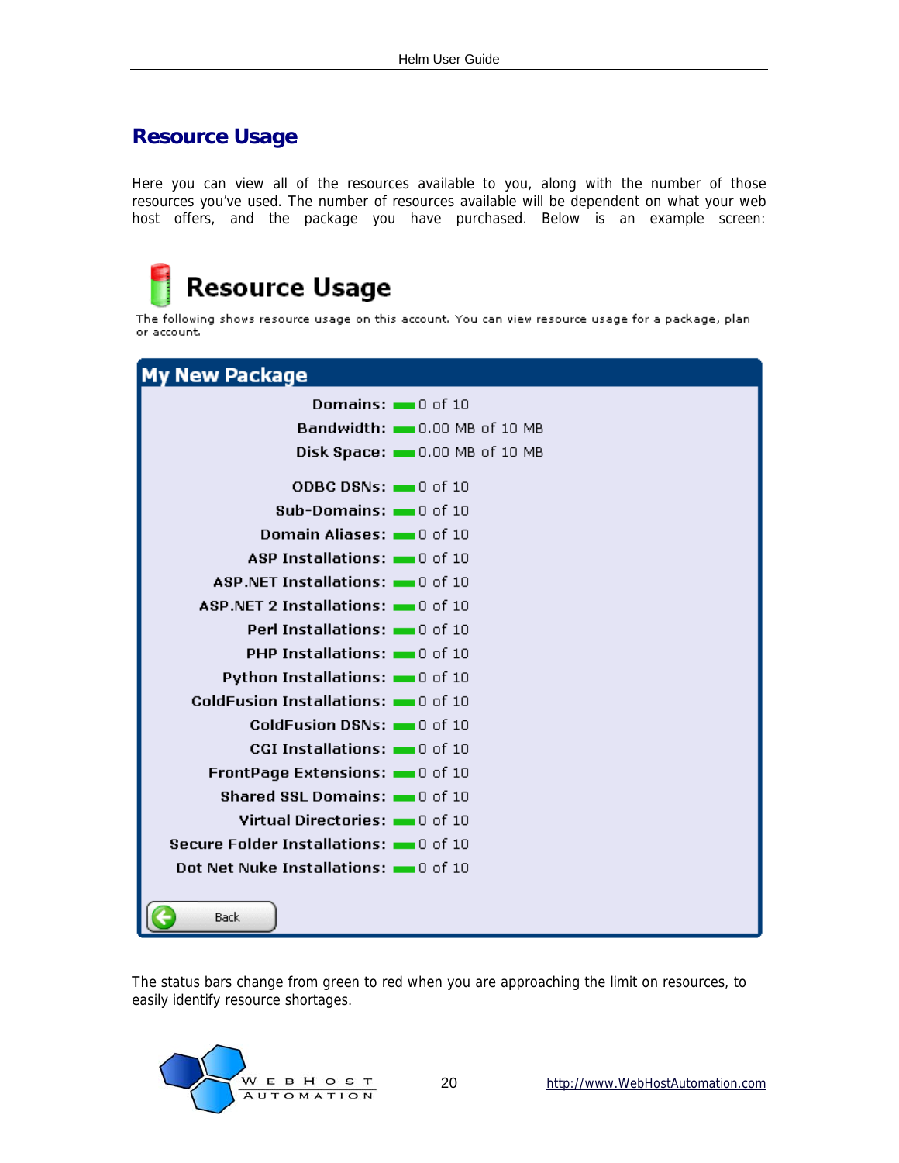### <span id="page-19-0"></span>**Resource Usage**

Here you can view all of the resources available to you, along with the number of those resources you've used. The number of resources available will be dependent on what your web host offers, and the package you have purchased. Below is an example screen:

# Resource Usage

The following shows resource usage on this account. You can view resource usage for a package, plan or account.



The status bars change from green to red when you are approaching the limit on resources, to easily identify resource shortages.

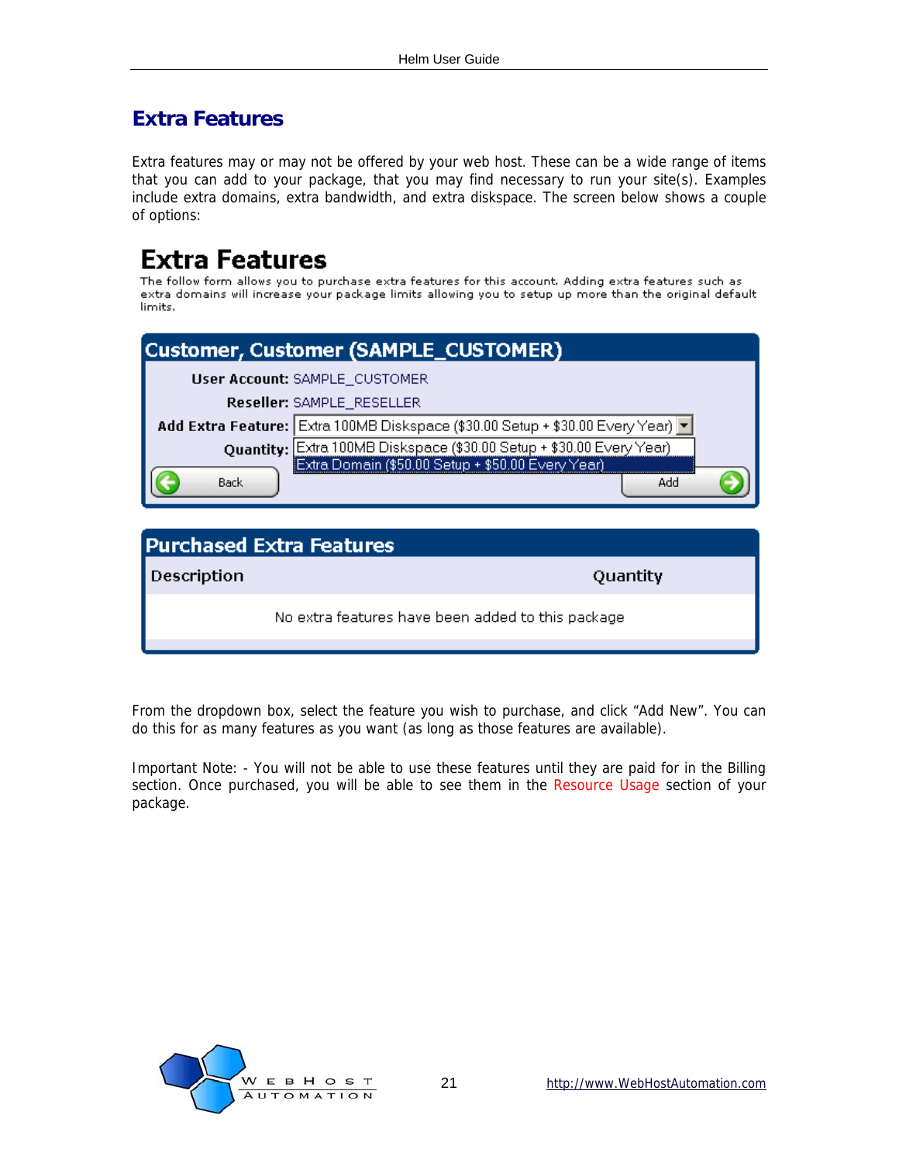### <span id="page-20-0"></span>**Extra Features**

Extra features may or may not be offered by your web host. These can be a wide range of items that you can add to your package, that you may find necessary to run your site(s). Examples include extra domains, extra bandwidth, and extra diskspace. The screen below shows a couple of options:

## **Extra Features**

The follow form allows you to purchase extra features for this account. Adding extra features such as extra domains will increase your package limits allowing you to setup up more than the original default limits.

| Customer, Customer (SAMPLE_CUSTOMER) |                                                                                                                           |     |  |
|--------------------------------------|---------------------------------------------------------------------------------------------------------------------------|-----|--|
|                                      | User Account: SAMPLE_CUSTOMER                                                                                             |     |  |
|                                      | Reseller: SAMPLE_RESELLER                                                                                                 |     |  |
|                                      | Add Extra Feature: Extra 100MB Diskspace (\$30.00 Setup + \$30.00 Every Year) v                                           |     |  |
|                                      | Quantity: Extra 100MB Diskspace (\$30.00 Setup + \$30.00 Every Year)<br>Extra Domain (\$50.00 Setup + \$50.00 Every Year) |     |  |
|                                      |                                                                                                                           |     |  |
| Back                                 |                                                                                                                           | Add |  |
|                                      |                                                                                                                           |     |  |

| <b>Purchased Extra Features</b> |                                                   |  |
|---------------------------------|---------------------------------------------------|--|
| Description                     | Quantity                                          |  |
|                                 | No extra features have been added to this package |  |
|                                 |                                                   |  |

From the dropdown box, select the feature you wish to purchase, and click "Add New". You can do this for as many features as you want (as long as those features are available).

Important Note: - You will not be able to use these features until they are paid for in the Billing section. Once purchased, you will be able to see them in the Resource Usage section of your package.

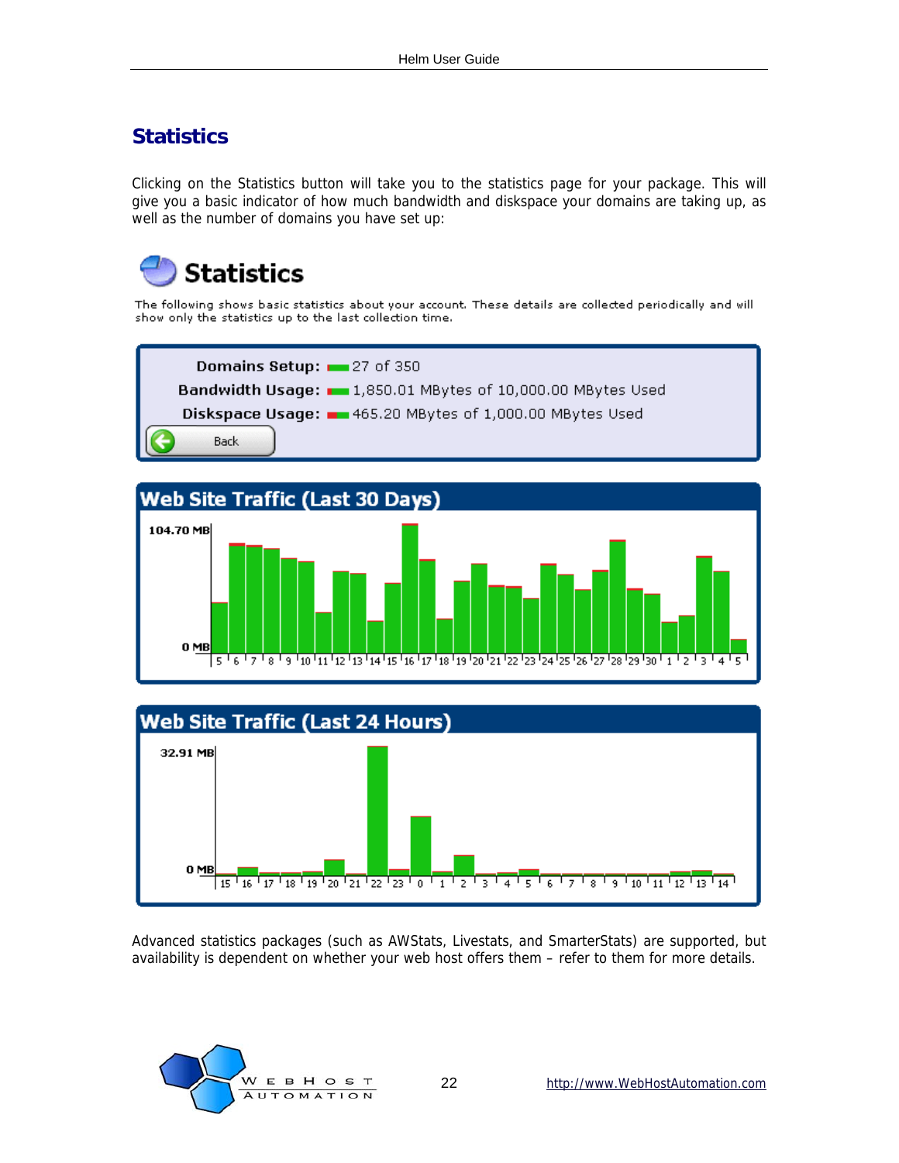### <span id="page-21-0"></span>**Statistics**

Clicking on the Statistics button will take you to the statistics page for your package. This will give you a basic indicator of how much bandwidth and diskspace your domains are taking up, as well as the number of domains you have set up:



The following shows basic statistics about your account. These details are collected periodically and will show only the statistics up to the last collection time.







Advanced statistics packages (such as AWStats, Livestats, and SmarterStats) are supported, but availability is dependent on whether your web host offers them – refer to them for more details.

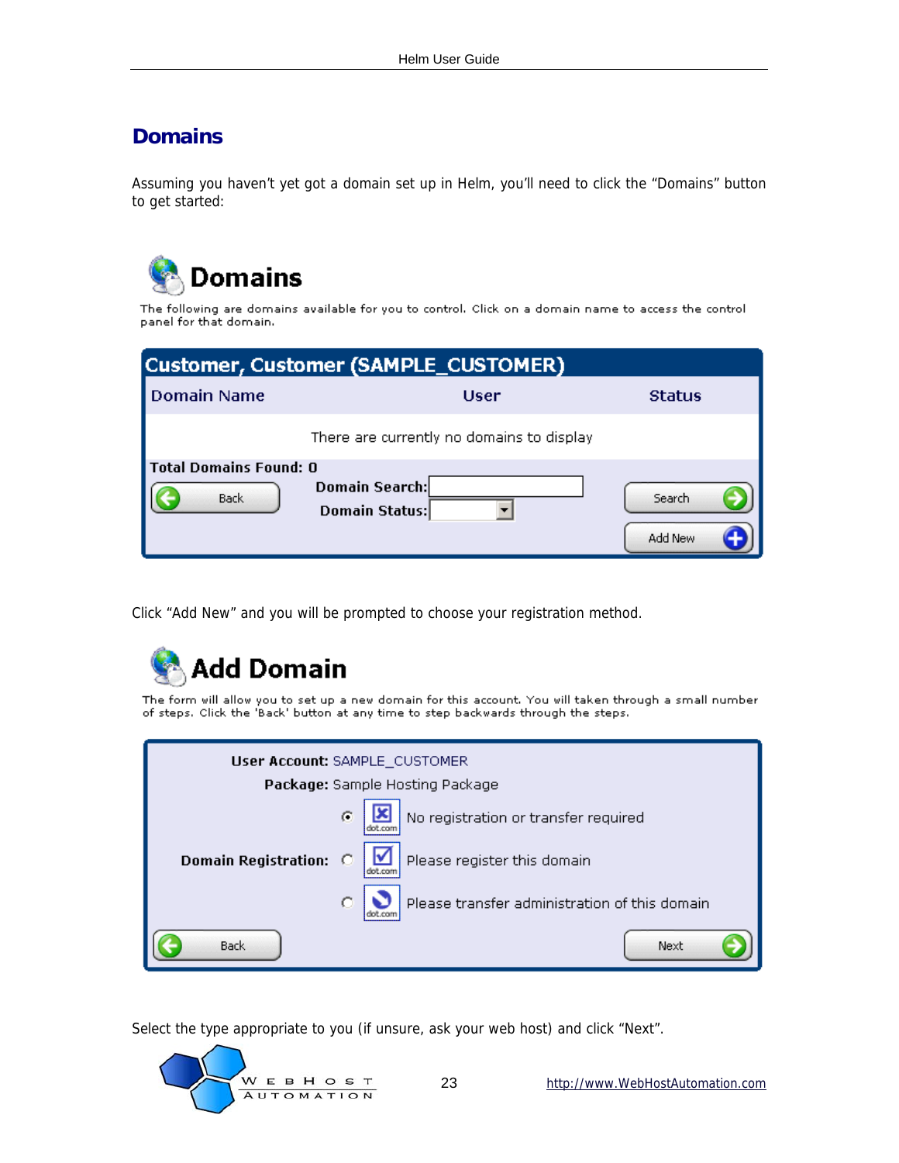### <span id="page-22-0"></span>**Domains**

Assuming you haven't yet got a domain set up in Helm, you'll need to click the "Domains" button to get started:



The following are domains available for you to control. Click on a domain name to access the control panel for that domain.

| Customer, Customer (SAMPLE_CUSTOMER)  |                                           |                   |
|---------------------------------------|-------------------------------------------|-------------------|
| <b>Domain Name</b>                    | User                                      | <b>Status</b>     |
|                                       | There are currently no domains to display |                   |
| <b>Total Domains Found: 0</b><br>Back | Domain Search:<br>Domain Status:          | Search<br>Add New |

Click "Add New" and you will be prompted to choose your registration method.



The form will allow you to set up a new domain for this account. You will taken through a small number<br>of steps. Click the 'Back' button at any time to step backwards through the steps.

| User Account: SAMPLE_CUSTOMER |                                               |  |
|-------------------------------|-----------------------------------------------|--|
|                               | Package: Sample Hosting Package               |  |
|                               | No registration or transfer required<br>C     |  |
| <b>Domain Registration:</b>   | Please register this domain                   |  |
|                               | Please transfer administration of this domain |  |
| Back                          | Next                                          |  |

Select the type appropriate to you (if unsure, ask your web host) and click "Next".

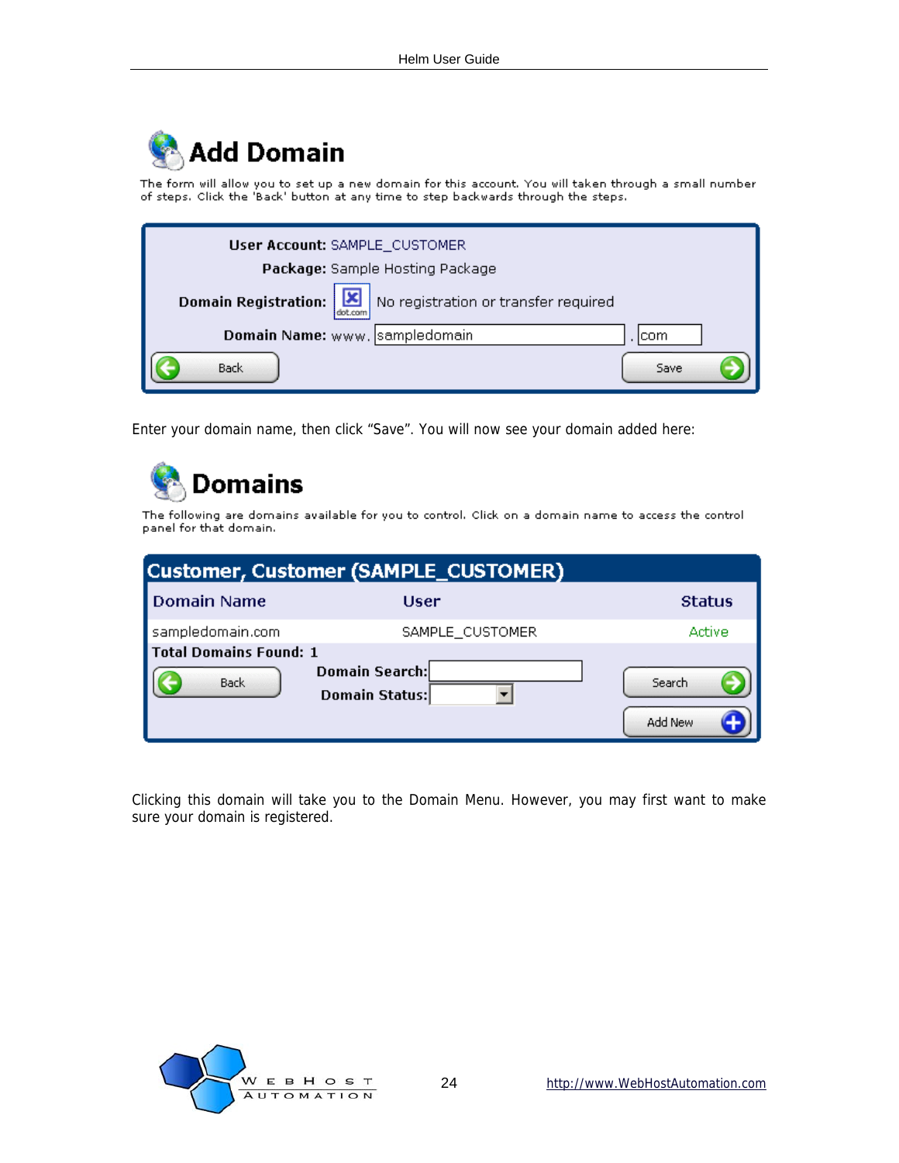

The form will allow you to set up a new domain for this account. You will taken through a small number of steps. Click the 'Back' button at any time to step backwards through the steps.

| User Account: SAMPLE_CUSTOMER                                           |
|-------------------------------------------------------------------------|
| Package: Sample Hosting Package                                         |
| Domain Registration:<br>No registration or transfer required<br>dot con |
| Domain Name: www. sampledomain<br>com                                   |
| Back<br>Save                                                            |

Enter your domain name, then click "Save". You will now see your domain added here:



The following are domains available for you to control. Click on a domain name to access the control panel for that domain.

| <b>Customer, Customer (SAMPLE_CUSTOMER)</b>  |                                         |                   |
|----------------------------------------------|-----------------------------------------|-------------------|
| Domain Name                                  | User                                    | <b>Status</b>     |
| sampledomain.com                             | SAMPLE CUSTOMER                         | Active            |
| <b>Total Domains Found: 1</b><br><b>Back</b> | <b>Domain Search:</b><br>Domain Status: | Search<br>Add New |

Clicking this domain will take you to the Domain Menu. However, you may first want to make sure your domain is registered.

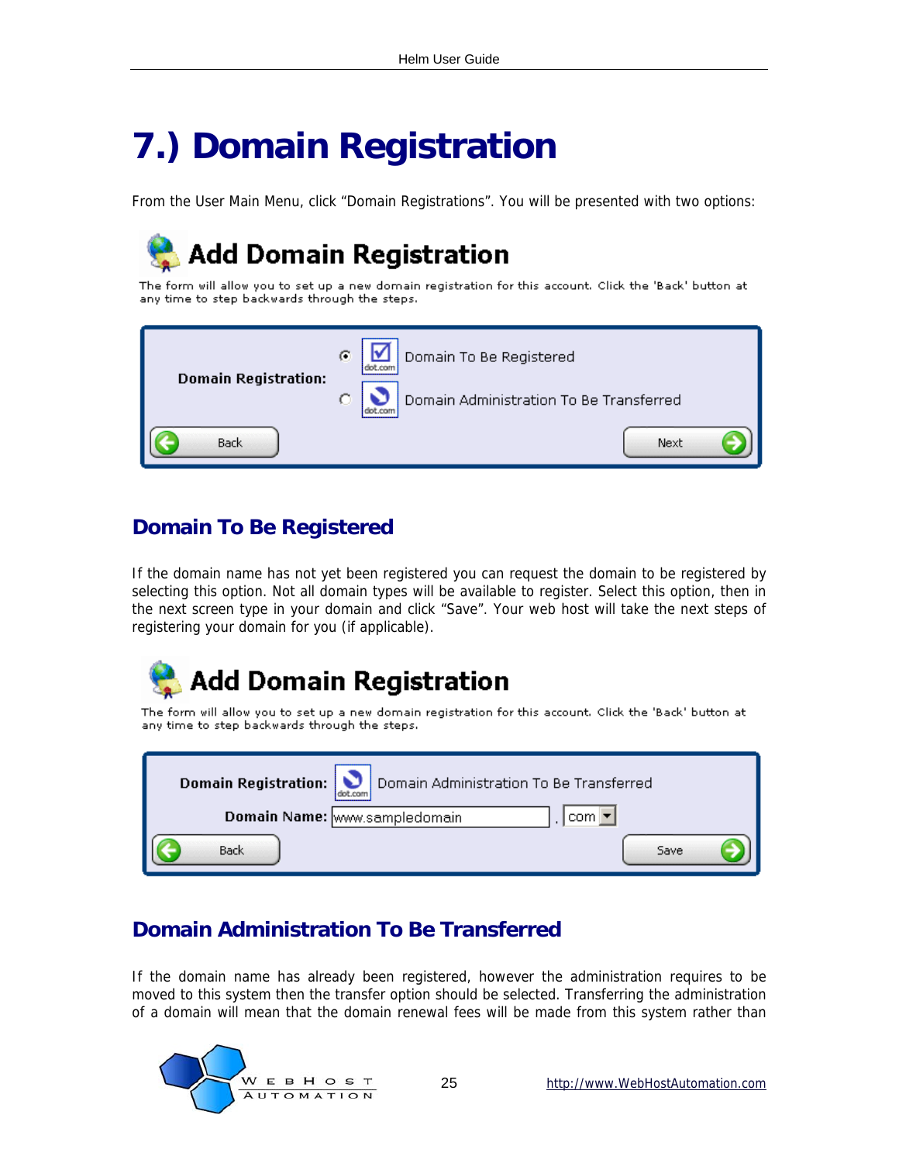## <span id="page-24-0"></span>**7.) Domain Registration**

From the User Main Menu, click "Domain Registrations". You will be presented with two options:

## **Add Domain Registration**

The form will allow you to set up a new domain registration for this account. Click the 'Back' button at any time to step backwards through the steps.



### **Domain To Be Registered**

If the domain name has not yet been registered you can request the domain to be registered by selecting this option. Not all domain types will be available to register. Select this option, then in the next screen type in your domain and click "Save". Your web host will take the next steps of registering your domain for you (if applicable).

## **Add Domain Registration**

The form will allow you to set up a new domain registration for this account. Click the 'Back' button at any time to step backwards through the steps.

| Domain Registration:<br>Domain Administration To Be Transferred<br>dot com |      |
|----------------------------------------------------------------------------|------|
| Domain Name: www.sampledomain<br>com l                                     |      |
| Back                                                                       | Save |

### **Domain Administration To Be Transferred**

If the domain name has already been registered, however the administration requires to be moved to this system then the transfer option should be selected. Transferring the administration of a domain will mean that the domain renewal fees will be made from this system rather than

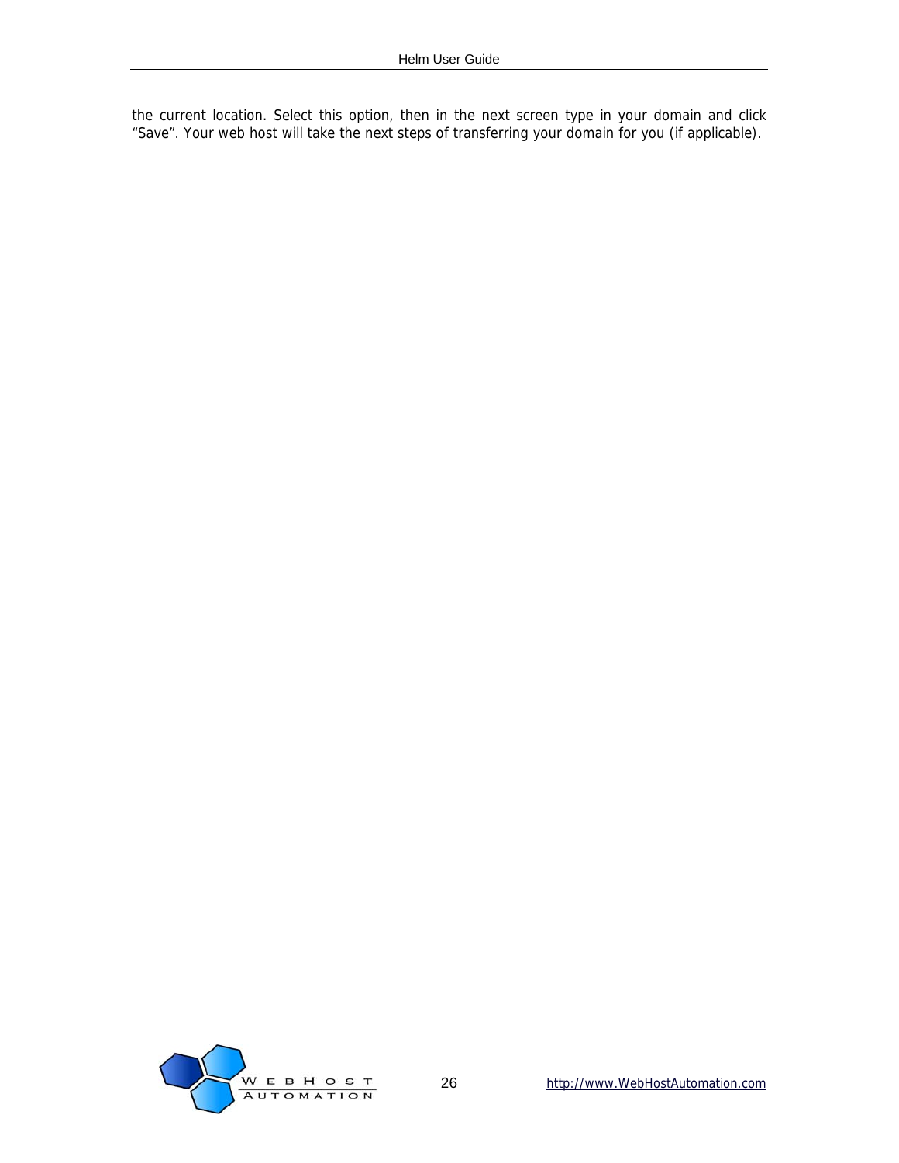the current location. Select this option, then in the next screen type in your domain and click "Save". Your web host will take the next steps of transferring your domain for you (if applicable).

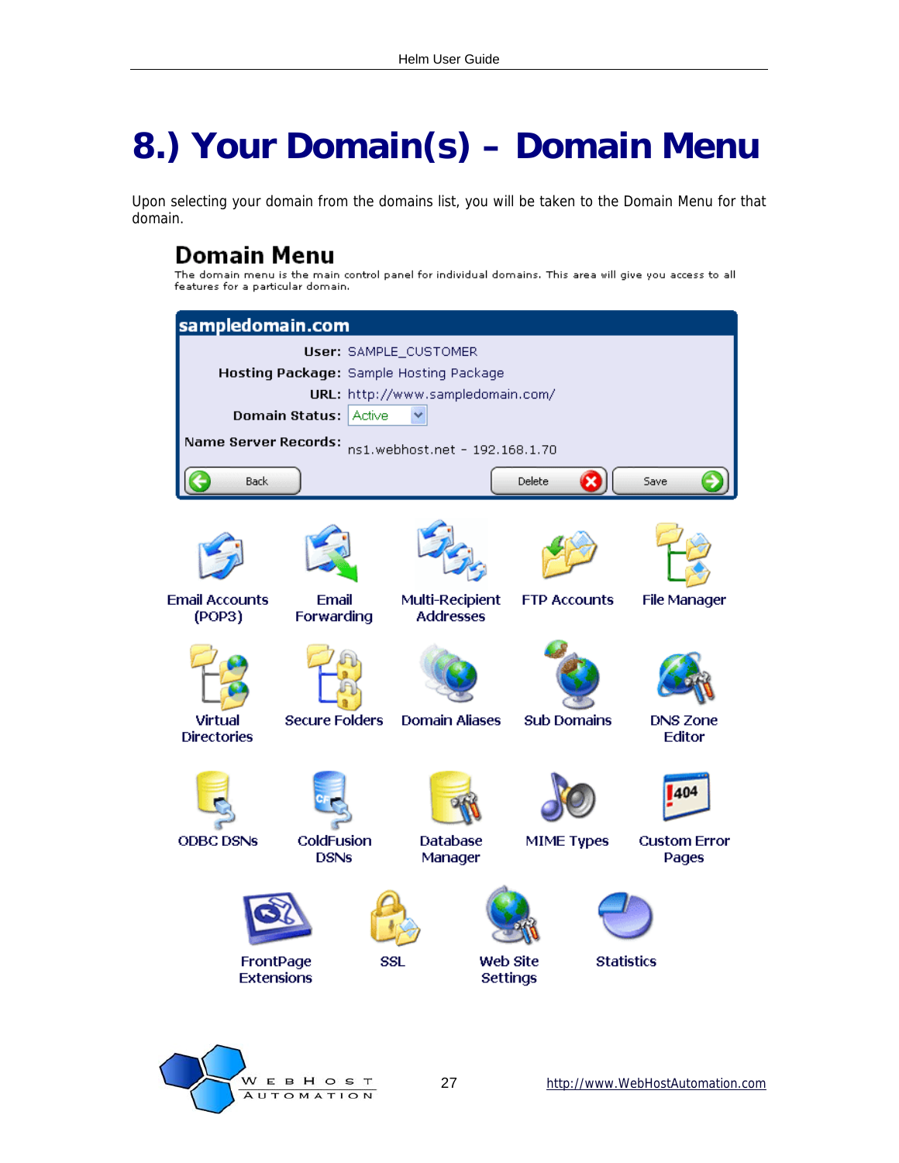## <span id="page-26-0"></span>**8.) Your Domain(s) – Domain Menu**

Upon selecting your domain from the domains list, you will be taken to the Domain Menu for that domain.

## Domain Menu

The domain menu is the main control panel for individual domains. This area will give you access to all features for a particular domain.



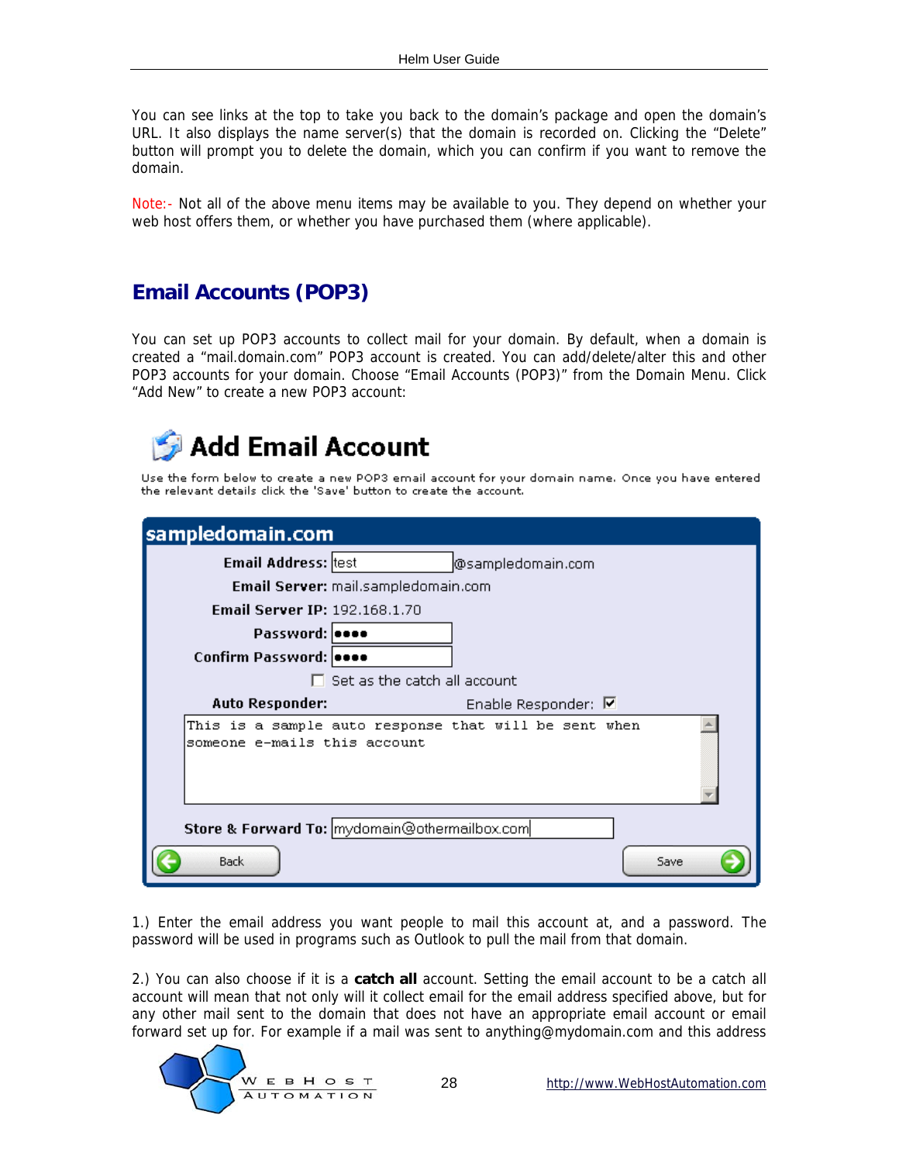<span id="page-27-0"></span>You can see links at the top to take you back to the domain's package and open the domain's URL. It also displays the name server(s) that the domain is recorded on. Clicking the "Delete" button will prompt you to delete the domain, which you can confirm if you want to remove the domain.

Note:- Not all of the above menu items may be available to you. They depend on whether your web host offers them, or whether you have purchased them (where applicable).

### **Email Accounts (POP3)**

You can set up POP3 accounts to collect mail for your domain. By default, when a domain is created a "mail.domain.com" POP3 account is created. You can add/delete/alter this and other POP3 accounts for your domain. Choose "Email Accounts (POP3)" from the Domain Menu. Click "Add New" to create a new POP3 account:



Use the form below to create a new POP3 email account for your domain name. Once you have entered the relevant details dick the 'Save' button to create the account.

| sampledomain.com                     |                                                       |
|--------------------------------------|-------------------------------------------------------|
| <b>Email Address:</b> test           | @sampledomain.com                                     |
|                                      | Email Server: mail.sampledomain.com                   |
| <b>Email Server IP: 192.168.1.70</b> |                                                       |
| Password:   eeee                     |                                                       |
| Confirm Password: 0000               |                                                       |
|                                      | $\Box$ Set as the catch all account                   |
| <b>Auto Responder:</b>               | Enable Responder: M                                   |
| someone e-mails this account         | This is a sample auto response that will be sent when |
|                                      | Store & Forward To: mydomain@othermailbox.com         |
| <b>Back</b>                          | Save                                                  |

1.) Enter the email address you want people to mail this account at, and a password. The password will be used in programs such as Outlook to pull the mail from that domain.

2.) You can also choose if it is a **catch all** account. Setting the email account to be a catch all account will mean that not only will it collect email for the email address specified above, but for any other mail sent to the domain that does not have an appropriate email account or email forward set up for. For example if a mail was sent to anything@mydomain.com and this address

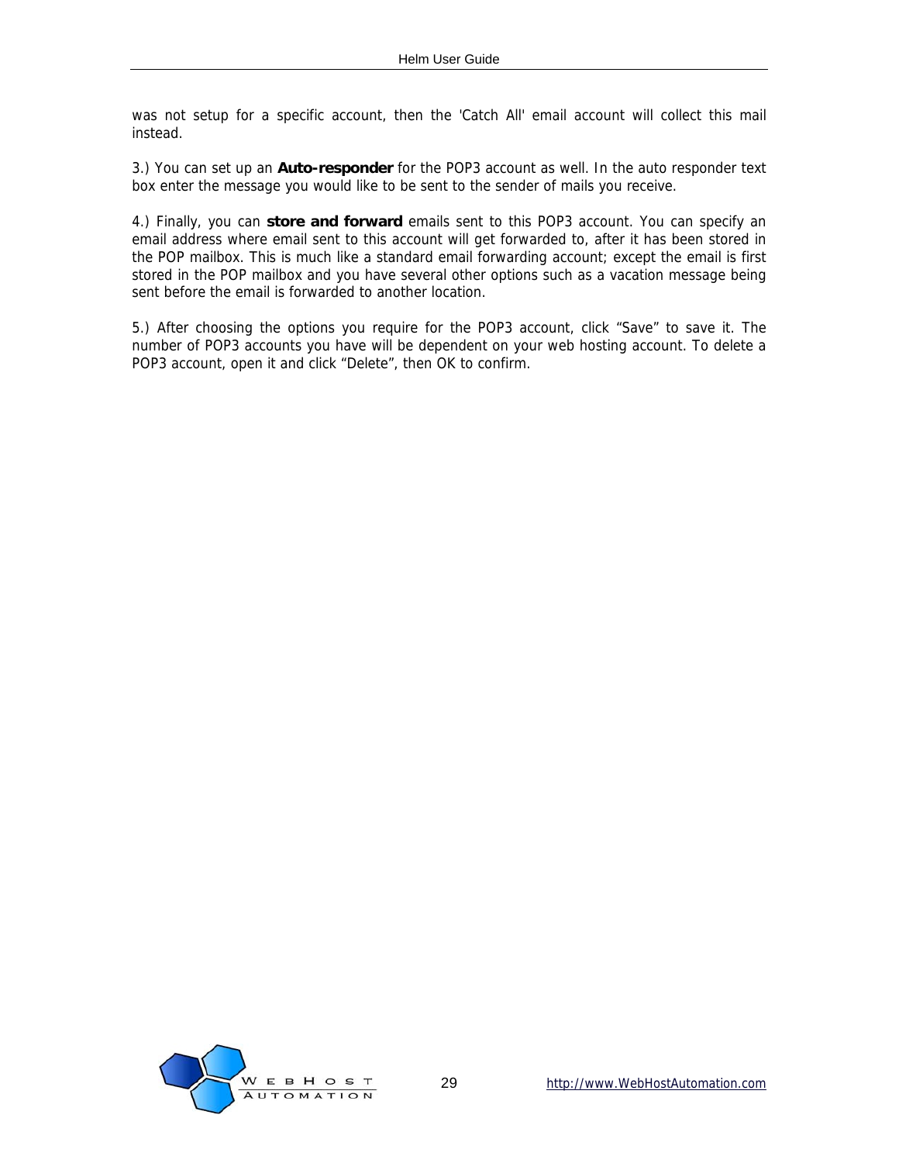was not setup for a specific account, then the 'Catch All' email account will collect this mail instead.

3.) You can set up an **Auto-responder** for the POP3 account as well. In the auto responder text box enter the message you would like to be sent to the sender of mails you receive.

4.) Finally, you can **store and forward** emails sent to this POP3 account. You can specify an email address where email sent to this account will get forwarded to, after it has been stored in the POP mailbox. This is much like a standard email forwarding account; except the email is first stored in the POP mailbox and you have several other options such as a vacation message being sent before the email is forwarded to another location.

5.) After choosing the options you require for the POP3 account, click "Save" to save it. The number of POP3 accounts you have will be dependent on your web hosting account. To delete a POP3 account, open it and click "Delete", then OK to confirm.

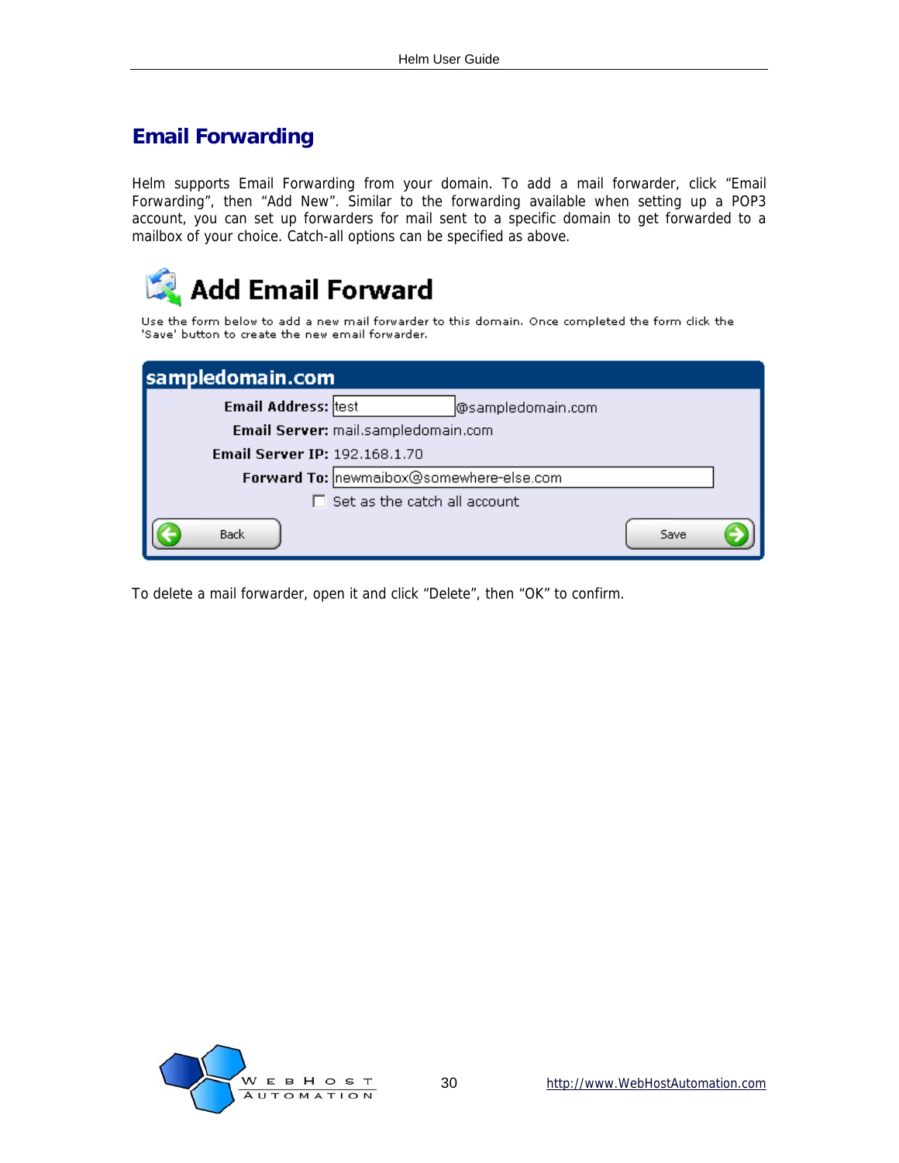### <span id="page-29-0"></span>**Email Forwarding**

Helm supports Email Forwarding from your domain. To add a mail forwarder, click "Email Forwarding", then "Add New". Similar to the forwarding available when setting up a POP3 account, you can set up forwarders for mail sent to a specific domain to get forwarded to a mailbox of your choice. Catch-all options can be specified as above.



Use the form below to add a new mail forwarder to this domain. Once completed the form dick the 'Save' button to create the new email forwarder.

| sampledomain.com                     |                                          |      |
|--------------------------------------|------------------------------------------|------|
| <b>Email Address:</b> test           | @sampledomain.com                        |      |
|                                      | Email Server: mail.sampledomain.com      |      |
| <b>Email Server IP: 192.168.1.70</b> |                                          |      |
|                                      | Forward To: newmaibox@somewhere-else.com |      |
|                                      | Set as the catch all account             |      |
| <b>Back</b>                          |                                          | Save |

To delete a mail forwarder, open it and click "Delete", then "OK" to confirm.

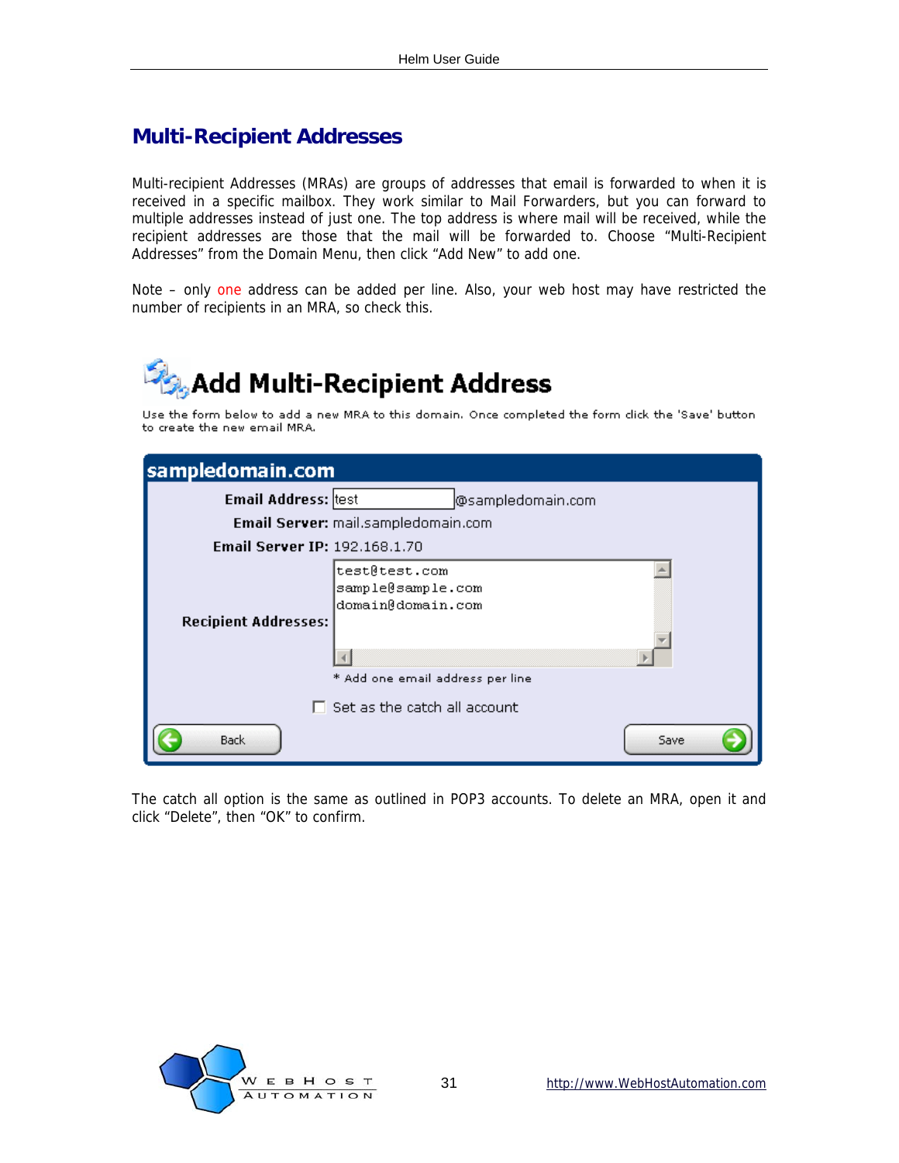### <span id="page-30-0"></span>**Multi-Recipient Addresses**

Multi-recipient Addresses (MRAs) are groups of addresses that email is forwarded to when it is received in a specific mailbox. They work similar to Mail Forwarders, but you can forward to multiple addresses instead of just one. The top address is where mail will be received, while the recipient addresses are those that the mail will be forwarded to. Choose "Multi-Recipient Addresses" from the Domain Menu, then click "Add New" to add one.

Note – only one address can be added per line. Also, your web host may have restricted the number of recipients in an MRA, so check this.



Use the form below to add a new MRA to this domain. Once completed the form click the 'Save' button to create the new email MRA.

| sampledomain.com              |                                                                                             |
|-------------------------------|---------------------------------------------------------------------------------------------|
| Email Address: test           | @sampledomain.com                                                                           |
|                               | Email Server: mail.sampledomain.com                                                         |
| Email Server IP: 192.168.1.70 |                                                                                             |
| <b>Recipient Addresses:</b>   | test@test.com<br>sample@sample.com<br>domain@domain.com<br>* Add one email address per line |
|                               | Set as the catch all account                                                                |
| <b>Back</b>                   | Save                                                                                        |

The catch all option is the same as outlined in POP3 accounts. To delete an MRA, open it and click "Delete", then "OK" to confirm.

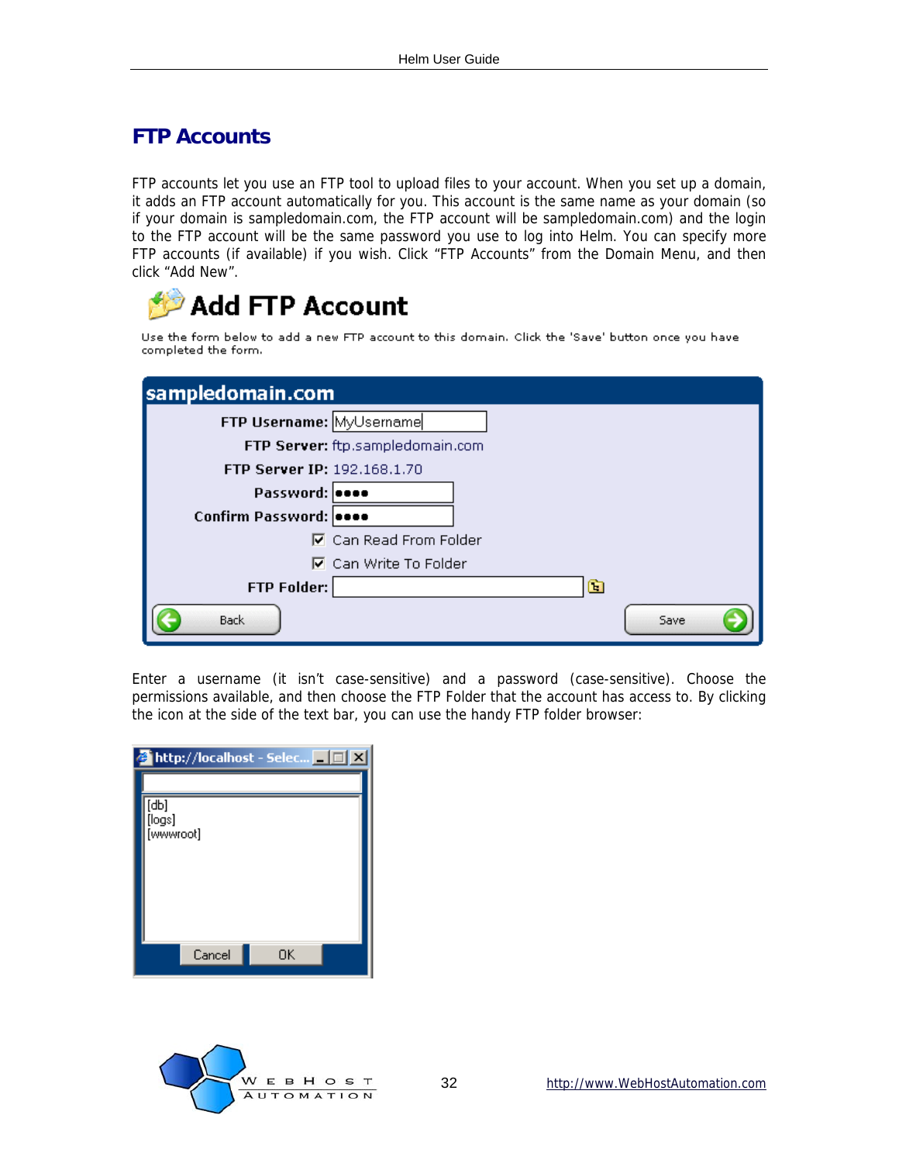### <span id="page-31-0"></span>**FTP Accounts**

FTP accounts let you use an FTP tool to upload files to your account. When you set up a domain, it adds an FTP account automatically for you. This account is the same name as your domain (so if your domain is sampledomain.com, the FTP account will be sampledomain.com) and the login to the FTP account will be the same password you use to log into Helm. You can specify more FTP accounts (if available) if you wish. Click "FTP Accounts" from the Domain Menu, and then click "Add New".



Use the form below to add a new FTP account to this domain. Click the 'Save' button once you have completed the form.

| sampledomain.com            |                                  |
|-----------------------------|----------------------------------|
| FTP Username: MyUsername    |                                  |
|                             | FTP Server: ftp.sampledomain.com |
| FTP Server IP: 192.168.1.70 |                                  |
| Password:                   |                                  |
| Confirm Password: 0000      |                                  |
|                             | <b>▽</b> Can Read From Folder    |
|                             | <b>☑</b> Can Write To Folder     |
| <b>FTP Folder:</b>          | œ                                |
| <b>Back</b>                 | Save                             |

Enter a username (it isn't case-sensitive) and a password (case-sensitive). Choose the permissions available, and then choose the FTP Folder that the account has access to. By clicking the icon at the side of the text bar, you can use the handy FTP folder browser:

|                             | http://localhost - Selec   _   _   X |
|-----------------------------|--------------------------------------|
|                             |                                      |
| [db]<br>[logs]<br>[wwwroot] |                                      |
|                             |                                      |
|                             |                                      |
|                             |                                      |
| Cancel                      | OK                                   |

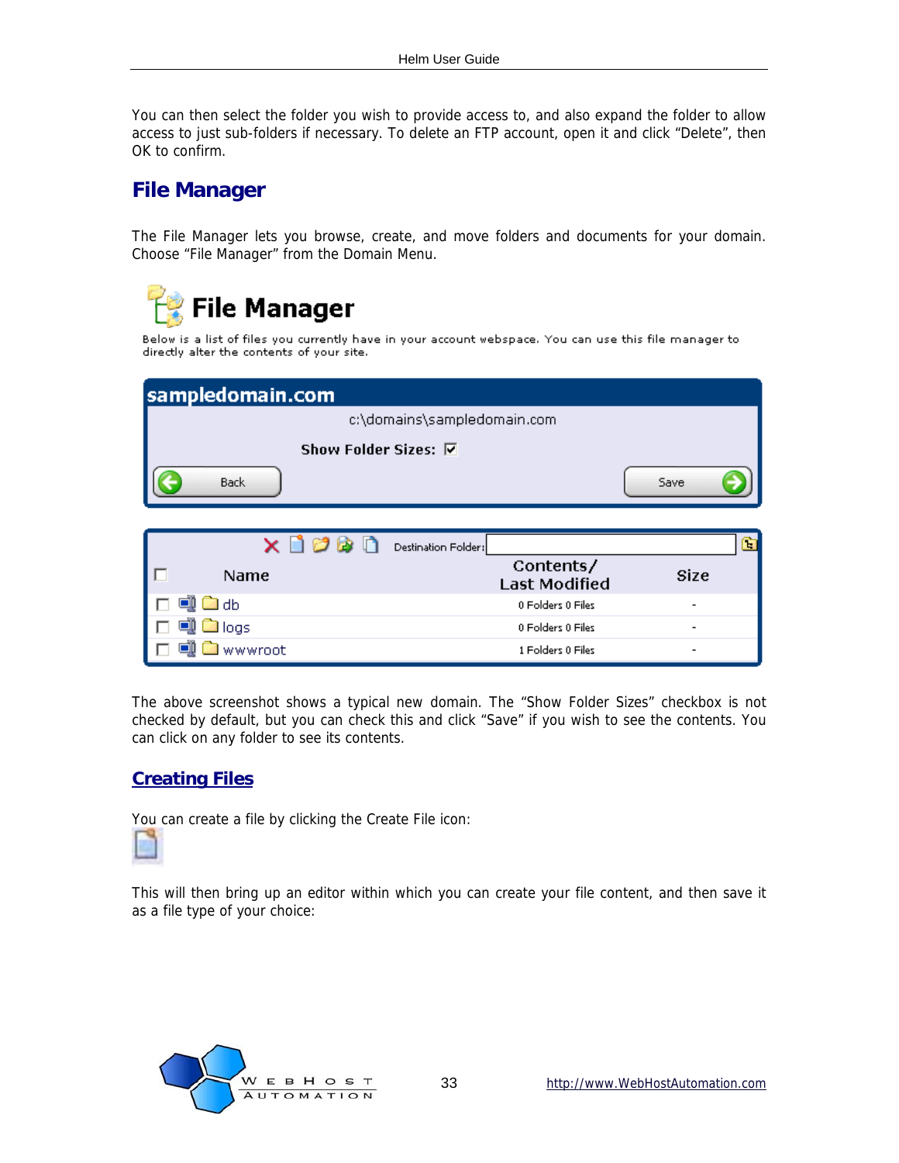<span id="page-32-0"></span>You can then select the folder you wish to provide access to, and also expand the folder to allow access to just sub-folders if necessary. To delete an FTP account, open it and click "Delete", then OK to confirm.

#### **File Manager**

The File Manager lets you browse, create, and move folders and documents for your domain. Choose "File Manager" from the Domain Menu.

**File Manager** Below is a list of files you currently have in your account webspace. You can use this file manager to directly alter the contents of your site. sampledomain.com c:\domains\sampledomain.com Show Folder Sizes: **▽** Back Save

|             | Destination Folder:               |                          |
|-------------|-----------------------------------|--------------------------|
| <b>Name</b> | Contents/<br><b>Last Modified</b> | Size                     |
| l db        | 0 Folders 0 Files                 | $\overline{\phantom{0}}$ |
| llogs       | 0 Folders 0 Files                 | $\overline{\phantom{a}}$ |
| wwwroot     | 1 Folders 0 Files                 | $\overline{\phantom{0}}$ |

The above screenshot shows a typical new domain. The "Show Folder Sizes" checkbox is not checked by default, but you can check this and click "Save" if you wish to see the contents. You can click on any folder to see its contents.

#### **Creating Files**

You can create a file by clicking the Create File icon:



This will then bring up an editor within which you can create your file content, and then save it as a file type of your choice:

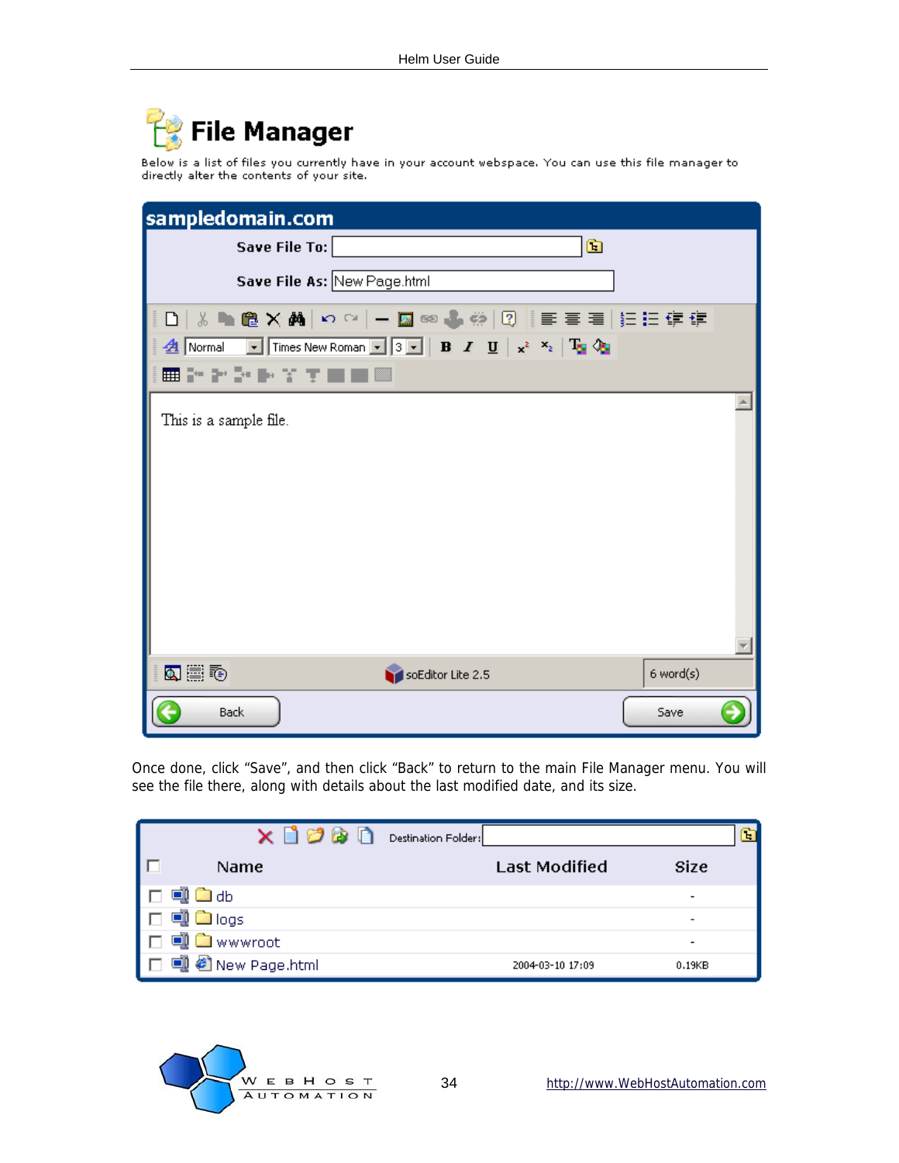

Below is a list of files you currently have in your account webspace. You can use this file manager to directly alter the contents of your site.

| sampledomain.com                                                                                                                                      |  |
|-------------------------------------------------------------------------------------------------------------------------------------------------------|--|
| $\Box$<br>Save File To:                                                                                                                               |  |
| Save File As: New Page.html                                                                                                                           |  |
| D│☆▶●×▲│○○│─■◎◆※│②│ 青春君 扫扫信律                                                                                                                          |  |
| <b>4</b> Normal <b>v</b> Times New Roman <b>v</b> 3 <b>v B</b> $I$ <b>U</b> $\mathbf{x}^2$ <b>x</b> <sub>2</sub> $\mathbf{T}_2$ <b>l</b> <sub>3</sub> |  |
| ▦▞▞▞▶ゞτ■■▩                                                                                                                                            |  |
| This is a sample file.                                                                                                                                |  |
|                                                                                                                                                       |  |
| 医震颤<br>6 word(s)<br>soEditor Lite 2.5                                                                                                                 |  |
| <b>Back</b><br>Save                                                                                                                                   |  |

Once done, click "Save", and then click "Back" to return to the main File Manager menu. You will see the file there, along with details about the last modified date, and its size.

| つば<br>T.                  | Destination Folder: |                      | H                        |
|---------------------------|---------------------|----------------------|--------------------------|
| Name                      |                     | <b>Last Modified</b> | <b>Size</b>              |
| l. db                     |                     |                      | $\overline{\phantom{a}}$ |
| <b>Ca</b> logs            |                     |                      | ٠                        |
| wwwroot                   |                     |                      | $\overline{\phantom{0}}$ |
| New Page.html<br>$\Box$ l |                     | 2004-03-10 17:09     | 0.19 <sub>K</sub> B      |

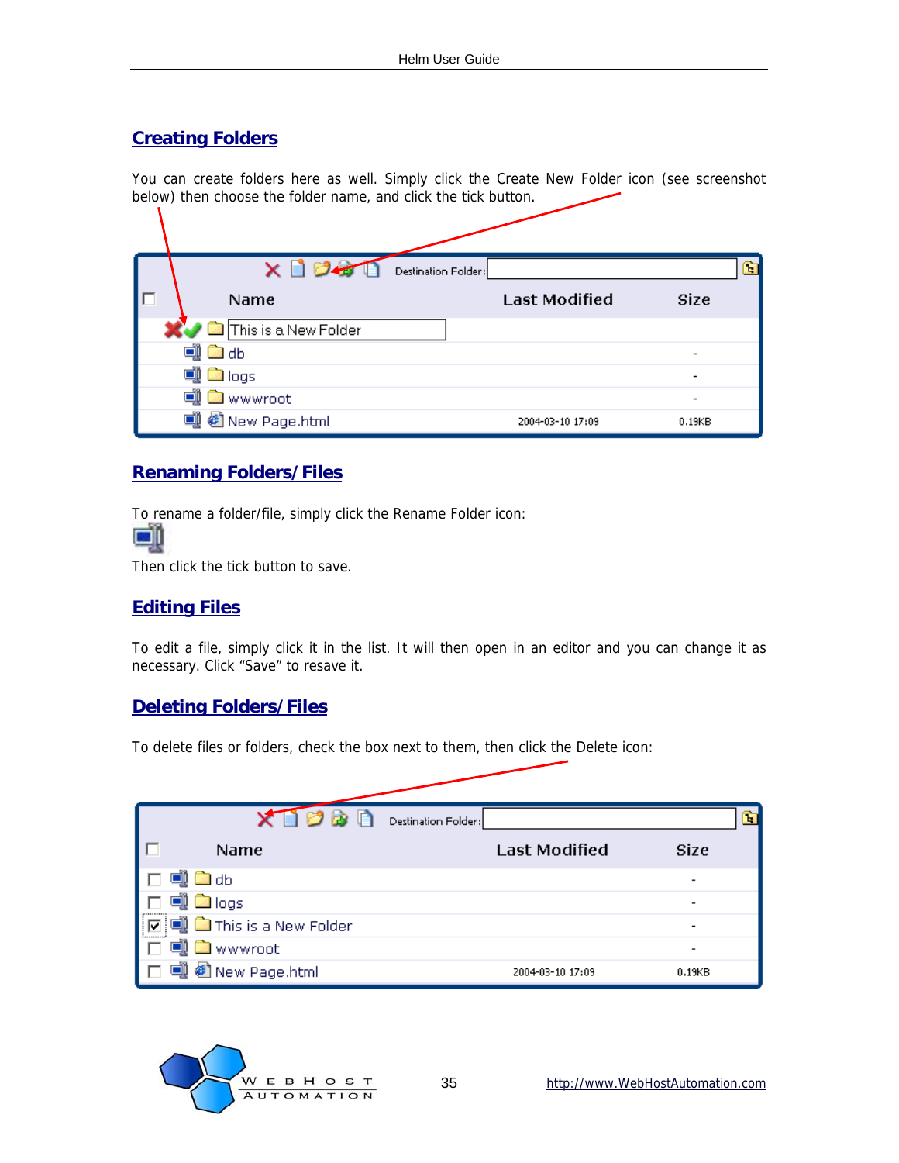#### **Creating Folders**

 $\mathbf{I}$ 

You can create folders here as well. Simply click the Create New Folder icon (see screenshot below) then choose the folder name, and click the tick button.

|   | $\times$ $\Gamma$    | Destination Folder: |                      |                          | ъ |
|---|----------------------|---------------------|----------------------|--------------------------|---|
| ш | Name                 |                     | <b>Last Modified</b> | Size                     |   |
|   | This is a New Folder |                     |                      |                          |   |
|   | oi <b>b</b> odb      |                     |                      |                          |   |
|   | on a logs            |                     |                      |                          |   |
|   | <b>Ea</b> wwwroot    |                     |                      | $\overline{\phantom{a}}$ |   |
|   | di @ New Page.html   |                     | 2004-03-10 17:09     | 0.19 <sub>K</sub> B      |   |

#### **Renaming Folders/Files**

To rename a folder/file, simply click the Rename Folder icon: lse ill

Then click the tick button to save.

#### **Editing Files**

To edit a file, simply click it in the list. It will then open in an editor and you can change it as necessary. Click "Save" to resave it.

#### **Deleting Folders/Files**

To delete files or folders, check the box next to them, then click the Delete icon:

| Нù                         | Destination Folder:  | m                        |
|----------------------------|----------------------|--------------------------|
| Name                       | <b>Last Modified</b> | Size                     |
| db                         |                      | ۰                        |
| <u>े logs</u>              |                      | $\overline{\phantom{0}}$ |
| This is a New Folder       |                      | $\overline{a}$           |
| wwwroot                    |                      | $\overline{\phantom{a}}$ |
| <sup>6</sup> New Page.html | 2004-03-10 17:09     | 0.19 <sub>K</sub> B      |

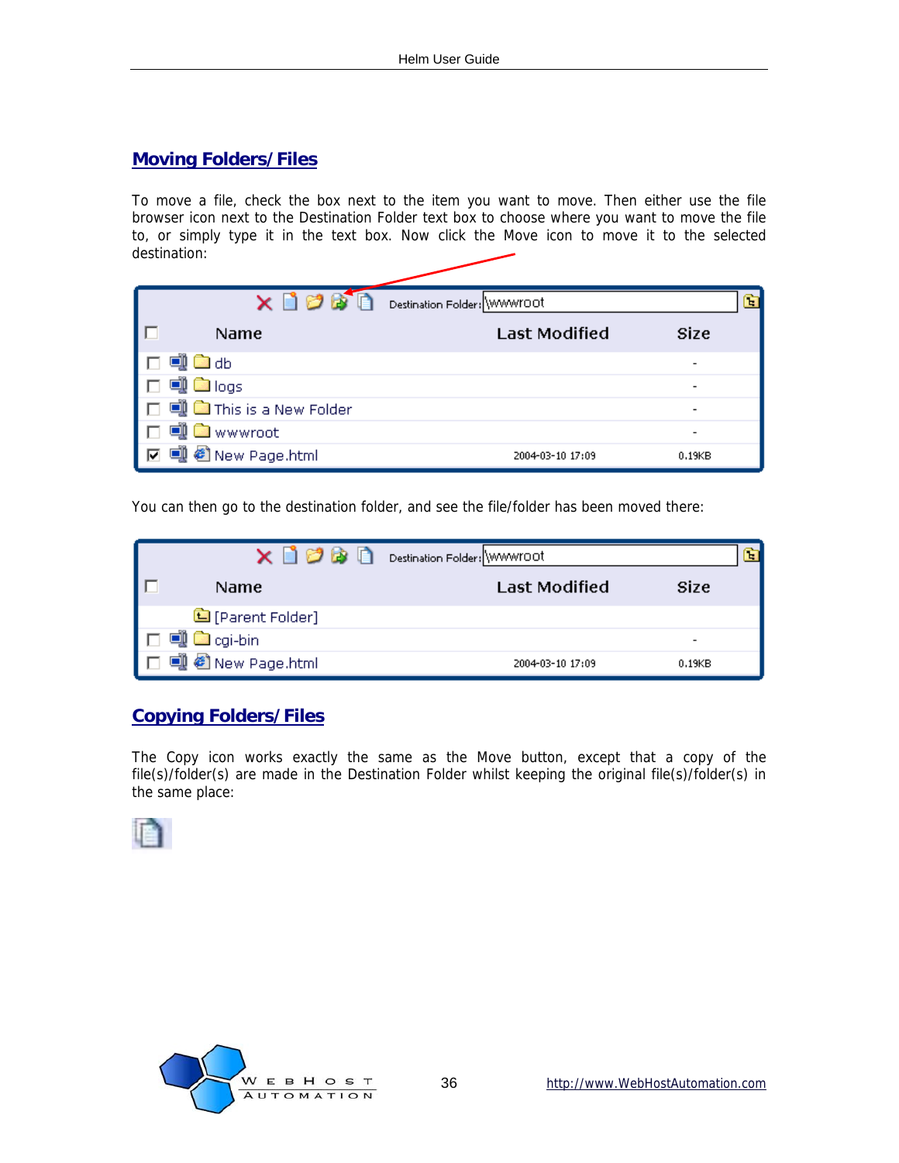#### **Moving Folders/Files**

To move a file, check the box next to the item you want to move. Then either use the file browser icon next to the Destination Folder text box to choose where you want to move the file to, or simply type it in the text box. Now click the Move icon to move it to the selected destination:

|                              | Destination Folder: WWWYOOT             | ъ |
|------------------------------|-----------------------------------------|---|
| Name                         | <b>Last Modified</b><br>Size            |   |
| ि⊉db                         | $\overline{\phantom{0}}$                |   |
| on Callegs                   | $\overline{\phantom{0}}$                |   |
| did a This is a New Folder   | $\qquad \qquad \blacksquare$            |   |
| I wwwroot                    | $\overline{a}$                          |   |
| ● New Page.html<br>$\Box$ ll | 2004-03-10 17:09<br>0.19 <sub>K</sub> B |   |

You can then go to the destination folder, and see the file/folder has been moved there:

| o a n                    | Destination Folder: WWWYOOT            |  |
|--------------------------|----------------------------------------|--|
| <b>Name</b>              | <b>Last Modified</b><br><b>Size</b>    |  |
| <b>■</b> [Parent Folder] |                                        |  |
| <b>Co</b> cgi-bin        | $\overline{\phantom{a}}$               |  |
| di @ New Page.html       | 2004-03-10 17:09<br>0.19 <sub>KB</sub> |  |

#### **Copying Folders/Files**

The Copy icon works exactly the same as the Move button, except that a copy of the file(s)/folder(s) are made in the Destination Folder whilst keeping the original file(s)/folder(s) in the same place:



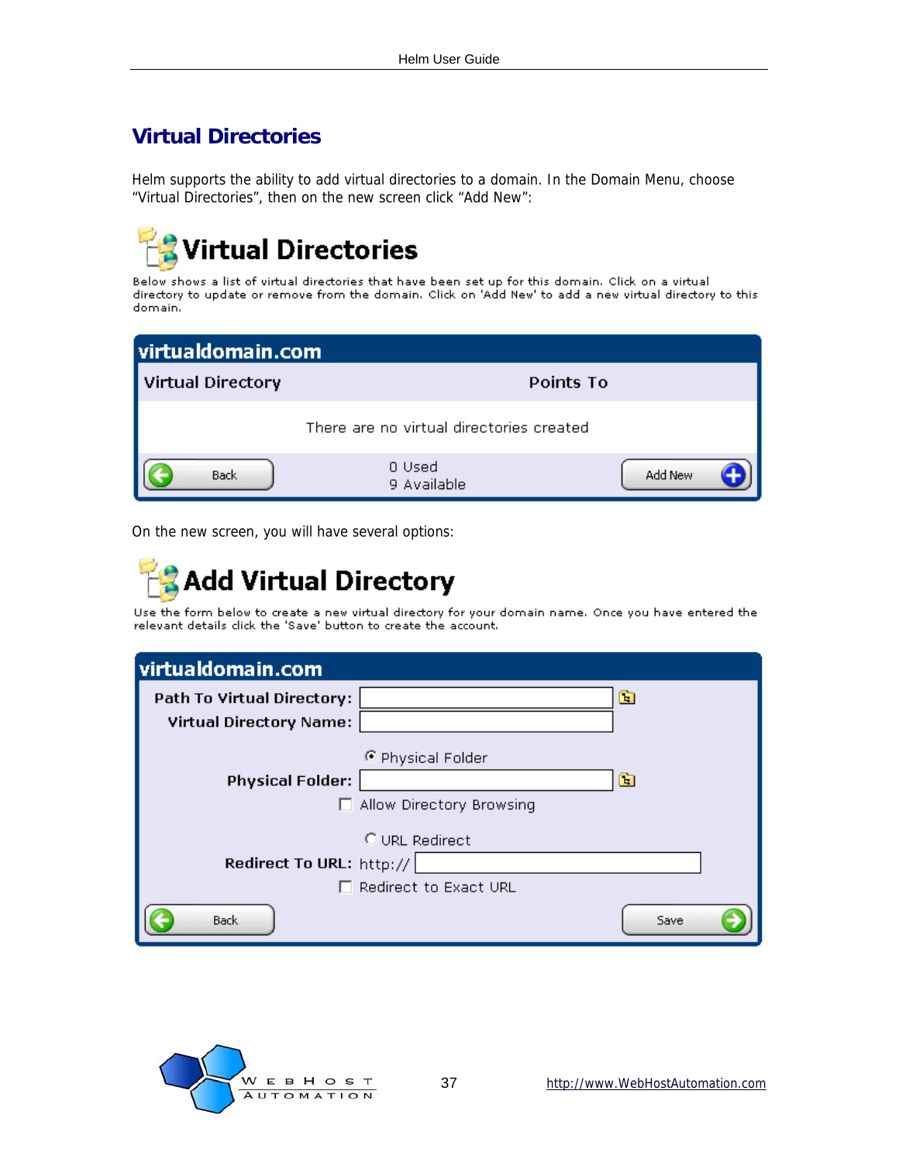### <span id="page-36-0"></span>**Virtual Directories**

Helm supports the ability to add virtual directories to a domain. In the Domain Menu, choose "Virtual Directories", then on the new screen click "Add New":



Below shows a list of virtual directories that have been set up for this domain. Click on a virtual directory to update or remove from the domain. Click on 'Add New' to add a new virtual directory to this domain.

| virtualdomain.com |                                          |         |
|-------------------|------------------------------------------|---------|
| Virtual Directory | Points To                                |         |
|                   | There are no virtual directories created |         |
| <b>Back</b>       | 0 Used<br>9 Available                    | Add New |

On the new screen, you will have several options:

## **Add Virtual Directory**

Use the form below to create a new virtual directory for your domain name. Once you have entered the relevant details click the 'Save' button to create the account.

| virtualdomain.com                 |                                               |      |
|-----------------------------------|-----------------------------------------------|------|
| <b>Path To Virtual Directory:</b> |                                               | œ    |
| <b>Virtual Directory Name:</b>    |                                               |      |
| <b>Physical Folder:</b>           | © Physical Folder<br>Allow Directory Browsing | œ    |
|                                   | O URL Redirect                                |      |
| Redirect To URL: http://          |                                               |      |
|                                   | Redirect to Exact URL                         |      |
| <b>Back</b>                       |                                               | Save |

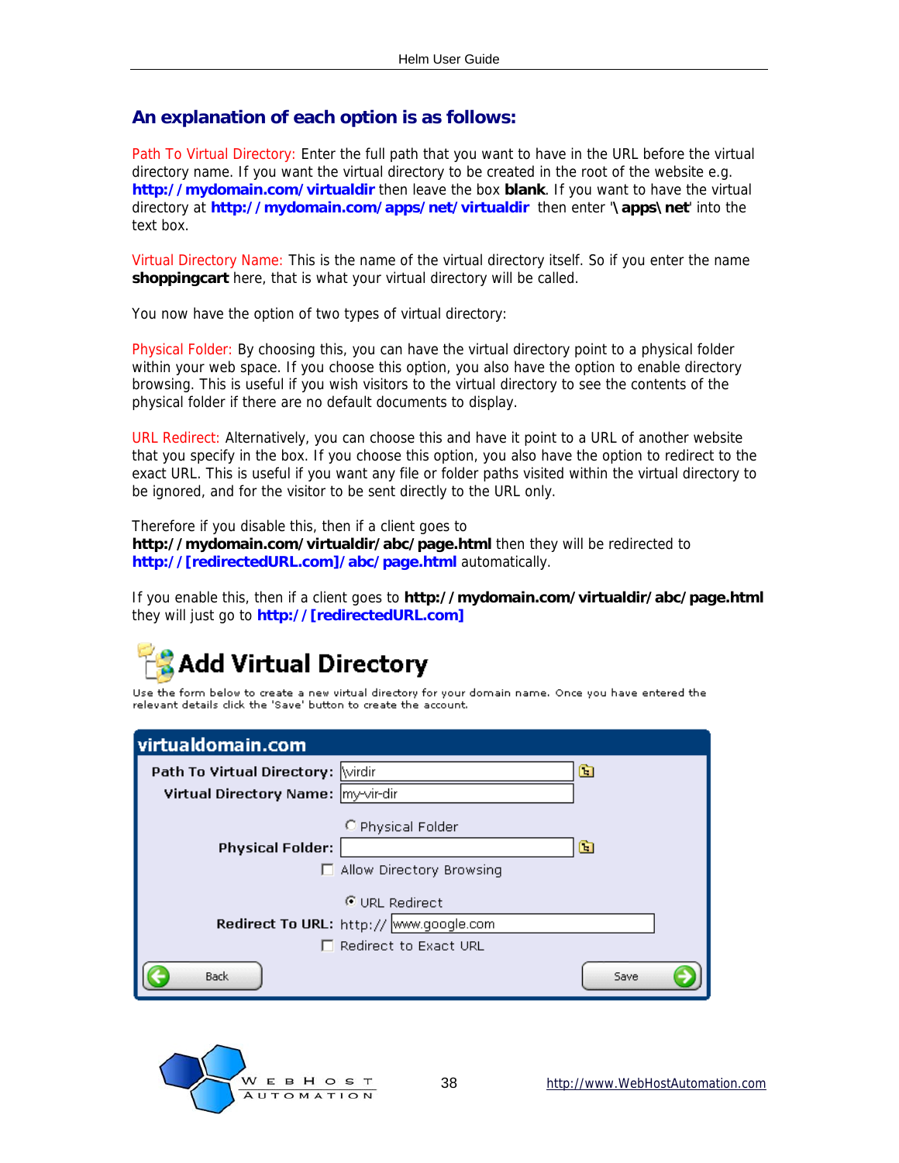#### **An explanation of each option is as follows:**

Path To Virtual Directory: Enter the full path that you want to have in the URL before the virtual directory name. If you want the virtual directory to be created in the root of the website e.g. **http://mydomain.com/virtualdir** then leave the box **blank**. If you want to have the virtual directory at **http://mydomain.com/apps/net/virtualdir** then enter '**\apps\net**' into the text box.

Virtual Directory Name: This is the name of the virtual directory itself. So if you enter the name **shoppingcart** here, that is what your virtual directory will be called.

You now have the option of two types of virtual directory:

Physical Folder: By choosing this, you can have the virtual directory point to a physical folder within your web space. If you choose this option, you also have the option to enable directory browsing. This is useful if you wish visitors to the virtual directory to see the contents of the physical folder if there are no default documents to display.

URL Redirect: Alternatively, you can choose this and have it point to a URL of another website that you specify in the box. If you choose this option, you also have the option to redirect to the exact URL. This is useful if you want any file or folder paths visited within the virtual directory to be ignored, and for the visitor to be sent directly to the URL only.

Therefore if you disable this, then if a client goes to **http://mydomain.com/virtualdir/abc/page.html** then they will be redirected to **http://[redirectedURL.com]/abc/page.html** automatically.

If you enable this, then if a client goes to **http://mydomain.com/virtualdir/abc/page.html**  they will just go to **http://[redirectedURL.com]**

## Add Virtual Directory

Use the form below to create a new virtual directory for your domain name. Once you have entered the relevant details click the 'Save' button to create the account.

| virtualdomain.com                  |                                               |      |
|------------------------------------|-----------------------------------------------|------|
| Path To Virtual Directory: Wirdir  |                                               | œ    |
| Virtual Directory Name: my-vir-dir |                                               |      |
| <b>Physical Folder:</b>            | C Physical Folder<br>Allow Directory Browsing | œ    |
|                                    | © URL Redirect                                |      |
|                                    | Redirect To URL: http:// www.google.com       |      |
|                                    | Redirect to Exact URL                         |      |
| <b>Back</b>                        |                                               | Save |

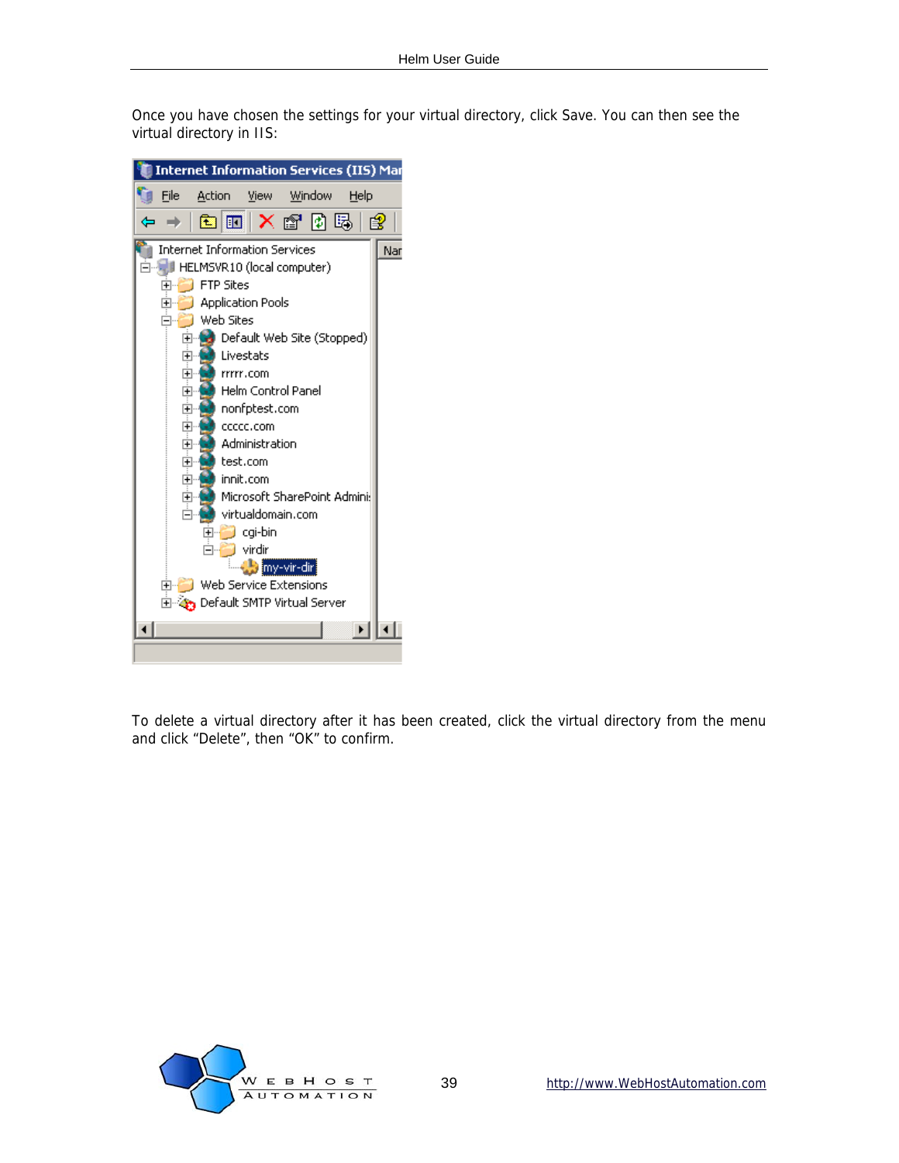Once you have chosen the settings for your virtual directory, click Save. You can then see the virtual directory in IIS:



To delete a virtual directory after it has been created, click the virtual directory from the menu and click "Delete", then "OK" to confirm.

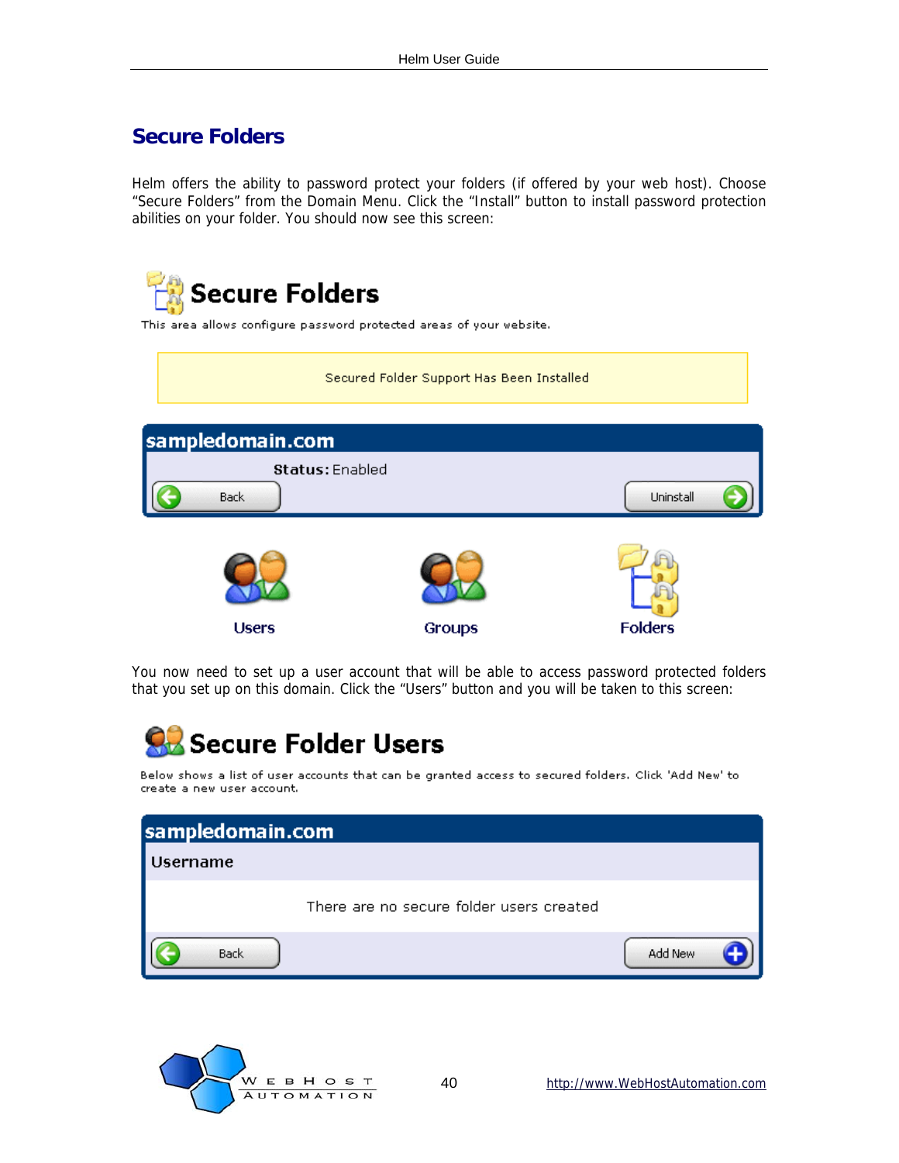### <span id="page-39-0"></span>**Secure Folders**

Helm offers the ability to password protect your folders (if offered by your web host). Choose "Secure Folders" from the Domain Menu. Click the "Install" button to install password protection abilities on your folder. You should now see this screen:



You now need to set up a user account that will be able to access password protected folders that you set up on this domain. Click the "Users" button and you will be taken to this screen:



Below shows a list of user accounts that can be granted access to secured folders. Click 'Add New' to create a new user account.



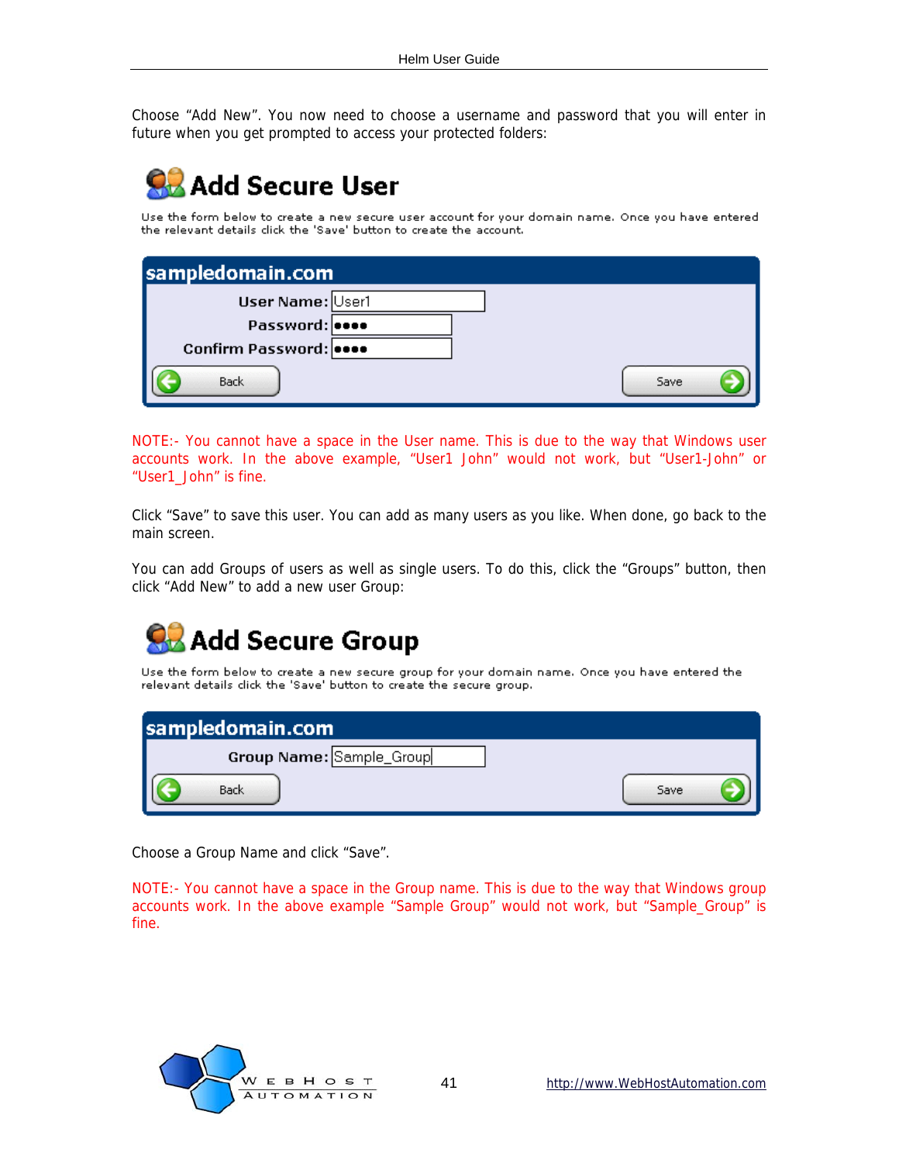Choose "Add New". You now need to choose a username and password that you will enter in future when you get prompted to access your protected folders:

## **Add Secure User**

Use the form below to create a new secure user account for your domain name. Once you have entered the relevant details click the 'Save' button to create the account.

| sampledomain.com       |      |
|------------------------|------|
| User Name: User1       |      |
| Password: 0000         |      |
| Confirm Password: 0000 |      |
| Back                   | Save |

NOTE:- You cannot have a space in the User name. This is due to the way that Windows user accounts work. In the above example, "User1 John" would not work, but "User1-John" or "User1\_John" is fine.

Click "Save" to save this user. You can add as many users as you like. When done, go back to the main screen.

You can add Groups of users as well as single users. To do this, click the "Groups" button, then click "Add New" to add a new user Group:



Use the form below to create a new secure group for your domain name. Once you have entered the relevant details click the 'Save' button to create the secure group.

| sampledomain.com         |      |
|--------------------------|------|
| Group Name: Sample_Group |      |
| Back                     | Save |

Choose a Group Name and click "Save".

NOTE:- You cannot have a space in the Group name. This is due to the way that Windows group accounts work. In the above example "Sample Group" would not work, but "Sample\_Group" is fine.

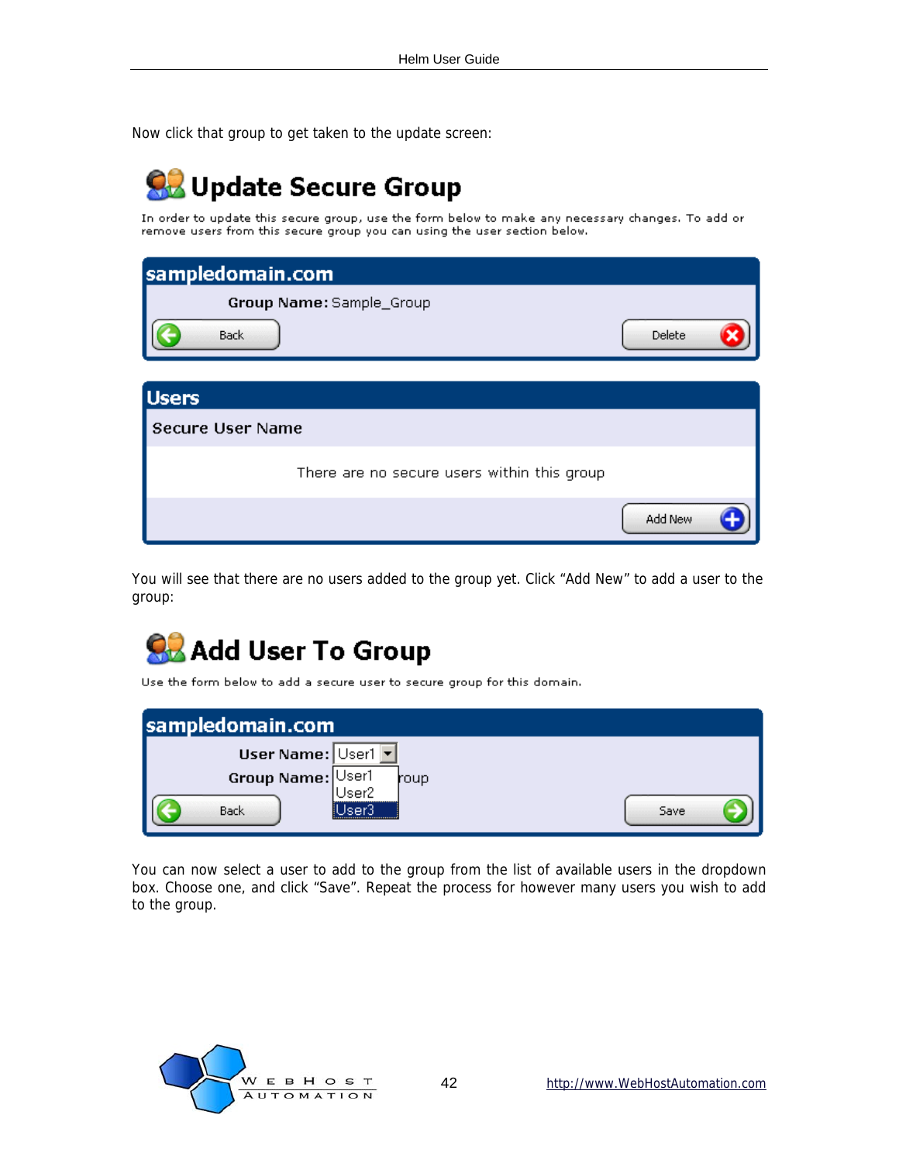Now click that group to get taken to the update screen:

## **OB** Update Secure Group

In order to update this secure group, use the form below to make any necessary changes. To add or remove users from this secure group you can using the user section below.

| sampledomain.com                            |        |
|---------------------------------------------|--------|
| Group Name: Sample_Group                    |        |
| <b>Back</b>                                 | Delete |
| <b>Users</b>                                |        |
| Secure User Name                            |        |
| There are no secure users within this group |        |

You will see that there are no users added to the group yet. Click "Add New" to add a user to the group:

## **SB** Add User To Group

Use the form below to add a secure user to secure group for this domain.

| sampledomain.com   |             |      |
|--------------------|-------------|------|
| User Name: User1 v |             |      |
| Group Name: User1  | roup        |      |
| Back               | $48P^2$<br> | Save |

You can now select a user to add to the group from the list of available users in the dropdown box. Choose one, and click "Save". Repeat the process for however many users you wish to add to the group.



Add New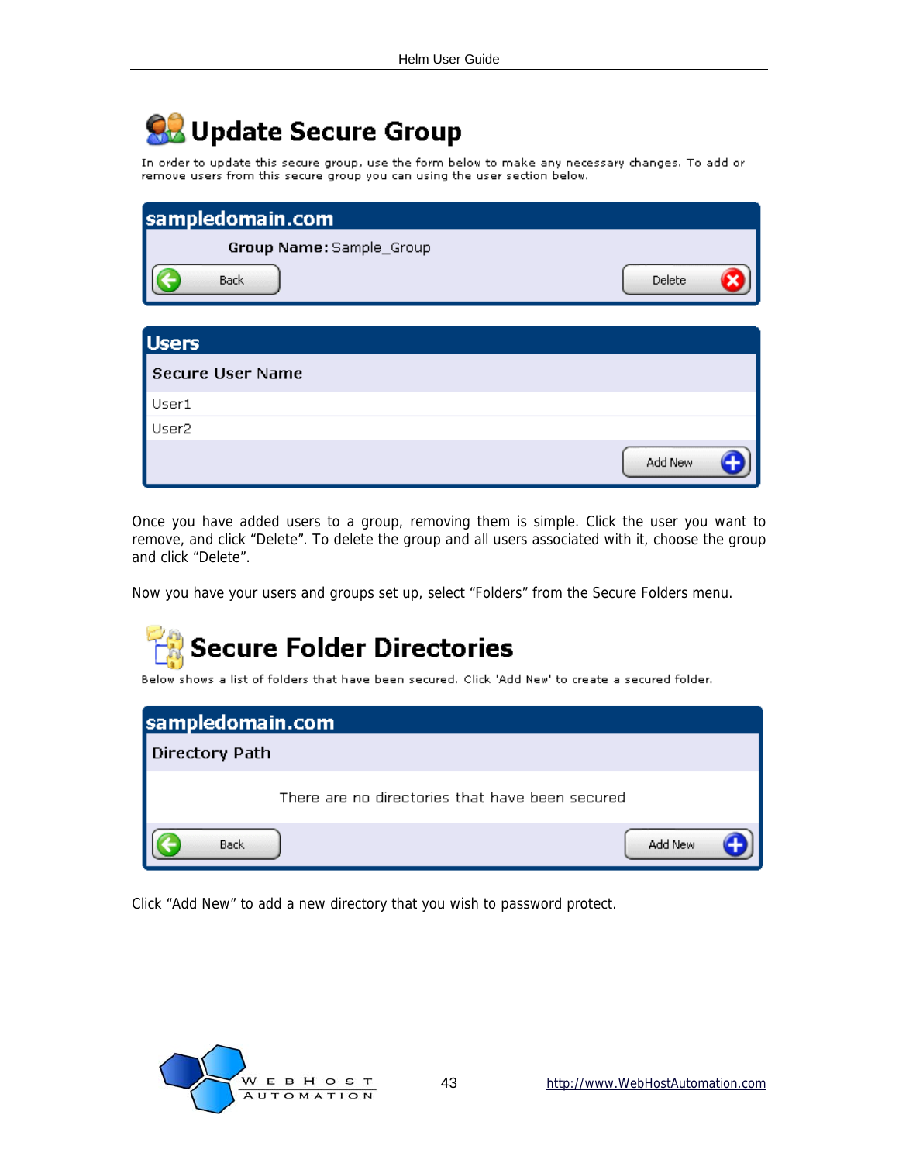## **OB** Update Secure Group

In order to update this secure group, use the form below to make any necessary changes. To add or remove users from this secure group you can using the user section below.

| sampledomain.com         |         |
|--------------------------|---------|
| Group Name: Sample_Group |         |
| Back                     | Delete  |
| <b>Users</b>             |         |
| Secure User Name         |         |
| User1                    |         |
| User <sub>2</sub>        |         |
|                          | Add New |

Once you have added users to a group, removing them is simple. Click the user you want to remove, and click "Delete". To delete the group and all users associated with it, choose the group and click "Delete".

Now you have your users and groups set up, select "Folders" from the Secure Folders menu.



Below shows a list of folders that have been secured. Click 'Add New' to create a secured folder.

| sampledomain.com                                |         |
|-------------------------------------------------|---------|
| Directory Path                                  |         |
| There are no directories that have been secured |         |
| <b>Back</b>                                     | Add New |

Click "Add New" to add a new directory that you wish to password protect.

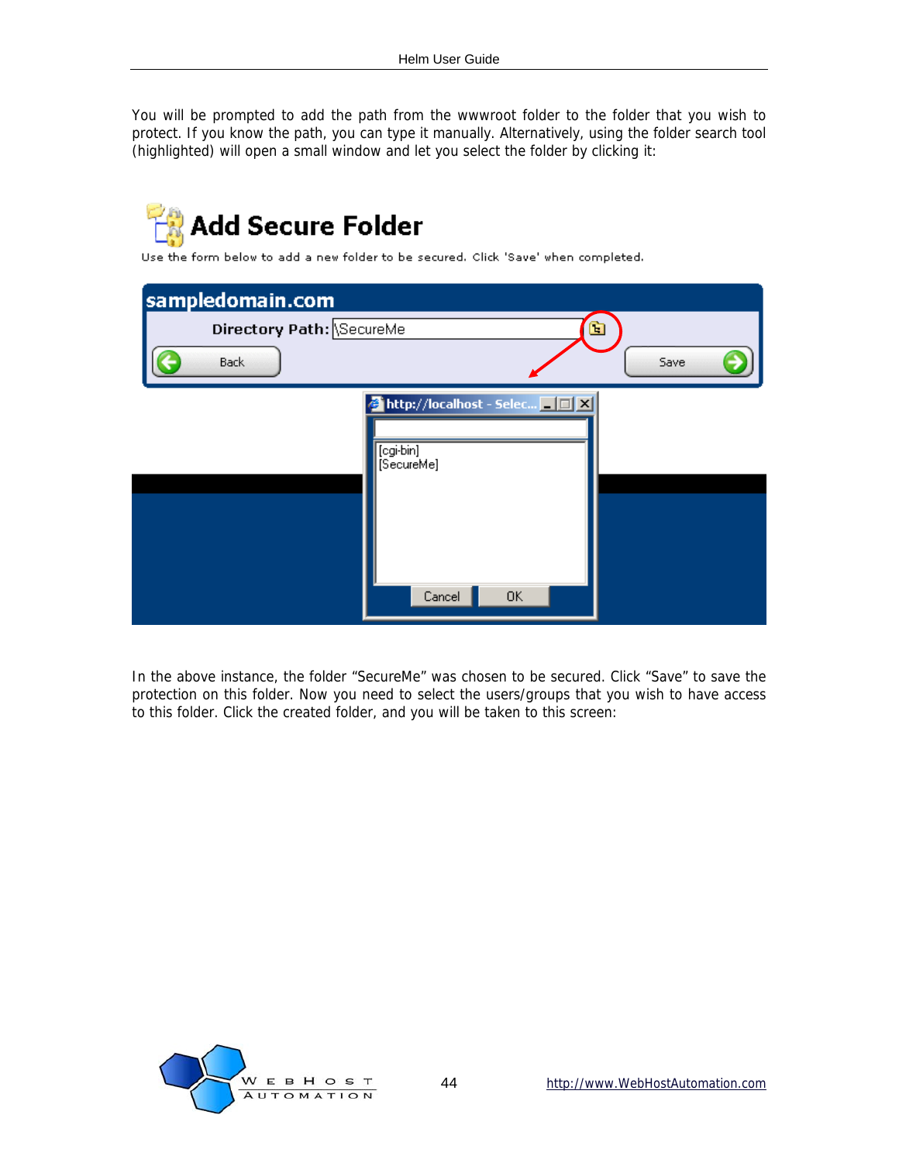You will be prompted to add the path from the wwwroot folder to the folder that you wish to protect. If you know the path, you can type it manually. Alternatively, using the folder search tool (highlighted) will open a small window and let you select the folder by clicking it:



In the above instance, the folder "SecureMe" was chosen to be secured. Click "Save" to save the protection on this folder. Now you need to select the users/groups that you wish to have access to this folder. Click the created folder, and you will be taken to this screen:

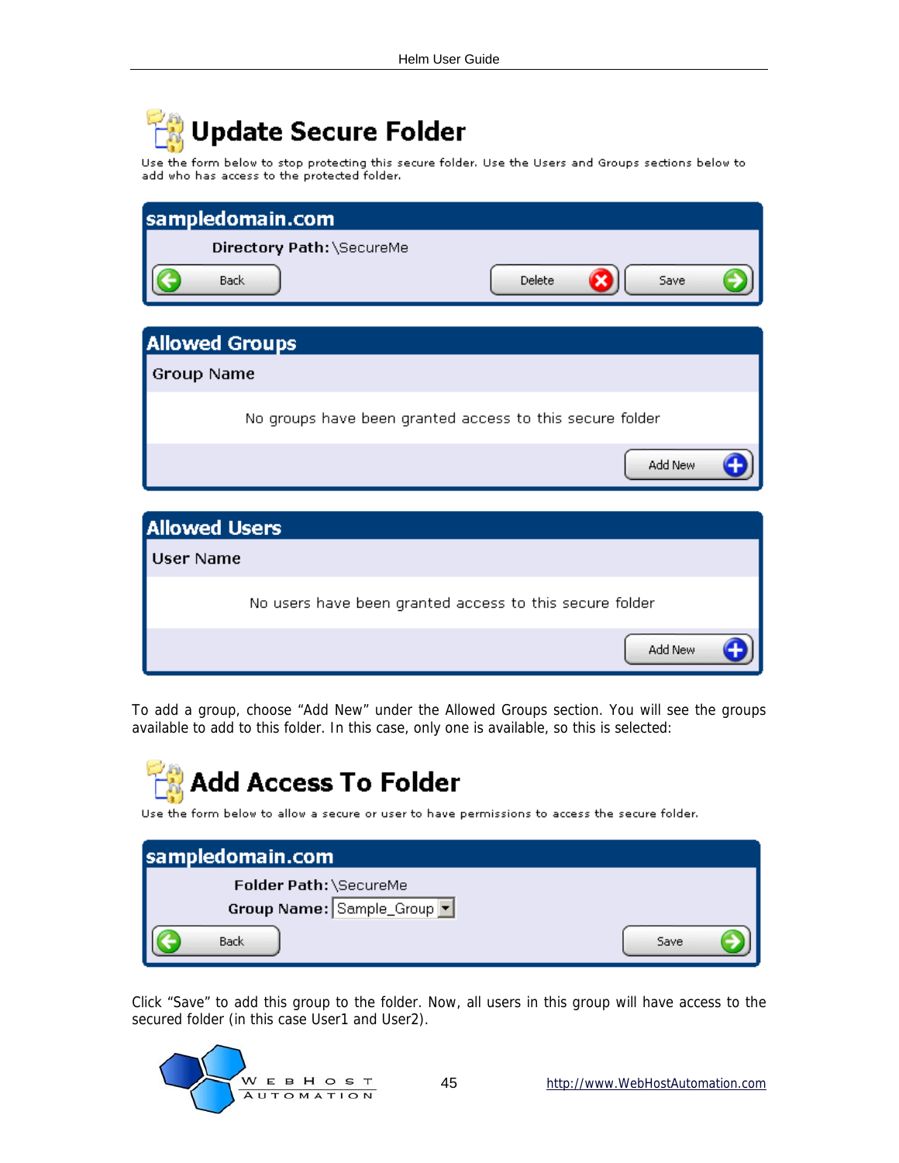## Update Secure Folder

Use the form below to stop protecting this secure folder. Use the Users and Groups sections below to add who has access to the protected folder.

|                       | sampledomain.com                                         |        |         |
|-----------------------|----------------------------------------------------------|--------|---------|
|                       | Directory Path: \SecureMe                                |        |         |
| <b>Back</b>           |                                                          | Delete | Save    |
| <b>Allowed Groups</b> |                                                          |        |         |
| <b>Group Name</b>     |                                                          |        |         |
|                       | No groups have been granted access to this secure folder |        |         |
|                       |                                                          |        | Add New |
|                       |                                                          |        |         |
| <b>Allowed Users</b>  |                                                          |        |         |
| <b>User Name</b>      |                                                          |        |         |
|                       | No users have been granted access to this secure folder  |        |         |
|                       |                                                          |        | Add New |

To add a group, choose "Add New" under the Allowed Groups section. You will see the groups available to add to this folder. In this case, only one is available, so this is selected:

## **Add Access To Folder**

Use the form below to allow a secure or user to have permissions to access the secure folder.

| sampledomain.com           |      |
|----------------------------|------|
| Folder Path: \SecureMe     |      |
| Group Name: Sample_Group v |      |
| Back                       | Save |

Click "Save" to add this group to the folder. Now, all users in this group will have access to the secured folder (in this case User1 and User2).

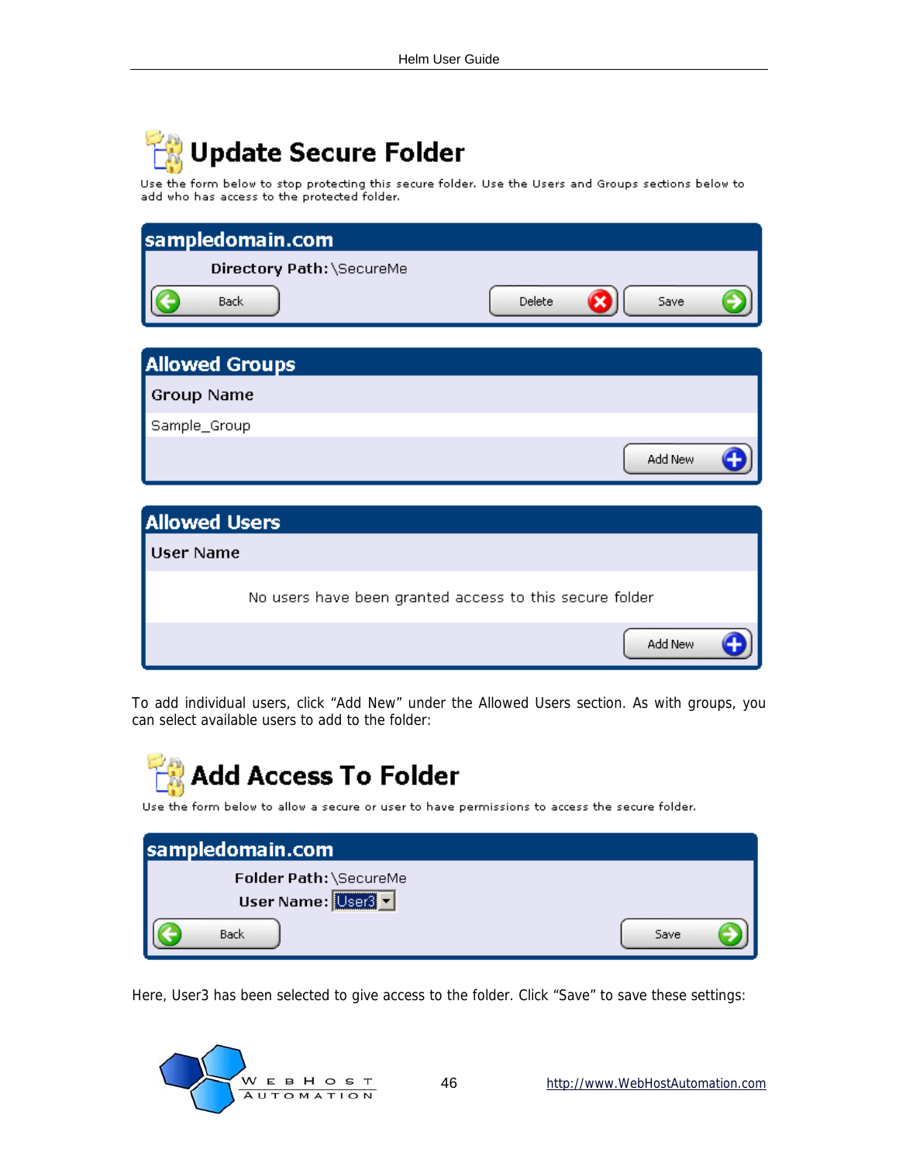## **Update Secure Folder**

Use the form below to stop protecting this secure folder. Use the Users and Groups sections below to add who has access to the protected folder.

| sampledomain.com                                        |                |
|---------------------------------------------------------|----------------|
| Directory Path: \SecureMe                               |                |
| Back                                                    | Delete<br>Save |
| <b>Allowed Groups</b>                                   |                |
| <b>Group Name</b>                                       |                |
| Sample_Group                                            |                |
|                                                         | Add New        |
|                                                         |                |
| <b>Allowed Users</b>                                    |                |
| <b>User Name</b>                                        |                |
| No users have been granted access to this secure folder |                |
|                                                         | Add New        |

To add individual users, click "Add New" under the Allowed Users section. As with groups, you can select available users to add to the folder:



Use the form below to allow a secure or user to have permissions to access the secure folder.

| sampledomain.com                           |      |
|--------------------------------------------|------|
| Folder Path: \SecureMe<br>User Name: User3 |      |
| <b>Back</b>                                | Save |

Here, User3 has been selected to give access to the folder. Click "Save" to save these settings:

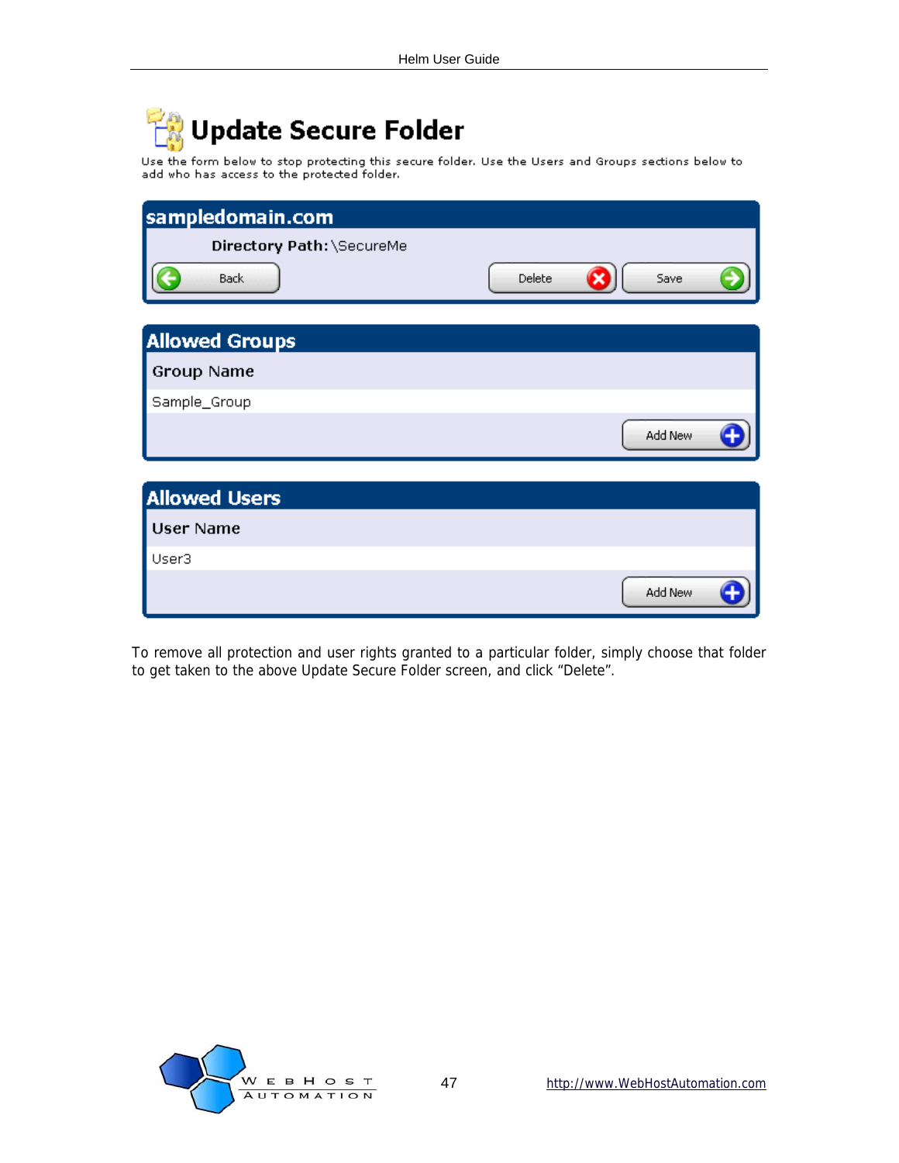## Update Secure Folder

Use the form below to stop protecting this secure folder. Use the Users and Groups sections below to<br>add who has access to the protected folder.

| sampledomain.com          |        |         |  |
|---------------------------|--------|---------|--|
| Directory Path: \SecureMe |        |         |  |
| Back                      | Delete | Save    |  |
| <b>Allowed Groups</b>     |        |         |  |
| <b>Group Name</b>         |        |         |  |
| Sample_Group              |        |         |  |
|                           |        | Add New |  |
|                           |        |         |  |
| <b>Allowed Users</b>      |        |         |  |
| <b>User Name</b>          |        |         |  |
| User3                     |        |         |  |
|                           |        | Add New |  |

To remove all protection and user rights granted to a particular folder, simply choose that folder to get taken to the above Update Secure Folder screen, and click "Delete".

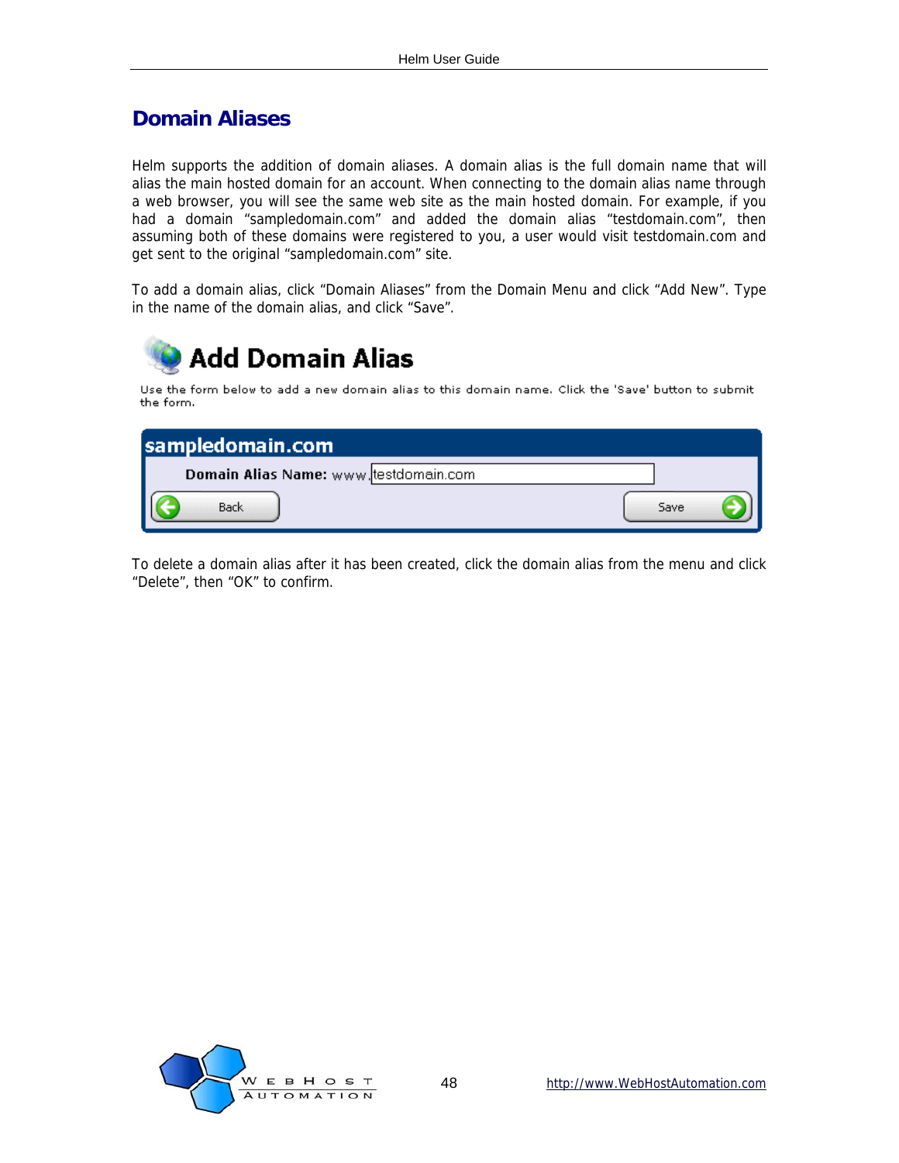### <span id="page-47-0"></span>**Domain Aliases**

Helm supports the addition of domain aliases. A domain alias is the full domain name that will alias the main hosted domain for an account. When connecting to the domain alias name through a web browser, you will see the same web site as the main hosted domain. For example, if you had a domain "sampledomain.com" and added the domain alias "testdomain.com", then assuming both of these domains were registered to you, a user would visit testdomain.com and get sent to the original "sampledomain.com" site.

To add a domain alias, click "Domain Aliases" from the Domain Menu and click "Add New". Type in the name of the domain alias, and click "Save".



To delete a domain alias after it has been created, click the domain alias from the menu and click "Delete", then "OK" to confirm.

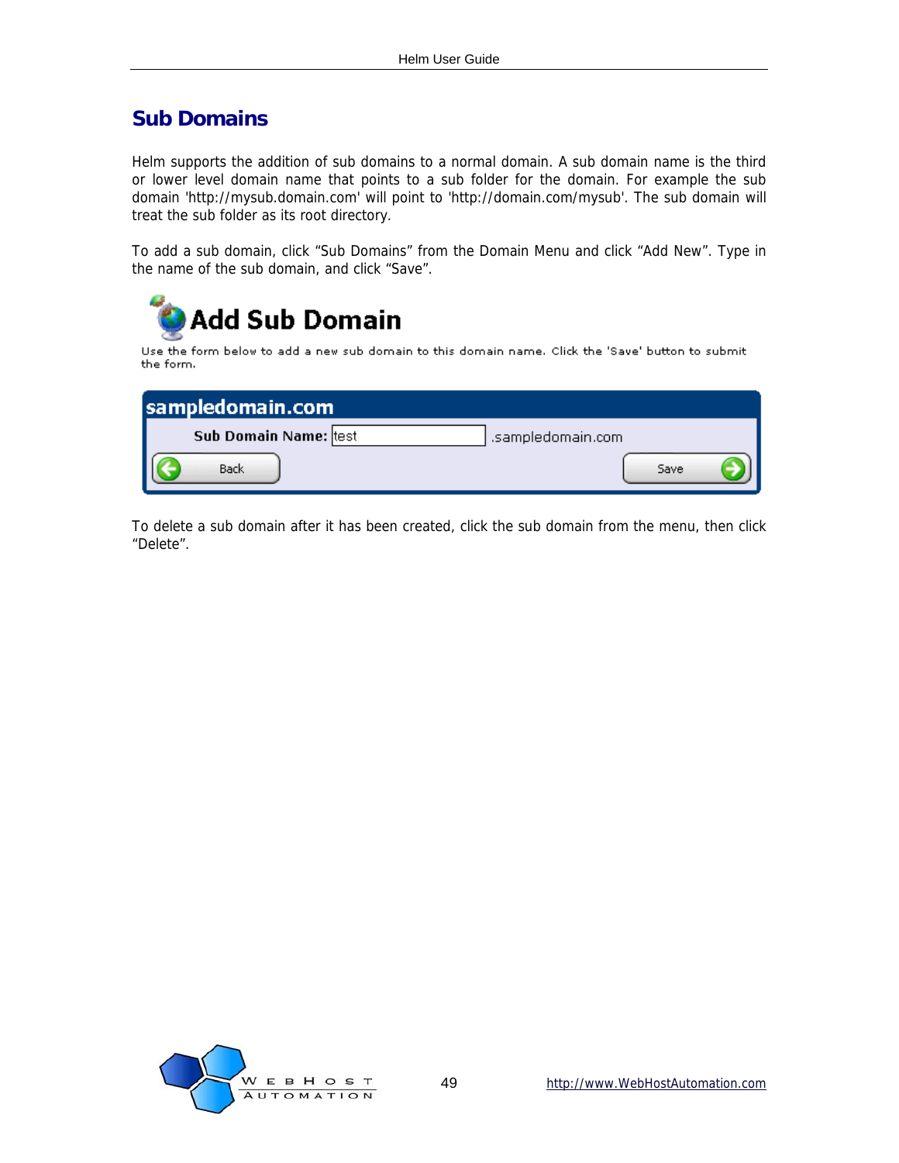### <span id="page-48-0"></span>**Sub Domains**

Helm supports the addition of sub domains to a normal domain. A sub domain name is the third or lower level domain name that points to a sub folder for the domain. For example the sub domain 'http://mysub.domain.com' will point to 'http://domain.com/mysub'. The sub domain will treat the sub folder as its root directory.

To add a sub domain, click "Sub Domains" from the Domain Menu and click "Add New". Type in the name of the sub domain, and click "Save".

| Add Sub Domain                                                                                                 |                   |
|----------------------------------------------------------------------------------------------------------------|-------------------|
| Use the form below to add a new sub domain to this domain name. Click the 'Save' button to submit<br>the form. |                   |
|                                                                                                                |                   |
| sampledomain.com                                                                                               |                   |
| Sub Domain Name: test                                                                                          | .sampledomain.com |
| Back                                                                                                           | Save              |

To delete a sub domain after it has been created, click the sub domain from the menu, then click "Delete".

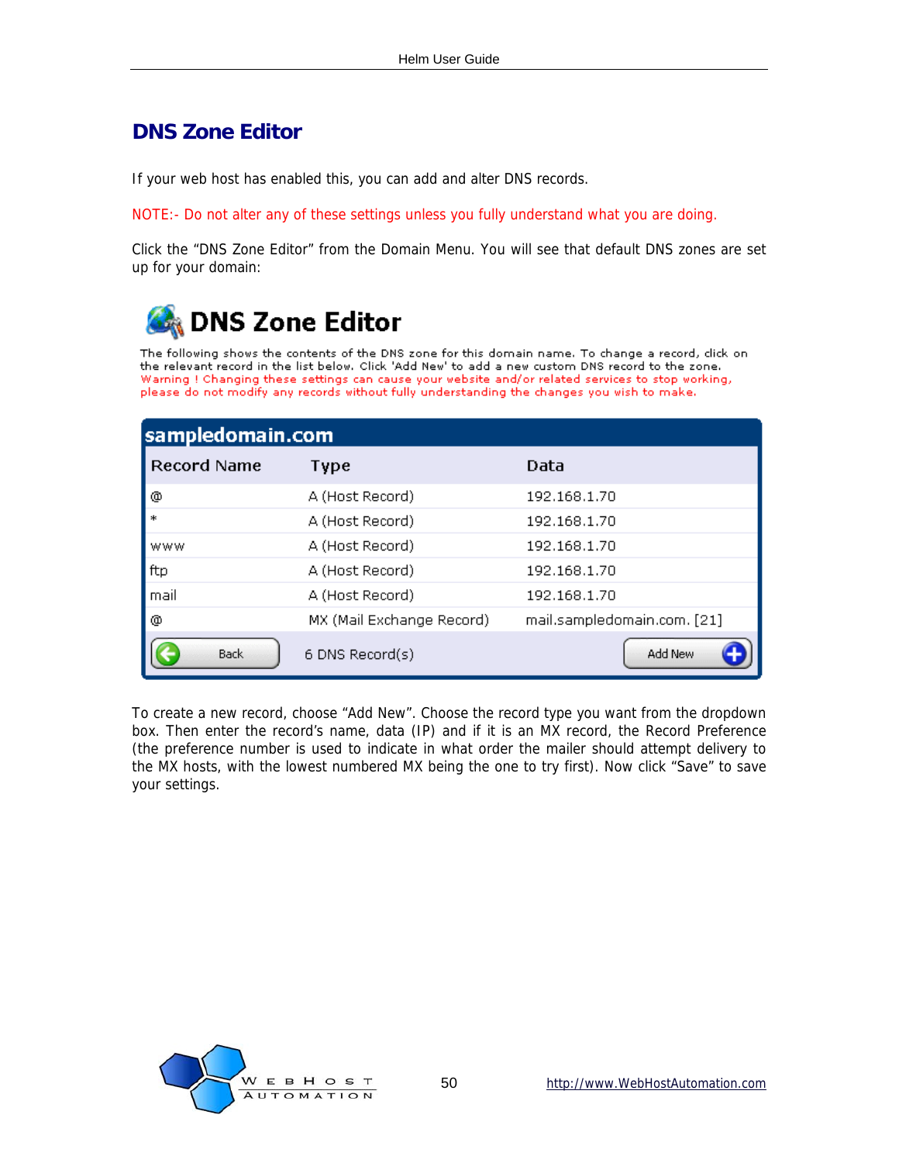### <span id="page-49-0"></span>**DNS Zone Editor**

If your web host has enabled this, you can add and alter DNS records.

NOTE:- Do not alter any of these settings unless you fully understand what you are doing.

Click the "DNS Zone Editor" from the Domain Menu. You will see that default DNS zones are set up for your domain:



The following shows the contents of the DNS zone for this domain name. To change a record, click on the relevant record in the list below. Click 'Add New' to add a new custom DNS record to the zone. Warning ! Changing these settings can cause your website and/or related services to stop working, please do not modify any records without fully understanding the changes you wish to make.

| sampledomain.com |                           |                             |  |
|------------------|---------------------------|-----------------------------|--|
| Record Name      | Type                      | Data                        |  |
| ⊚                | A (Host Record)           | 192.168.1.70                |  |
|                  | A (Host Record)           | 192.168.1.70                |  |
| www              | A (Host Record)           | 192.168.1.70                |  |
| ftp              | A (Host Record)           | 192.168.1.70                |  |
| mail             | A (Host Record)           | 192.168.1.70                |  |
| ⊚                | MX (Mail Exchange Record) | mail.sampledomain.com. [21] |  |
| <b>Back</b>      | 6 DNS Record(s)           | Add New                     |  |

To create a new record, choose "Add New". Choose the record type you want from the dropdown box. Then enter the record's name, data (IP) and if it is an MX record, the Record Preference (the preference number is used to indicate in what order the mailer should attempt delivery to the MX hosts, with the lowest numbered MX being the one to try first). Now click "Save" to save your settings.

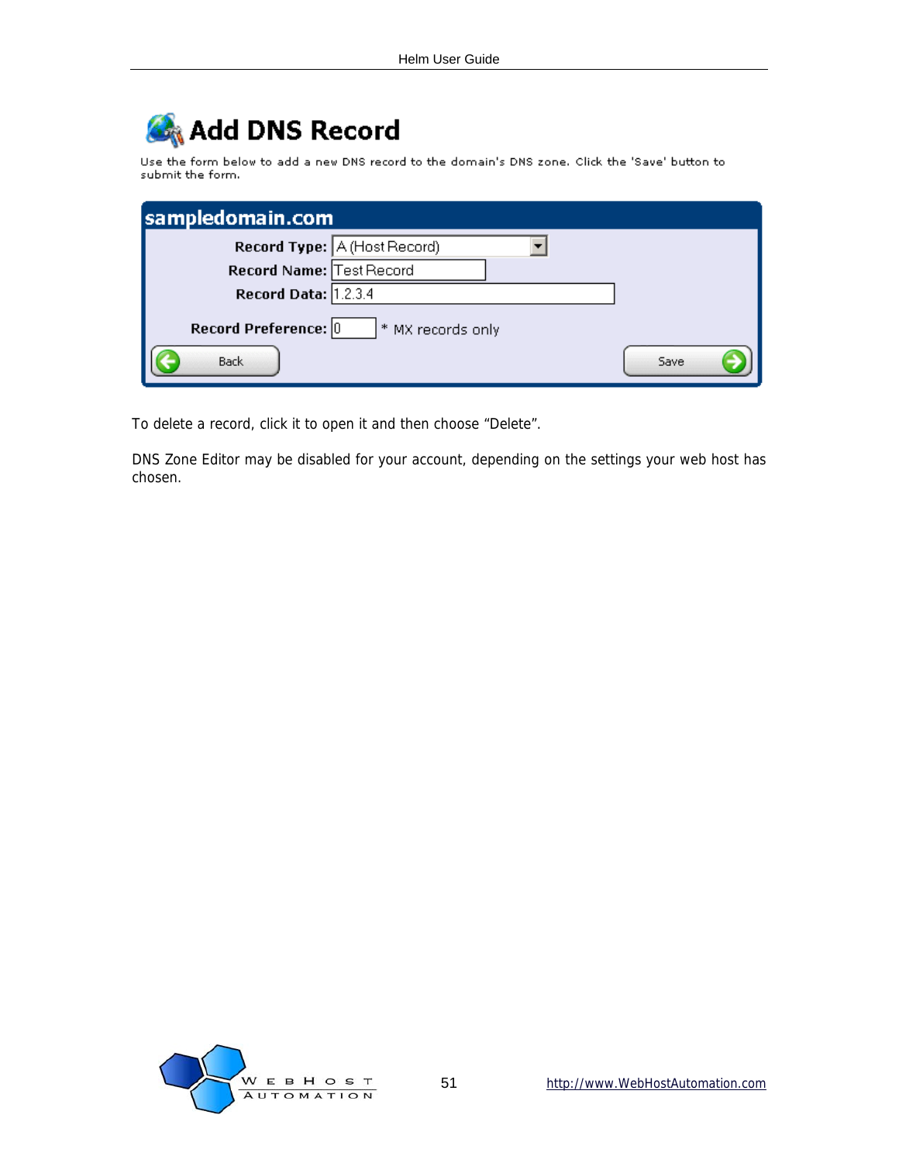## Add DNS Record

Use the form below to add a new DNS record to the domain's DNS zone. Click the 'Save' button to submit the form.

| sampledomain.com         |                              |      |
|--------------------------|------------------------------|------|
|                          | Record Type: A (Host Record) |      |
| Record Name: Test Record |                              |      |
| Record Data: 1.2.3.4     |                              |      |
| Record Preference: 0     | * MX records only            |      |
| <b>Back</b>              |                              | Save |

To delete a record, click it to open it and then choose "Delete".

DNS Zone Editor may be disabled for your account, depending on the settings your web host has chosen.

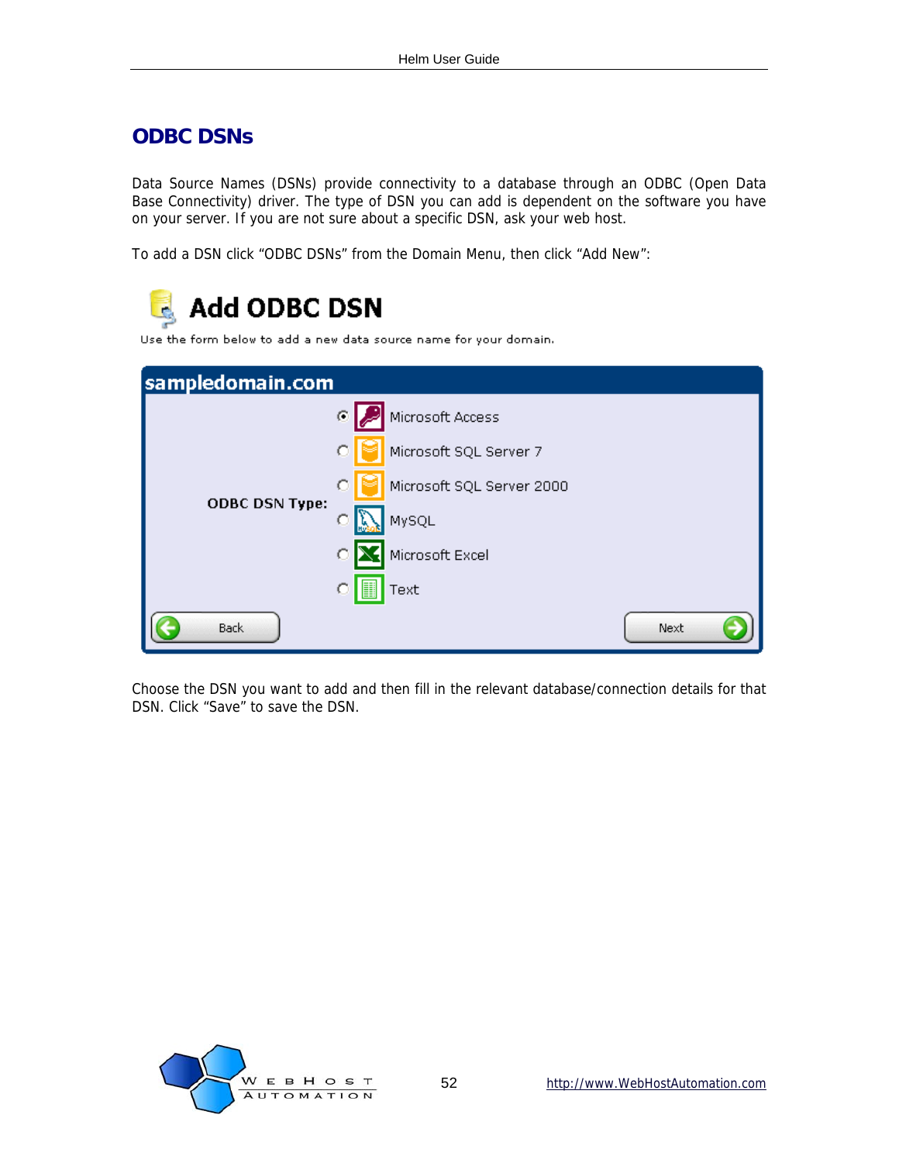#### <span id="page-51-0"></span>**ODBC DSNs**

Data Source Names (DSNs) provide connectivity to a database through an ODBC (Open Data Base Connectivity) driver. The type of DSN you can add is dependent on the software you have on your server. If you are not sure about a specific DSN, ask your web host.

To add a DSN click "ODBC DSNs" from the Domain Menu, then click "Add New":

| <b>Add ODBC DSN</b><br>Use the form below to add a new data source name for your domain. |                           |      |
|------------------------------------------------------------------------------------------|---------------------------|------|
| sampledomain.com                                                                         |                           |      |
|                                                                                          | Microsoft Access<br>G     |      |
|                                                                                          | Microsoft SQL Server 7    |      |
|                                                                                          | Microsoft SQL Server 2000 |      |
| <b>ODBC DSN Type:</b>                                                                    | MySQL                     |      |
|                                                                                          | Microsoft Excel           |      |
|                                                                                          | Text                      |      |
| <b>Back</b>                                                                              |                           | Next |

Choose the DSN you want to add and then fill in the relevant database/connection details for that DSN. Click "Save" to save the DSN.

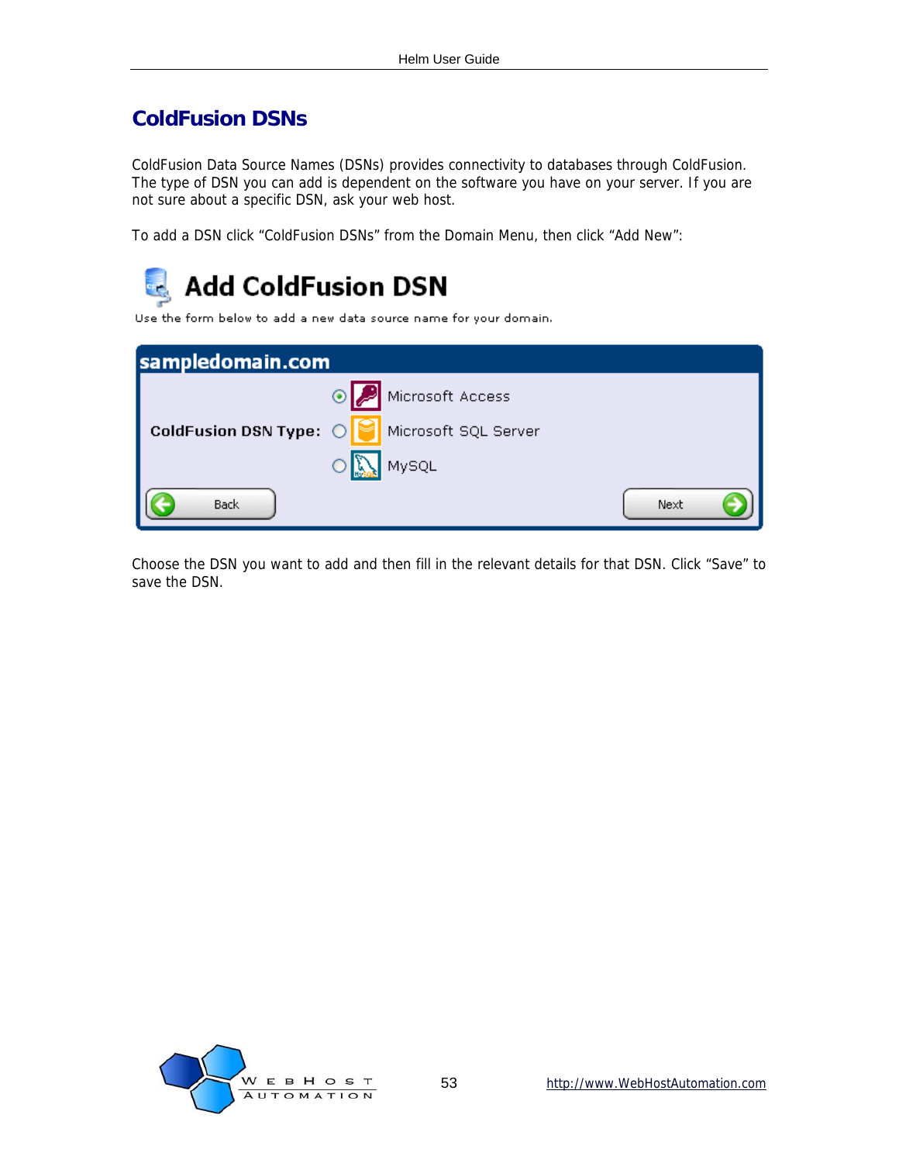### <span id="page-52-0"></span>**ColdFusion DSNs**

ColdFusion Data Source Names (DSNs) provides connectivity to databases through ColdFusion. The type of DSN you can add is dependent on the software you have on your server. If you are not sure about a specific DSN, ask your web host.

To add a DSN click "ColdFusion DSNs" from the Domain Menu, then click "Add New":



Use the form below to add a new data source name for your domain.

| sampledomain.com       |                      |      |
|------------------------|----------------------|------|
|                        | Microsoft Access     |      |
| ColdFusion DSN Type: 0 | Microsoft SQL Server |      |
|                        | MySQL                |      |
| <b>Back</b>            |                      | Next |

Choose the DSN you want to add and then fill in the relevant details for that DSN. Click "Save" to save the DSN.

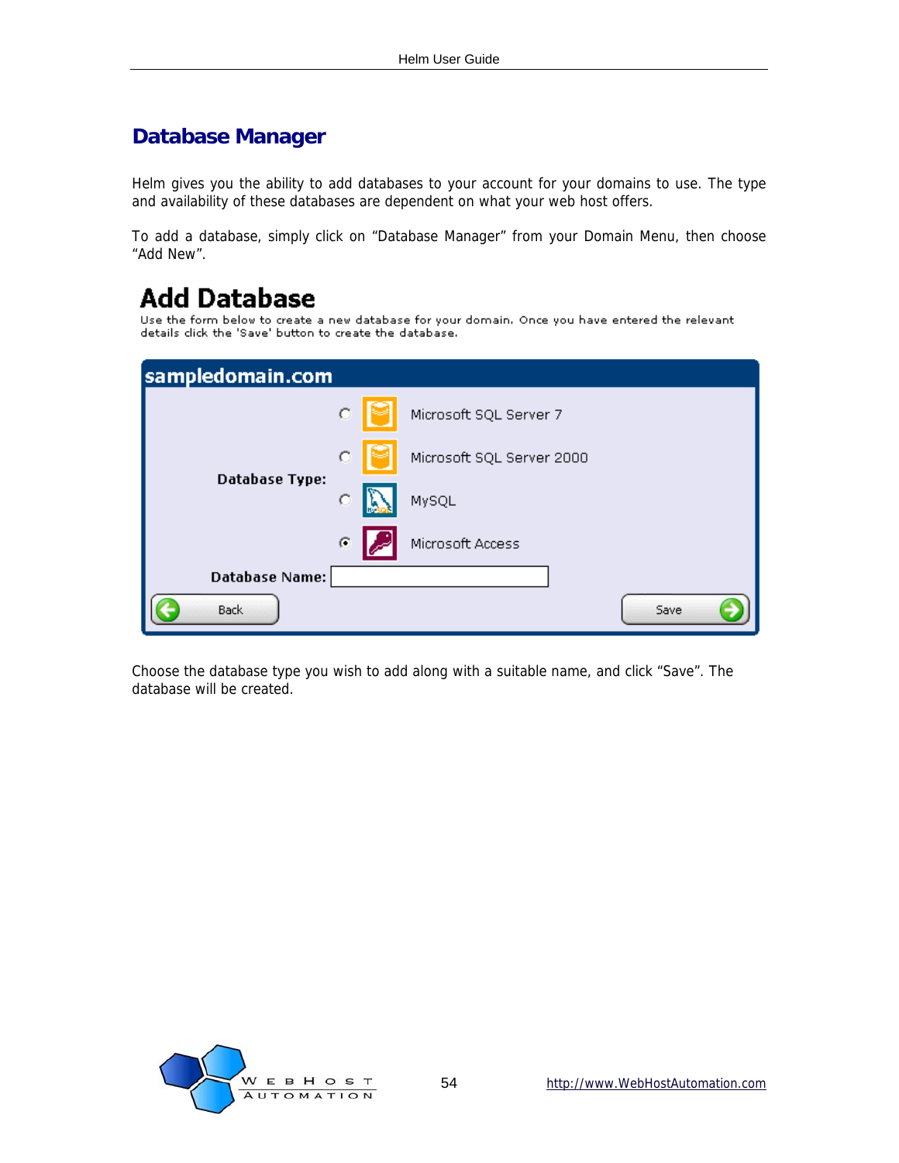### <span id="page-53-0"></span>**Database Manager**

Helm gives you the ability to add databases to your account for your domains to use. The type and availability of these databases are dependent on what your web host offers.

To add a database, simply click on "Database Manager" from your Domain Menu, then choose "Add New".

## **Add Database**

Use the form below to create a new database for your domain. Once you have entered the relevant<br>details click the 'Save' button to create the database.

| sampledomain.com      |         |                           |      |
|-----------------------|---------|---------------------------|------|
|                       | $\circ$ | Microsoft SQL Server 7    |      |
|                       | O       | Microsoft SQL Server 2000 |      |
| <b>Database Type:</b> | C       | MySQL                     |      |
|                       | C       | Microsoft Access          |      |
| <b>Database Name:</b> |         |                           |      |
| <b>Back</b>           |         |                           | Save |

Choose the database type you wish to add along with a suitable name, and click "Save". The database will be created.

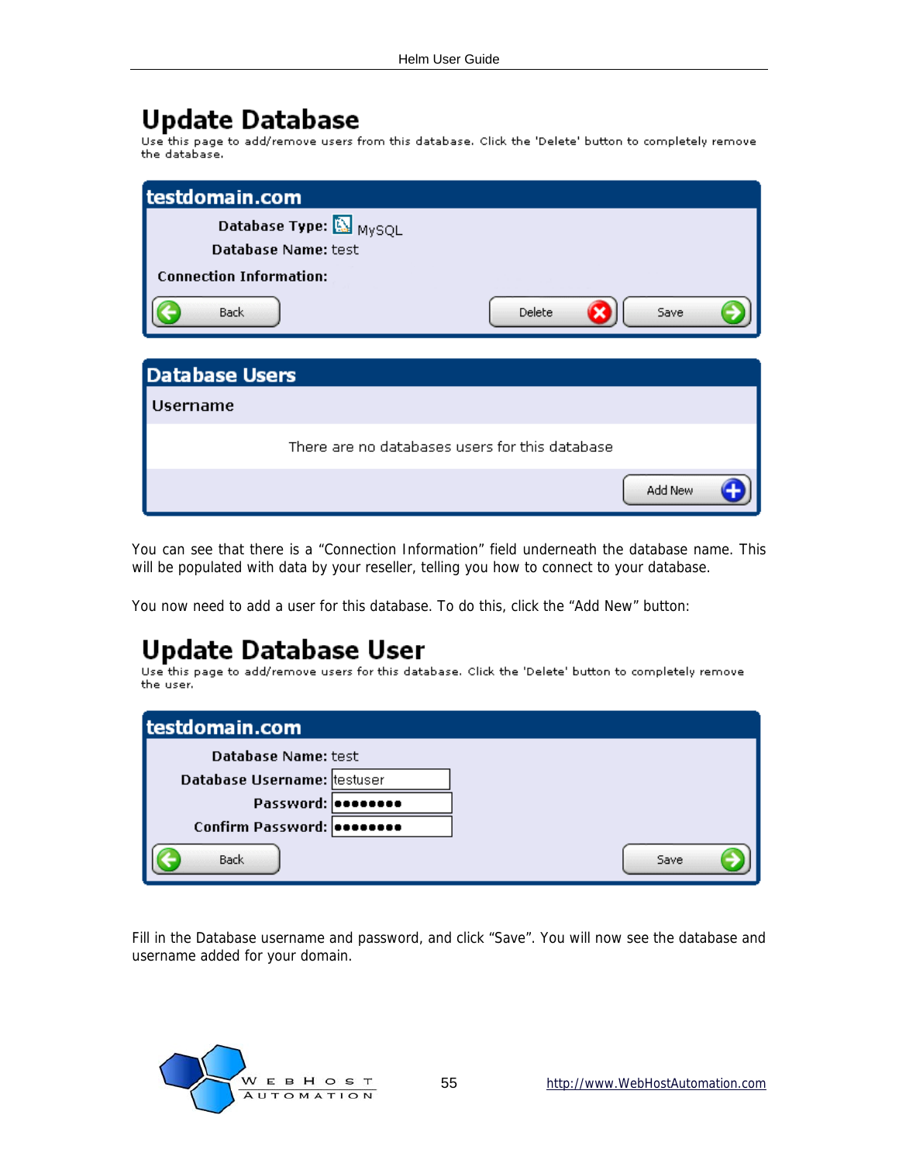Update Database<br>Use this page to add/remove users from this database. Click the 'Delete' button to completely remove the database.

| testdomain.com                 |                        |                                                |         |
|--------------------------------|------------------------|------------------------------------------------|---------|
|                                | Database Type: A MySQL |                                                |         |
|                                | Database Name: test    |                                                |         |
| <b>Connection Information:</b> |                        |                                                |         |
| <b>Back</b>                    |                        | Delete                                         | Save    |
|                                |                        |                                                |         |
| <b>Database Users</b>          |                        |                                                |         |
| <b>Username</b>                |                        |                                                |         |
|                                |                        | There are no databases users for this database |         |
|                                |                        |                                                | Add New |

You can see that there is a "Connection Information" field underneath the database name. This will be populated with data by your reseller, telling you how to connect to your database.

You now need to add a user for this database. To do this, click the "Add New" button:

## **Update Database User**

Use this page to add/remove users for this database. Click the 'Delete' button to completely remove the user.

| testdomain.com              |  |      |
|-----------------------------|--|------|
| <b>Database Name: test</b>  |  |      |
| Database Username: testuser |  |      |
| Password:   essesses        |  |      |
| Confirm Password: 00000000  |  |      |
| <b>Back</b>                 |  | Save |

Fill in the Database username and password, and click "Save". You will now see the database and username added for your domain.

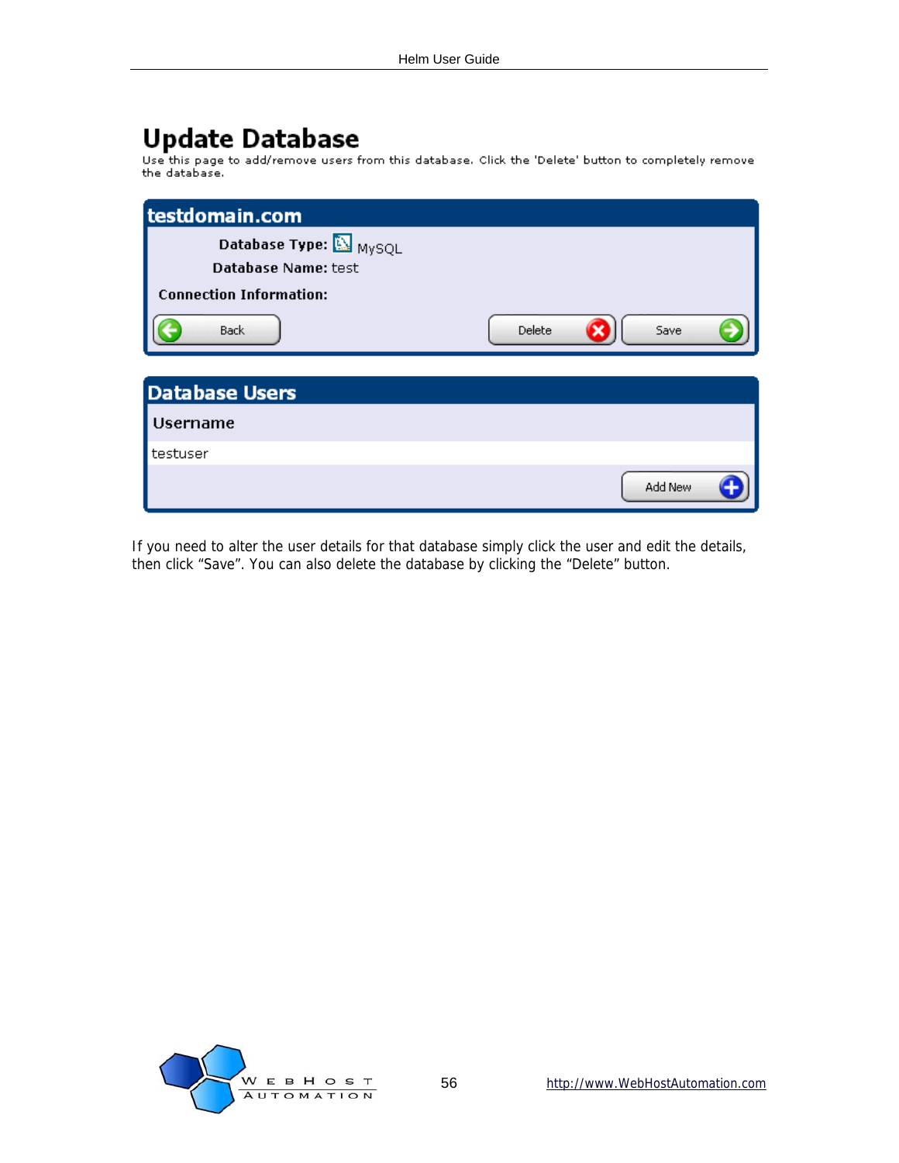## **Update Database**

Use this page to add/remove users from this database. Click the 'Delete' button to completely remove<br>the database.

| testdomain.com                 |                |
|--------------------------------|----------------|
| Database Type: A MySQL         |                |
| Database Name: test            |                |
| <b>Connection Information:</b> |                |
| <b>Back</b>                    | Delete<br>Save |
|                                |                |
| <b>Database Users</b>          |                |
| <b>Username</b>                |                |
| testuser                       |                |
|                                | Add New        |

If you need to alter the user details for that database simply click the user and edit the details, then click "Save". You can also delete the database by clicking the "Delete" button.

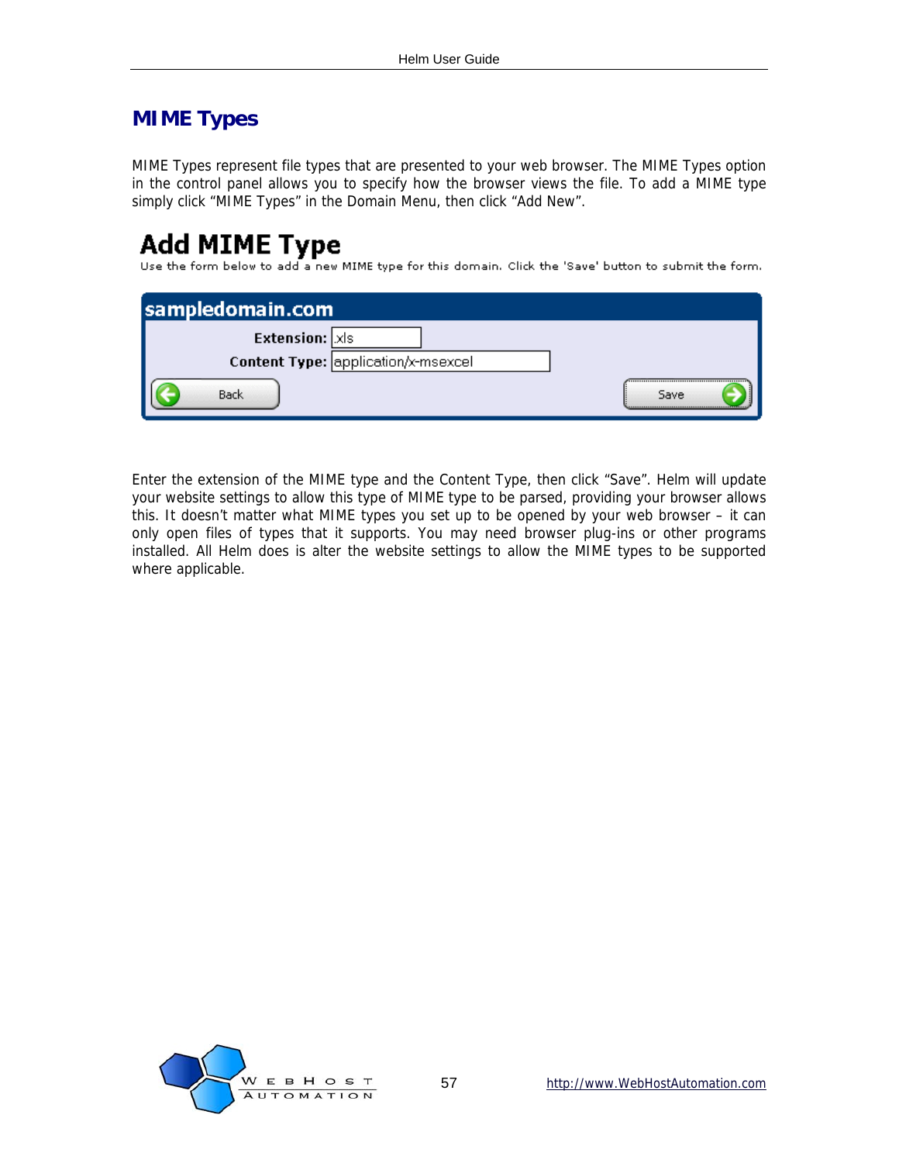### <span id="page-56-0"></span>**MIME Types**

MIME Types represent file types that are presented to your web browser. The MIME Types option in the control panel allows you to specify how the browser views the file. To add a MIME type simply click "MIME Types" in the Domain Menu, then click "Add New".

### **Add MIME Type**

Use the form below to add a new MIME type for this domain. Click the 'Save' button to submit the form.

| sampledomain.com                    |      |
|-------------------------------------|------|
| <b>Extension:</b> XIs               |      |
| Content Type: application/x-msexcel |      |
| Back                                | Save |

Enter the extension of the MIME type and the Content Type, then click "Save". Helm will update your website settings to allow this type of MIME type to be parsed, providing your browser allows this. It doesn't matter what MIME types you set up to be opened by your web browser – it can only open files of types that it supports. You may need browser plug-ins or other programs installed. All Helm does is alter the website settings to allow the MIME types to be supported where applicable.

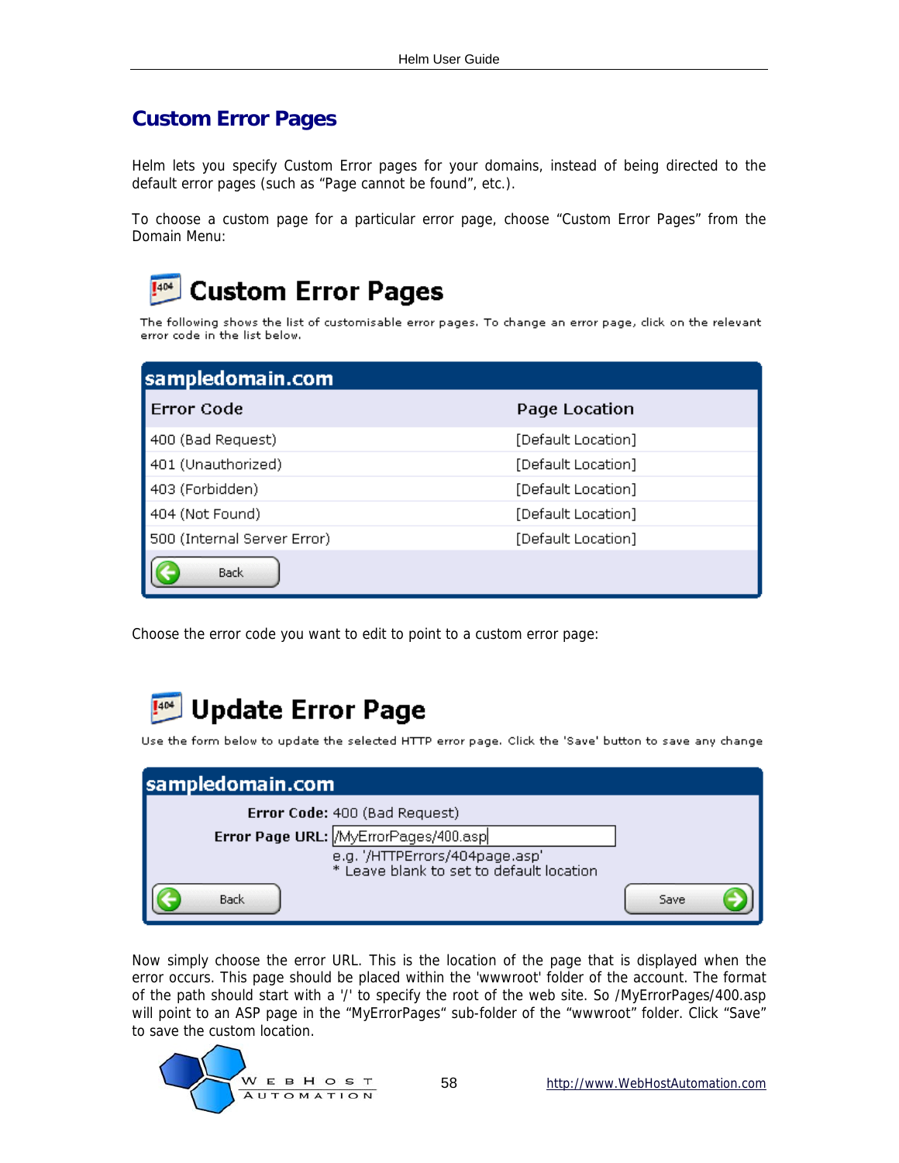### <span id="page-57-0"></span>**Custom Error Pages**

Helm lets you specify Custom Error pages for your domains, instead of being directed to the default error pages (such as "Page cannot be found", etc.).

To choose a custom page for a particular error page, choose "Custom Error Pages" from the Domain Menu:

#### **Custom Error Pages** 404

The following shows the list of customisable error pages. To change an error page, click on the relevant error code in the list below.

| sampledomain.com            |                    |
|-----------------------------|--------------------|
| Error Code                  | Page Location      |
| 400 (Bad Request)           | [Default Location] |
| 401 (Unauthorized)          | [Default Location] |
| 403 (Forbidden)             | [Default Location] |
| 404 (Not Found)             | [Default Location] |
| 500 (Internal Server Error) | [Default Location] |
| <b>Back</b>                 |                    |

Choose the error code you want to edit to point to a custom error page:



Use the form below to update the selected HTTP error page. Click the 'Save' button to save any change

| sampledomain.com                                                           |      |
|----------------------------------------------------------------------------|------|
| Error Code: 400 (Bad Request)                                              |      |
| Error Page URL: MyErrorPages/400.asp                                       |      |
| e.g. '/HTTPErrors/404page.asp'<br>* Leave blank to set to default location |      |
| <b>Back</b>                                                                | Save |

Now simply choose the error URL. This is the location of the page that is displayed when the error occurs. This page should be placed within the 'wwwroot' folder of the account. The format of the path should start with a '/' to specify the root of the web site. So /MyErrorPages/400.asp will point to an ASP page in the "MyErrorPages" sub-folder of the "wwwroot" folder. Click "Save" to save the custom location.

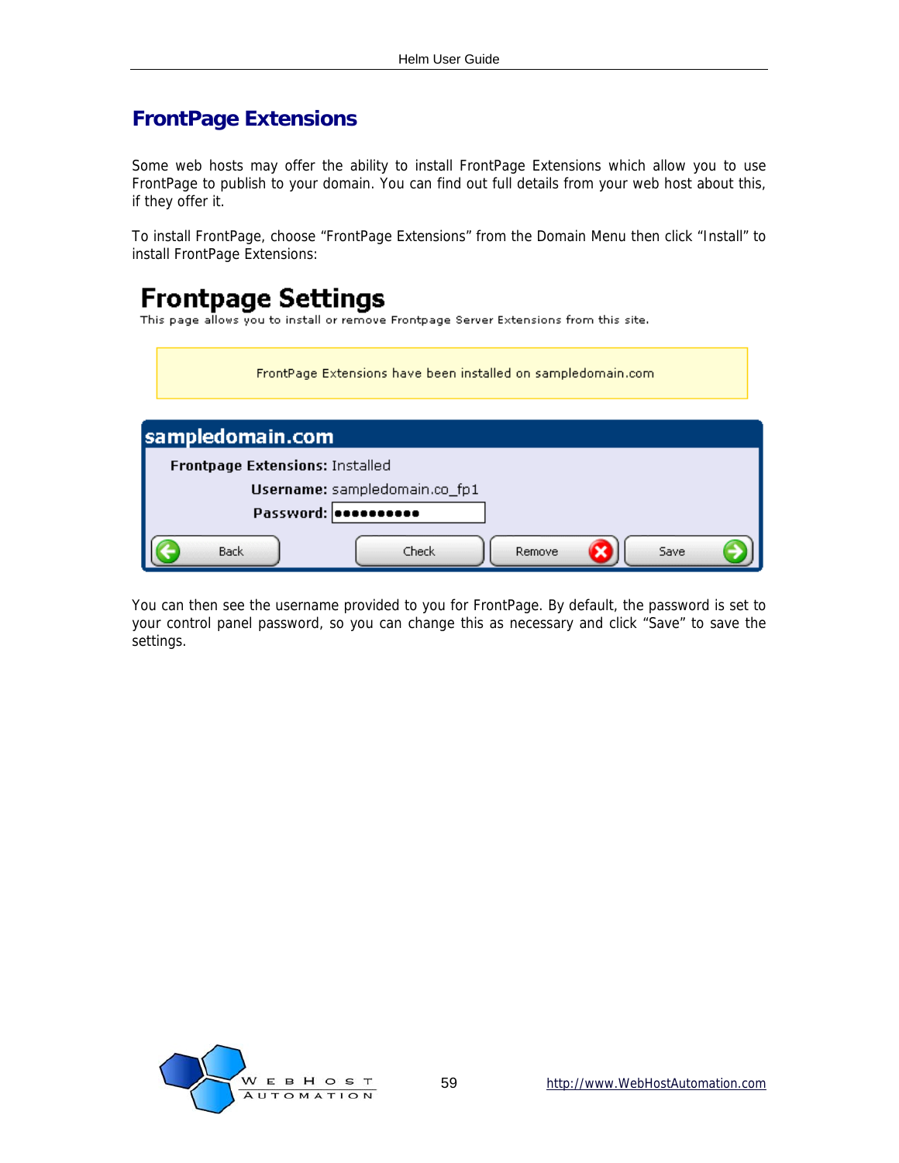### <span id="page-58-0"></span>**FrontPage Extensions**

Some web hosts may offer the ability to install FrontPage Extensions which allow you to use FrontPage to publish to your domain. You can find out full details from your web host about this, if they offer it.

To install FrontPage, choose "FrontPage Extensions" from the Domain Menu then click "Install" to install FrontPage Extensions:

## **Frontpage Settings**

This page allows you to install or remove Frontpage Server Extensions from this site.

| FrontPage Extensions have been installed on sampledomain.com |  |  |
|--------------------------------------------------------------|--|--|
| sampledomain.com                                             |  |  |
| Frontpage Extensions: Installed                              |  |  |
| Username: sampledomain.co_fp1                                |  |  |
| Password:                                                    |  |  |
| <b>Back</b><br>Check<br>Remove<br>Save                       |  |  |

You can then see the username provided to you for FrontPage. By default, the password is set to your control panel password, so you can change this as necessary and click "Save" to save the settings.

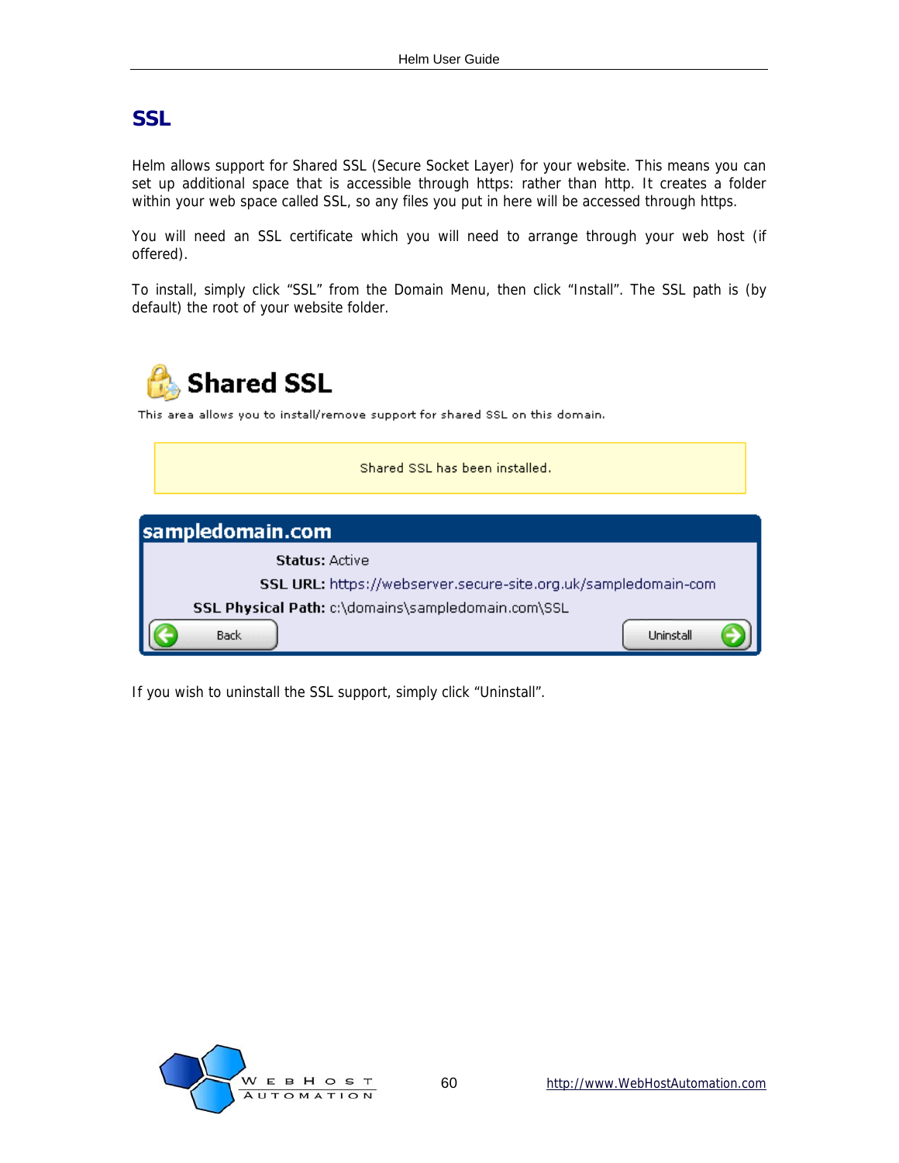#### <span id="page-59-0"></span>**SSL**

Helm allows support for Shared SSL (Secure Socket Layer) for your website. This means you can set up additional space that is accessible through https: rather than http. It creates a folder within your web space called SSL, so any files you put in here will be accessed through https.

You will need an SSL certificate which you will need to arrange through your web host (if offered).

To install, simply click "SSL" from the Domain Menu, then click "Install". The SSL path is (by default) the root of your website folder.



If you wish to uninstall the SSL support, simply click "Uninstall".

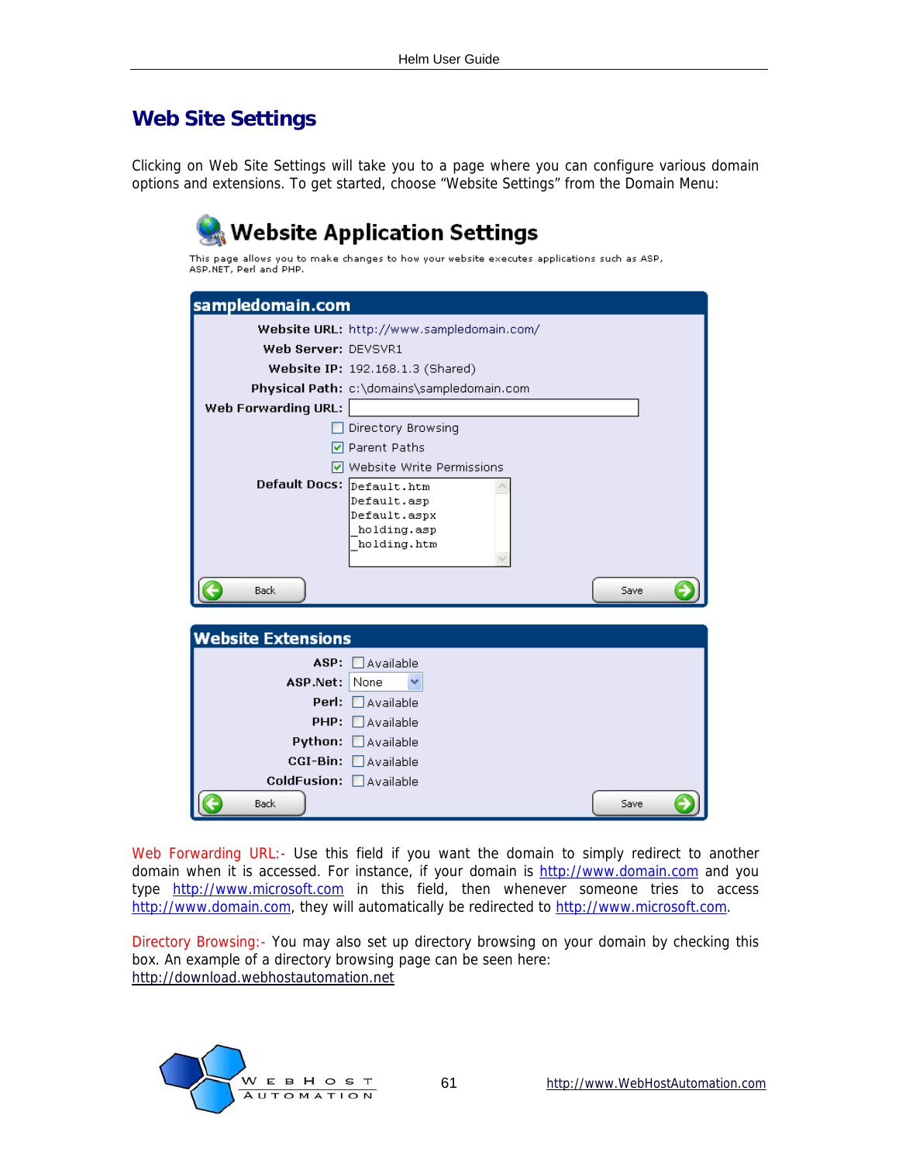### <span id="page-60-0"></span>**Web Site Settings**

Clicking on Web Site Settings will take you to a page where you can configure various domain options and extensions. To get started, choose "Website Settings" from the Domain Menu:

|                                            | Website Application Settings )<br>This page allows you to make changes to how your website executes applications such as ASP,           |  |  |  |
|--------------------------------------------|-----------------------------------------------------------------------------------------------------------------------------------------|--|--|--|
| ASP.NET, Perl and PHP.<br>sampledomain.com |                                                                                                                                         |  |  |  |
| Web Server: DEVSVR1                        | Website URL: http://www.sampledomain.com/<br>Website IP: 192.168.1.3 (Shared)                                                           |  |  |  |
| Web Forwarding URL:                        | Physical Path: c:\domains\sampledomain.com                                                                                              |  |  |  |
| Default Docs: Default.htm                  | Directory Browsing<br><b>▽</b> Parent Paths<br>☑ Website Write Permissions<br>Default.asp<br>Default.aspx<br>holding.asp<br>holding.htm |  |  |  |
| <b>Back</b>                                | Save                                                                                                                                    |  |  |  |
| <b>Website Extensions</b>                  |                                                                                                                                         |  |  |  |
| ASP.Net: None<br>PHP:<br>Python:           | $ASP: \Box$ Available<br><b>Perl:</b> $\Box$ Available<br><b>Lavailable</b><br>$\Box$ Available<br>CGI-Bin: Available                   |  |  |  |
| ColdFusion: Available<br><b>Back</b>       | Save                                                                                                                                    |  |  |  |

Web Forwarding URL:- Use this field if you want the domain to simply redirect to another domain when it is accessed. For instance, if your domain is [http://www.domain.com](http://www.domain.com/) and you type [http://www.microsoft.com](http://www.microsoft.com/) in this field, then whenever someone tries to access [http://www.domain.com](http://www.domain.com/), they will automatically be redirected to [http://www.microsoft.com](http://www.microsoft.com/).

Directory Browsing:- You may also set up directory browsing on your domain by checking this box. An example of a directory browsing page can be seen here: [http://download.webhostautomation.net](http://download.webhostautomation.net/)

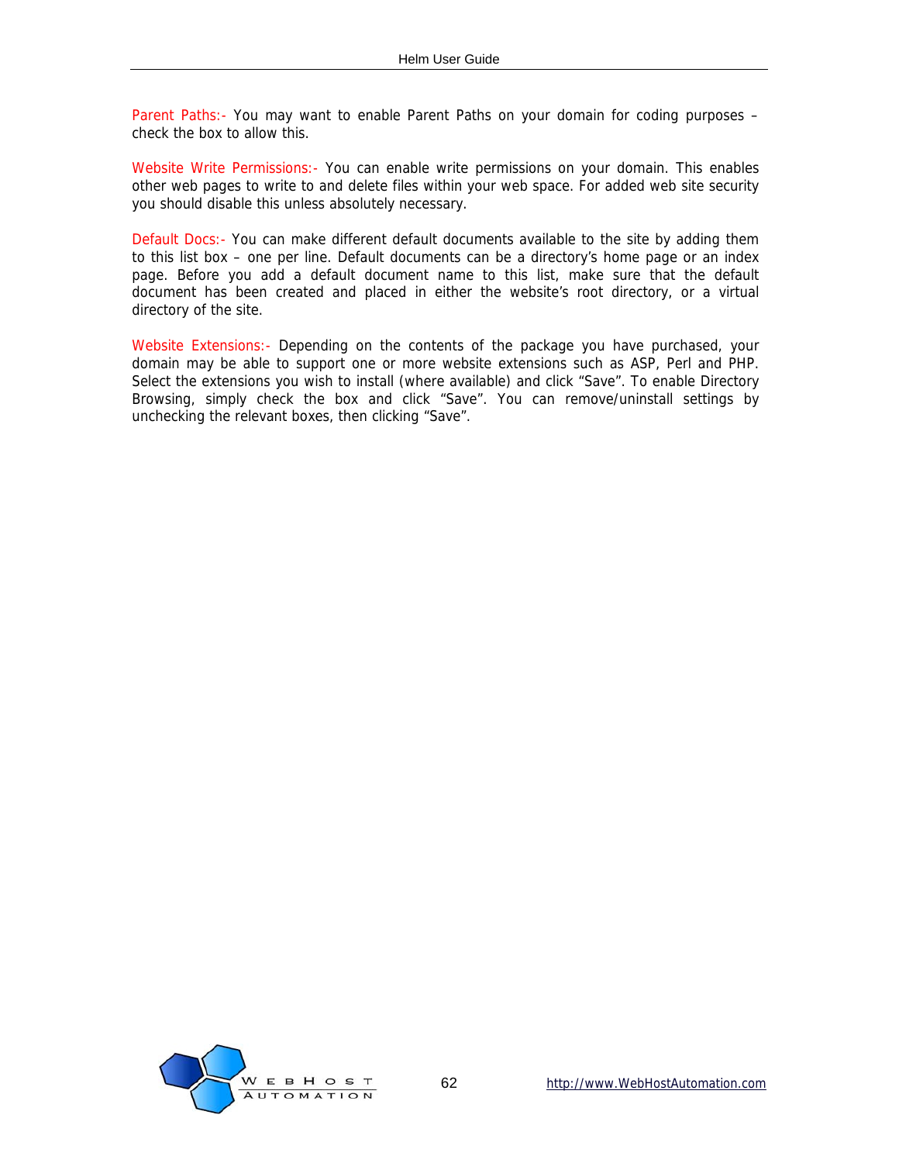Parent Paths:- You may want to enable Parent Paths on your domain for coding purposes – check the box to allow this.

Website Write Permissions:- You can enable write permissions on your domain. This enables other web pages to write to and delete files within your web space. For added web site security you should disable this unless absolutely necessary.

Default Docs:- You can make different default documents available to the site by adding them to this list box – one per line. Default documents can be a directory's home page or an index page. Before you add a default document name to this list, make sure that the default document has been created and placed in either the website's root directory, or a virtual directory of the site.

Website Extensions:- Depending on the contents of the package you have purchased, your domain may be able to support one or more website extensions such as ASP, Perl and PHP. Select the extensions you wish to install (where available) and click "Save". To enable Directory Browsing, simply check the box and click "Save". You can remove/uninstall settings by unchecking the relevant boxes, then clicking "Save".